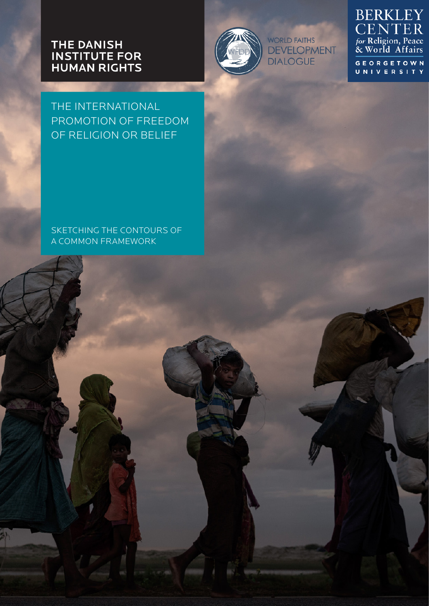## **THE DANISH INSTITUTE FOR HUMAN RIGHTS**



WORLD FAITHS **DEVELOPMENT DIALOGUE** 

**BERKLEY CENTER** for Religion, Peace<br>& World Affairs GEORGETOWN<br>UNIVERSITY

THE INTERNATIONAL PROMOTION OF FREEDOM OF RELIGION OR BELIEF

SKETCHING THE CONTOURS OF A COMMON FRAMEWORK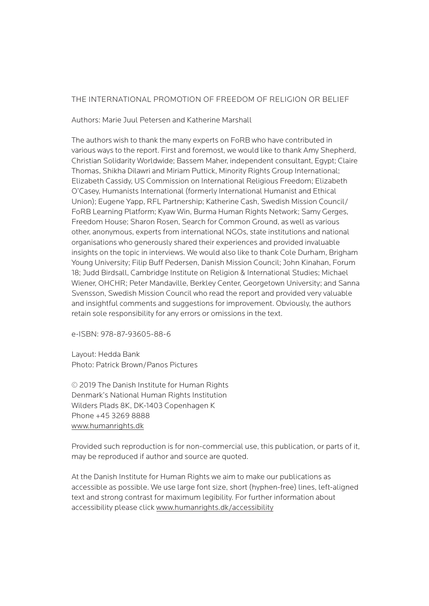#### THE INTERNATIONAL PROMOTION OF FREEDOM OF RELIGION OR BELIEF

Authors: Marie Juul Petersen and Katherine Marshall

The authors wish to thank the many experts on FoRB who have contributed in various ways to the report. First and foremost, we would like to thank Amy Shepherd, Christian Solidarity Worldwide; Bassem Maher, independent consultant, Egypt; Claire Thomas, Shikha Dilawri and Miriam Puttick, Minority Rights Group International; Elizabeth Cassidy, US Commission on International Religious Freedom; Elizabeth O'Casey, Humanists International (formerly International Humanist and Ethical Union); Eugene Yapp, RFL Partnership; Katherine Cash, Swedish Mission Council/ FoRB Learning Platform; Kyaw Win, Burma Human Rights Network; Samy Gerges, Freedom House; Sharon Rosen, Search for Common Ground, as well as various other, anonymous, experts from international NGOs, state institutions and national organisations who generously shared their experiences and provided invaluable insights on the topic in interviews. We would also like to thank Cole Durham, Brigham Young University; Filip Buff Pedersen, Danish Mission Council; John Kinahan, Forum 18; Judd Birdsall, Cambridge Institute on Religion & International Studies; Michael Wiener, OHCHR; Peter Mandaville, Berkley Center, Georgetown University; and Sanna Svensson, Swedish Mission Council who read the report and provided very valuable and insightful comments and suggestions for improvement. Obviously, the authors retain sole responsibility for any errors or omissions in the text.

e-ISBN: 978-87-93605-88-6

Layout: Hedda Bank Photo: Patrick Brown/Panos Pictures

© 2019 The Danish Institute for Human Rights Denmark's National Human Rights Institution Wilders Plads 8K, DK-1403 Copenhagen K Phone +45 3269 8888 [www.humanrights.dk](http://www.humanrights.dk)

Provided such reproduction is for non-commercial use, this publication, or parts of it, may be reproduced if author and source are quoted.

At the Danish Institute for Human Rights we aim to make our publications as accessible as possible. We use large font size, short (hyphen-free) lines, left-aligned text and strong contrast for maximum legibility. For further information about accessibility please click [www.humanrights.dk/accessibility](http://www.humanrights.dk/accessibility)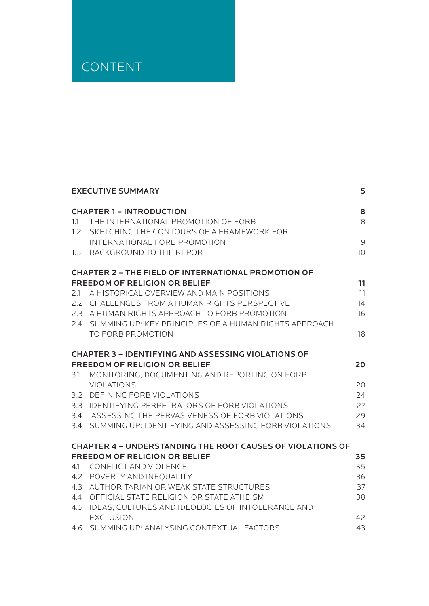# CONTENT

|     | <b>EXECUTIVE SUMMARY</b>                                          | 5               |
|-----|-------------------------------------------------------------------|-----------------|
|     | <b>CHAPTER 1 - INTRODUCTION</b>                                   | 8               |
| 1.1 | THE INTERNATIONAL PROMOTION OF FORB                               | 8               |
| 1.2 | SKETCHING THE CONTOURS OF A FRAMEWORK FOR                         |                 |
|     | INTERNATIONAL FORB PROMOTION                                      | 9               |
| 1.3 | BACKGROUND TO THE REPORT                                          | 10 <sup>°</sup> |
|     | <b>CHAPTER 2 - THE FIELD OF INTERNATIONAL PROMOTION OF</b>        |                 |
|     | <b>FREEDOM OF RELIGION OR BELIEF</b>                              | 11              |
| 2.1 | A HISTORICAL OVERVIEW AND MAIN POSITIONS                          | 11              |
|     | 2.2 CHALLENGES FROM A HUMAN RIGHTS PERSPECTIVE                    | 14              |
|     | 2.3 A HUMAN RIGHTS APPROACH TO FORB PROMOTION                     | 16              |
|     | 2.4 SUMMING UP: KEY PRINCIPLES OF A HUMAN RIGHTS APPROACH         |                 |
|     | TO FORB PROMOTION                                                 | 18              |
|     | <b>CHAPTER 3 - IDENTIFYING AND ASSESSING VIOLATIONS OF</b>        |                 |
|     | <b>FREEDOM OF RELIGION OR BELIEF</b>                              | 20              |
| 3.1 | MONITORING, DOCUMENTING AND REPORTING ON FORB                     |                 |
|     | <b>VIOLATIONS</b>                                                 | 20              |
|     | 3.2 DEFINING FORB VIOLATIONS                                      | 24              |
|     | 3.3 IDENTIFYING PERPETRATORS OF FORB VIOLATIONS                   | 27              |
|     | 3.4 ASSESSING THE PERVASIVENESS OF FORB VIOLATIONS                | 29              |
|     | 3.4 SUMMING UP: IDENTIFYING AND ASSESSING FORB VIOLATIONS         | 34              |
|     | <b>CHAPTER 4 - UNDERSTANDING THE ROOT CAUSES OF VIOLATIONS OF</b> |                 |
|     | <b>FREEDOM OF RELIGION OR BELIEF</b>                              | 35              |
| 4.1 | CONFLICT AND VIOLENCE                                             | 35              |
|     | 4.2 POVERTY AND INEQUALITY                                        | 36              |
| 4.3 | AUTHORITARIAN OR WEAK STATE STRUCTURES                            | 37              |
| 4.4 | OFFICIAL STATE RELIGION OR STATE ATHEISM                          | 38              |
| 4.5 | IDEAS, CULTURES AND IDEOLOGIES OF INTOLERANCE AND                 |                 |
|     | <b>EXCLUSION</b>                                                  | 42              |
|     | 4.6 SUMMING UP: ANALYSING CONTEXTUAL FACTORS                      | 43              |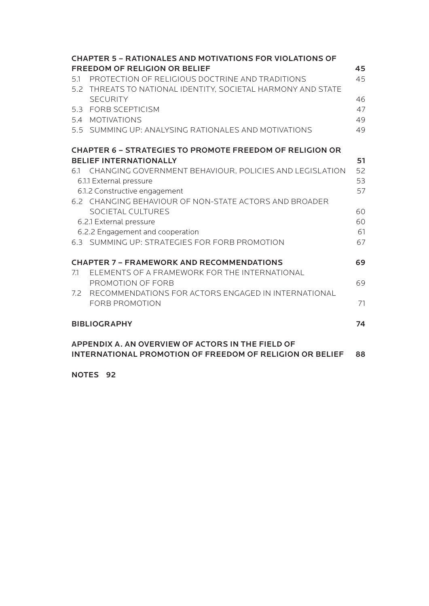|     | <b>CHAPTER 5 - RATIONALES AND MOTIVATIONS FOR VIOLATIONS OF</b> |    |
|-----|-----------------------------------------------------------------|----|
|     | <b>FREEDOM OF RELIGION OR BELIEF</b>                            | 45 |
| 5.1 | PROTECTION OF RELIGIOUS DOCTRINE AND TRADITIONS                 | 45 |
| 5.2 | THREATS TO NATIONAL IDENTITY, SOCIETAL HARMONY AND STATE        |    |
|     | <b>SECURITY</b>                                                 | 46 |
| 5.3 | <b>FORB SCEPTICISM</b>                                          | 47 |
|     | 5.4 MOTIVATIONS                                                 | 49 |
|     | 5.5 SUMMING UP: ANALYSING RATIONALES AND MOTIVATIONS            | 49 |
|     | <b>CHAPTER 6 - STRATEGIES TO PROMOTE FREEDOM OF RELIGION OR</b> |    |
|     | <b>BELIEF INTERNATIONALLY</b>                                   | 51 |
|     | 6.1 CHANGING GOVERNMENT BEHAVIOUR, POLICIES AND LEGISLATION     | 52 |
|     | 6.1.1 External pressure                                         | 53 |
|     | 6.1.2 Constructive engagement                                   | 57 |
|     | 6.2 CHANGING BEHAVIOUR OF NON-STATE ACTORS AND BROADER          |    |
|     | SOCIETAL CULTURES                                               | 60 |
|     | 6.2.1 External pressure                                         | 60 |
|     | 6.2.2 Engagement and cooperation                                | 61 |
|     | 6.3 SUMMING UP: STRATEGIES FOR FORB PROMOTION                   | 67 |
|     | <b>CHAPTER 7 - FRAMEWORK AND RECOMMENDATIONS</b>                | 69 |
| 7.1 | ELEMENTS OF A FRAMEWORK FOR THE INTERNATIONAL                   |    |
|     | PROMOTION OF FORB                                               | 69 |
| 7.2 | RECOMMENDATIONS FOR ACTORS ENGAGED IN INTERNATIONAL             |    |
|     | <b>FORB PROMOTION</b>                                           | 71 |
|     | <b>BIBLIOGRAPHY</b>                                             | 74 |
|     | APPENDIX A. AN OVERVIEW OF ACTORS IN THE FIELD OF               |    |
|     | <b>INTERNATIONAL PROMOTION OF FREEDOM OF RELIGION OR BELIEF</b> | 88 |

[NOTES](#page-91-0) 92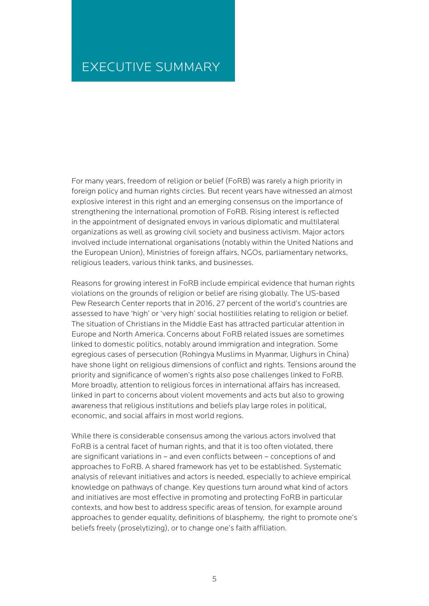## <span id="page-4-0"></span>EXECUTIVE SUMMARY

For many years, freedom of religion or belief (FoRB) was rarely a high priority in foreign policy and human rights circles. But recent years have witnessed an almost explosive interest in this right and an emerging consensus on the importance of strengthening the international promotion of FoRB. Rising interest is reflected in the appointment of designated envoys in various diplomatic and multilateral organizations as well as growing civil society and business activism. Major actors involved include international organisations (notably within the United Nations and the European Union), Ministries of foreign affairs, NGOs, parliamentary networks, religious leaders, various think tanks, and businesses.

Reasons for growing interest in FoRB include empirical evidence that human rights violations on the grounds of religion or belief are rising globally. The US-based Pew Research Center reports that in 2016, 27 percent of the world's countries are assessed to have 'high' or 'very high' social hostilities relating to religion or belief. The situation of Christians in the Middle East has attracted particular attention in Europe and North America. Concerns about FoRB related issues are sometimes linked to domestic politics, notably around immigration and integration. Some egregious cases of persecution (Rohingya Muslims in Myanmar, Uighurs in China) have shone light on religious dimensions of conflict and rights. Tensions around the priority and significance of women's rights also pose challenges linked to FoRB. More broadly, attention to religious forces in international affairs has increased, linked in part to concerns about violent movements and acts but also to growing awareness that religious institutions and beliefs play large roles in political, economic, and social affairs in most world regions.

While there is considerable consensus among the various actors involved that FoRB is a central facet of human rights, and that it is too often violated, there are significant variations in – and even conflicts between – conceptions of and approaches to FoRB. A shared framework has yet to be established. Systematic analysis of relevant initiatives and actors is needed, especially to achieve empirical knowledge on pathways of change. Key questions turn around what kind of actors and initiatives are most effective in promoting and protecting FoRB in particular contexts, and how best to address specific areas of tension, for example around approaches to gender equality, definitions of blasphemy, the right to promote one's beliefs freely (proselytizing), or to change one's faith affiliation.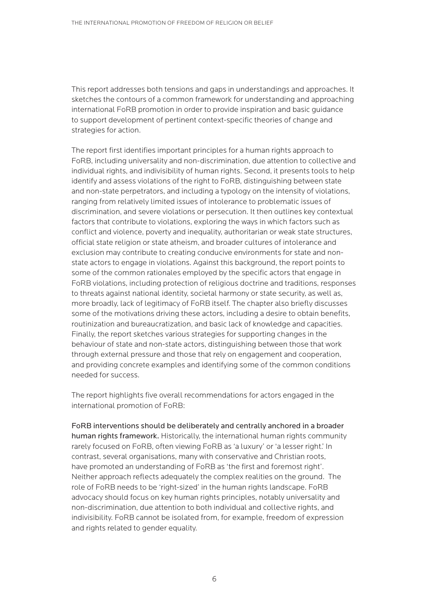This report addresses both tensions and gaps in understandings and approaches. It sketches the contours of a common framework for understanding and approaching international FoRB promotion in order to provide inspiration and basic guidance to support development of pertinent context-specific theories of change and strategies for action.

The report first identifies important principles for a human rights approach to FoRB, including universality and non-discrimination, due attention to collective and individual rights, and indivisibility of human rights. Second, it presents tools to help identify and assess violations of the right to FoRB, distinguishing between state and non-state perpetrators, and including a typology on the intensity of violations, ranging from relatively limited issues of intolerance to problematic issues of discrimination, and severe violations or persecution. It then outlines key contextual factors that contribute to violations, exploring the ways in which factors such as conflict and violence, poverty and inequality, authoritarian or weak state structures, official state religion or state atheism, and broader cultures of intolerance and exclusion may contribute to creating conducive environments for state and nonstate actors to engage in violations. Against this background, the report points to some of the common rationales employed by the specific actors that engage in FoRB violations, including protection of religious doctrine and traditions, responses to threats against national identity, societal harmony or state security, as well as, more broadly, lack of legitimacy of FoRB itself. The chapter also briefly discusses some of the motivations driving these actors, including a desire to obtain benefits, routinization and bureaucratization, and basic lack of knowledge and capacities. Finally, the report sketches various strategies for supporting changes in the behaviour of state and non-state actors, distinguishing between those that work through external pressure and those that rely on engagement and cooperation, and providing concrete examples and identifying some of the common conditions needed for success.

The report highlights five overall recommendations for actors engaged in the international promotion of FoRB:

FoRB interventions should be deliberately and centrally anchored in a broader human rights framework. Historically, the international human rights community rarely focused on FoRB, often viewing FoRB as 'a luxury' or 'a lesser right.' In contrast, several organisations, many with conservative and Christian roots, have promoted an understanding of FoRB as 'the first and foremost right'. Neither approach reflects adequately the complex realities on the ground. The role of FoRB needs to be 'right-sized' in the human rights landscape. FoRB advocacy should focus on key human rights principles, notably universality and non-discrimination, due attention to both individual and collective rights, and indivisibility. FoRB cannot be isolated from, for example, freedom of expression and rights related to gender equality.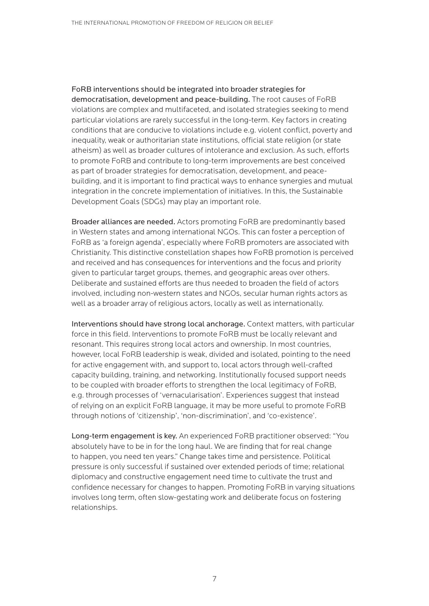FoRB interventions should be integrated into broader strategies for democratisation, development and peace-building. The root causes of FoRB violations are complex and multifaceted, and isolated strategies seeking to mend particular violations are rarely successful in the long-term. Key factors in creating conditions that are conducive to violations include e.g. violent conflict, poverty and inequality, weak or authoritarian state institutions, official state religion (or state atheism) as well as broader cultures of intolerance and exclusion. As such, efforts to promote FoRB and contribute to long-term improvements are best conceived as part of broader strategies for democratisation, development, and peacebuilding, and it is important to find practical ways to enhance synergies and mutual integration in the concrete implementation of initiatives. In this, the Sustainable Development Goals (SDGs) may play an important role.

Broader alliances are needed. Actors promoting FoRB are predominantly based in Western states and among international NGOs. This can foster a perception of FoRB as 'a foreign agenda', especially where FoRB promoters are associated with Christianity. This distinctive constellation shapes how FoRB promotion is perceived and received and has consequences for interventions and the focus and priority given to particular target groups, themes, and geographic areas over others. Deliberate and sustained efforts are thus needed to broaden the field of actors involved, including non-western states and NGOs, secular human rights actors as well as a broader array of religious actors, locally as well as internationally.

Interventions should have strong local anchorage. Context matters, with particular force in this field. Interventions to promote FoRB must be locally relevant and resonant. This requires strong local actors and ownership. In most countries, however, local FoRB leadership is weak, divided and isolated, pointing to the need for active engagement with, and support to, local actors through well-crafted capacity building, training, and networking. Institutionally focused support needs to be coupled with broader efforts to strengthen the local legitimacy of FoRB, e.g. through processes of 'vernacularisation'. Experiences suggest that instead of relying on an explicit FoRB language, it may be more useful to promote FoRB through notions of 'citizenship', 'non-discrimination', and 'co-existence'.

Long-term engagement is key. An experienced FoRB practitioner observed: "You absolutely have to be in for the long haul. We are finding that for real change to happen, you need ten years." Change takes time and persistence. Political pressure is only successful if sustained over extended periods of time; relational diplomacy and constructive engagement need time to cultivate the trust and confidence necessary for changes to happen. Promoting FoRB in varying situations involves long term, often slow-gestating work and deliberate focus on fostering relationships.

7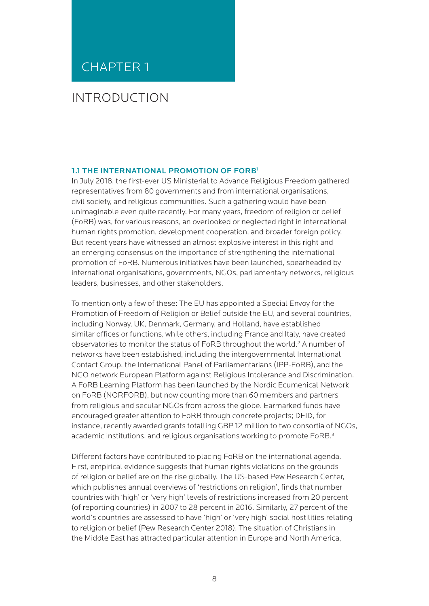## <span id="page-7-0"></span>CHAPTER 1

## INTRODUCTION

#### 1.1 THE INTERNATIONAL PROMOTION OF FORB[1](#page-91-0)

In July 2018, the first-ever US Ministerial to Advance Religious Freedom gathered representatives from 80 governments and from international organisations, civil society, and religious communities. Such a gathering would have been unimaginable even quite recently. For many years, freedom of religion or belief (FoRB) was, for various reasons, an overlooked or neglected right in international human rights promotion, development cooperation, and broader foreign policy. But recent years have witnessed an almost explosive interest in this right and an emerging consensus on the importance of strengthening the international promotion of FoRB. Numerous initiatives have been launched, spearheaded by international organisations, governments, NGOs, parliamentary networks, religious leaders, businesses, and other stakeholders.

To mention only a few of these: The EU has appointed a Special Envoy for the Promotion of Freedom of Religion or Belief outside the EU, and several countries, including Norway, UK, Denmark, Germany, and Holland, have established similar offices or functions, while others, including France and Italy, have created observatories to monitor the status of FoRB throughout the world.<sup>2</sup> A number of networks have been established, including the intergovernmental International Contact Group, the International Panel of Parliamentarians (IPP-FoRB), and the NGO network European Platform against Religious Intolerance and Discrimination. A FoRB Learning Platform has been launched by the Nordic Ecumenical Network on FoRB (NORFORB), but now counting more than 60 members and partners from religious and secular NGOs from across the globe. Earmarked funds have encouraged greater attention to FoRB through concrete projects; DFID, for instance, recently awarded grants totalling GBP 12 million to two consortia of NGOs, academic institutions, and religious organisations working to promote  $\text{FoRB}^3$ 

Different factors have contributed to placing FoRB on the international agenda. First, empirical evidence suggests that human rights violations on the grounds of religion or belief are on the rise globally. The US-based Pew Research Center, which publishes annual overviews of 'restrictions on religion', finds that number countries with 'high' or 'very high' levels of restrictions increased from 20 percent (of reporting countries) in 2007 to 28 percent in 2016. Similarly, 27 percent of the world's countries are assessed to have 'high' or 'very high' social hostilities relating to religion or belief (Pew Research Center 2018). The situation of Christians in the Middle East has attracted particular attention in Europe and North America,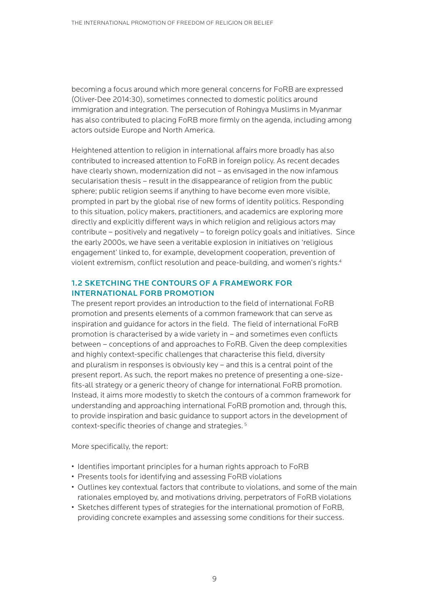<span id="page-8-0"></span>becoming a focus around which more general concerns for FoRB are expressed (Oliver-Dee 2014:30), sometimes connected to domestic politics around immigration and integration. The persecution of Rohingya Muslims in Myanmar has also contributed to placing FoRB more firmly on the agenda, including among actors outside Europe and North America.

Heightened attention to religion in international affairs more broadly has also contributed to increased attention to FoRB in foreign policy. As recent decades have clearly shown, modernization did not – as envisaged in the now infamous secularisation thesis – result in the disappearance of religion from the public sphere; public religion seems if anything to have become even more visible, prompted in part by the global rise of new forms of identity politics. Responding to this situation, policy makers, practitioners, and academics are exploring more directly and explicitly different ways in which religion and religious actors may contribute – positively and negatively – to foreign policy goals and initiatives. Since the early 2000s, we have seen a veritable explosion in initiatives on 'religious engagement' linked to, for example, development cooperation, prevention of violent extremism, conflict resolution and peace-building, and women's rights[.4](#page-91-0)

## 1.2 SKETCHING THE CONTOURS OF A FRAMEWORK FOR INTERNATIONAL FORB PROMOTION

The present report provides an introduction to the field of international FoRB promotion and presents elements of a common framework that can serve as inspiration and guidance for actors in the field. The field of international FoRB promotion is characterised by a wide variety in – and sometimes even conflicts between – conceptions of and approaches to FoRB. Given the deep complexities and highly context-specific challenges that characterise this field, diversity and pluralism in responses is obviously key – and this is a central point of the present report. As such, the report makes no pretence of presenting a one-sizefits-all strategy or a generic theory of change for international FoRB promotion. Instead, it aims more modestly to sketch the contours of a common framework for understanding and approaching international FoRB promotion and, through this, to provide inspiration and basic guidance to support actors in the development of context-specific theories of change and strategies. [5](#page-91-0)

More specifically, the report:

- Identifies important principles for a human rights approach to FoRB
- Presents tools for identifying and assessing FoRB violations
- Outlines key contextual factors that contribute to violations, and some of the main rationales employed by, and motivations driving, perpetrators of FoRB violations
- Sketches different types of strategies for the international promotion of FoRB, providing concrete examples and assessing some conditions for their success.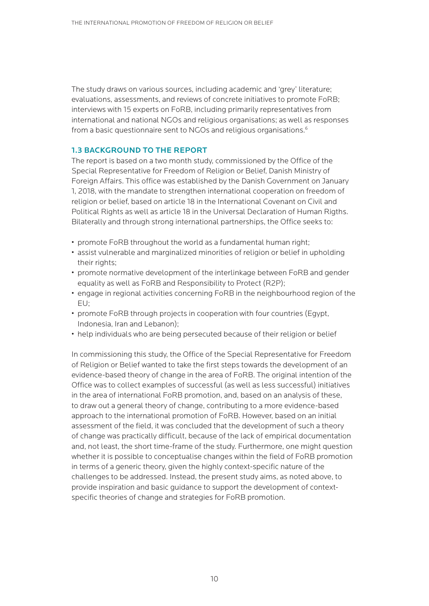<span id="page-9-0"></span>The study draws on various sources, including academic and 'grey' literature; evaluations, assessments, and reviews of concrete initiatives to promote FoRB; interviews with 15 experts on FoRB, including primarily representatives from international and national NGOs and religious organisations; as well as responses from a basic questionnaire sent to NGOs and religious organisations.<sup>[6](#page-91-0)</sup>

#### 1.3 BACKGROUND TO THE REPORT

The report is based on a two month study, commissioned by the Office of the Special Representative for Freedom of Religion or Belief, Danish Ministry of Foreign Affairs. This office was established by the Danish Government on January 1, 2018, with the mandate to strengthen international cooperation on freedom of religion or belief, based on article 18 in the International Covenant on Civil and Political Rights as well as article 18 in the Universal Declaration of Human Rigths. Bilaterally and through strong international partnerships, the Office seeks to:

- promote FoRB throughout the world as a fundamental human right;
- assist vulnerable and marginalized minorities of religion or belief in upholding their rights;
- promote normative development of the interlinkage between FoRB and gender equality as well as FoRB and Responsibility to Protect (R2P);
- engage in regional activities concerning FoRB in the neighbourhood region of the EU;
- promote FoRB through projects in cooperation with four countries (Egypt, Indonesia, Iran and Lebanon);
- help individuals who are being persecuted because of their religion or belief

In commissioning this study, the Office of the Special Representative for Freedom of Religion or Belief wanted to take the first steps towards the development of an evidence-based theory of change in the area of FoRB. The original intention of the Office was to collect examples of successful (as well as less successful) initiatives in the area of international FoRB promotion, and, based on an analysis of these, to draw out a general theory of change, contributing to a more evidence-based approach to the international promotion of FoRB. However, based on an initial assessment of the field, it was concluded that the development of such a theory of change was practically difficult, because of the lack of empirical documentation and, not least, the short time-frame of the study. Furthermore, one might question whether it is possible to conceptualise changes within the field of FoRB promotion in terms of a generic theory, given the highly context-specific nature of the challenges to be addressed. Instead, the present study aims, as noted above, to provide inspiration and basic guidance to support the development of contextspecific theories of change and strategies for FoRB promotion.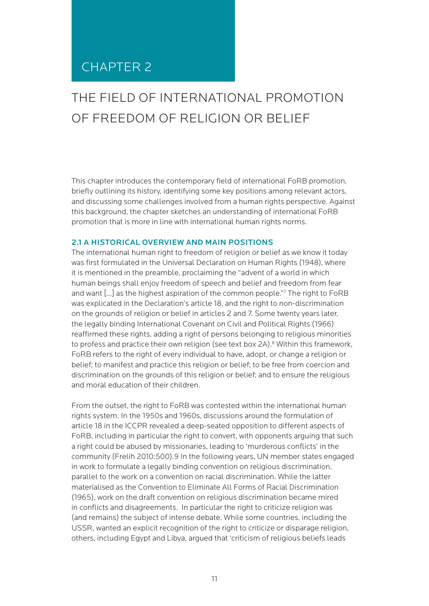## <span id="page-10-0"></span>CHAPTER 2

# THE FIELD OF INTERNATIONAL PROMOTION OF FREEDOM OF RELIGION OR BELIEF

This chapter introduces the contemporary field of international FoRB promotion, briefly outlining its history, identifying some key positions among relevant actors, and discussing some challenges involved from a human rights perspective. Against this background, the chapter sketches an understanding of international FoRB promotion that is more in line with international human rights norms.

#### 2.1 A HISTORICAL OVERVIEW AND MAIN POSITIONS

The international human right to freedom of religion or belief as we know it today was first formulated in the Universal Declaration on Human Rights (1948), where it is mentioned in the preamble, proclaiming the "advent of a world in which human beings shall enjoy freedom of speech and belief and freedom from fear and want […] as the highest aspiration of the common people."[7](#page-92-0) The right to FoRB was explicated in the Declaration's article 18, and the right to non-discrimination on the grounds of religion or belief in articles 2 and 7. Some twenty years later, the legally binding International Covenant on Civil and Political Rights (1966) reaffirmed these rights, adding a right of persons belonging to religious minorities to profess and practice their own religion (see text box 2A).<sup>[8](#page-92-0)</sup> Within this framework, FoRB refers to the right of every individual to have, adopt, or change a religion or belief; to manifest and practice this religion or belief; to be free from coercion and discrimination on the grounds of this religion or belief; and to ensure the religious and moral education of their children.

From the outset, the right to FoRB was contested within the international human rights system. In the 1950s and 1960s, discussions around the formulation of article 18 in the ICCPR revealed a deep-seated opposition to different aspects of FoRB, including in particular the right to convert, with opponents arguing that such a right could be abused by missionaries, leading to 'murderous conflicts' in the [community \(Frelih 2010:500\).9 In the following years, UN member states engaged](#page-92-0)  in work to formulate a legally binding convention on religious discrimination, parallel to the work on a convention on racial discrimination. While the latter materialised as the Convention to Eliminate All Forms of Racial Discrimination (1965), work on the draft convention on religious discrimination became mired in conflicts and disagreements. In particular the right to criticize religion was (and remains) the subject of intense debate. While some countries, including the USSR, wanted an explicit recognition of the right to criticize or disparage religion, others, including Egypt and Libya, argued that 'criticism of religious beliefs leads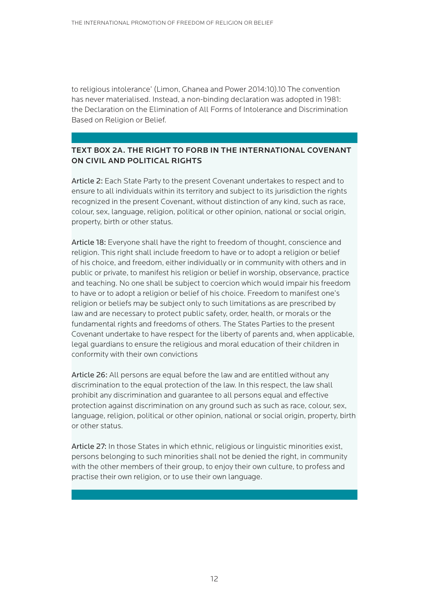[to religious intolerance' \(Limon, Ghanea and Power 2014:10\).10 The convention](#page-92-0)  has never materialised. Instead, a non-binding declaration was adopted in 1981: the Declaration on the Elimination of All Forms of Intolerance and Discrimination Based on Religion or Belief.

## TEXT BOX 2A. THE RIGHT TO FORB IN THE INTERNATIONAL COVENANT ON CIVIL AND POLITICAL RIGHTS

Article 2: Each State Party to the present Covenant undertakes to respect and to ensure to all individuals within its territory and subject to its jurisdiction the rights recognized in the present Covenant, without distinction of any kind, such as race, colour, sex, language, religion, political or other opinion, national or social origin, property, birth or other status.

Article 18: Everyone shall have the right to freedom of thought, conscience and religion. This right shall include freedom to have or to adopt a religion or belief of his choice, and freedom, either individually or in community with others and in public or private, to manifest his religion or belief in worship, observance, practice and teaching. No one shall be subject to coercion which would impair his freedom to have or to adopt a religion or belief of his choice. Freedom to manifest one's religion or beliefs may be subject only to such limitations as are prescribed by law and are necessary to protect public safety, order, health, or morals or the fundamental rights and freedoms of others. The States Parties to the present Covenant undertake to have respect for the liberty of parents and, when applicable, legal guardians to ensure the religious and moral education of their children in conformity with their own convictions

Article 26: All persons are equal before the law and are entitled without any discrimination to the equal protection of the law. In this respect, the law shall prohibit any discrimination and guarantee to all persons equal and effective protection against discrimination on any ground such as such as race, colour, sex, language, religion, political or other opinion, national or social origin, property, birth or other status.

Article 27: In those States in which ethnic, religious or linguistic minorities exist, persons belonging to such minorities shall not be denied the right, in community with the other members of their group, to enjoy their own culture, to profess and practise their own religion, or to use their own language.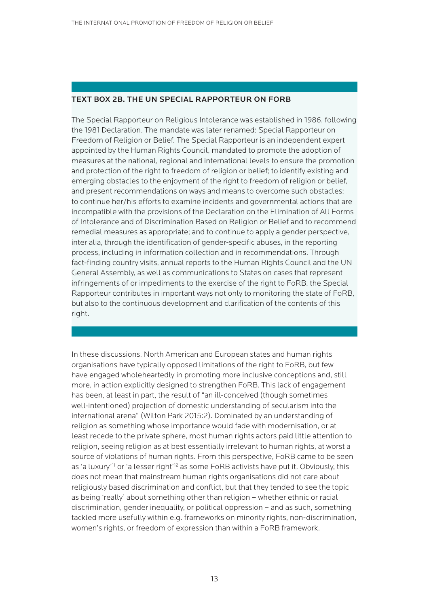#### TEXT BOX 2B. THE UN SPECIAL RAPPORTEUR ON FORB

The Special Rapporteur on Religious Intolerance was established in 1986, following the 1981 Declaration. The mandate was later renamed: Special Rapporteur on Freedom of Religion or Belief. The Special Rapporteur is an independent expert appointed by the Human Rights Council, mandated to promote the adoption of measures at the national, regional and international levels to ensure the promotion and protection of the right to freedom of religion or belief; to identify existing and emerging obstacles to the enjoyment of the right to freedom of religion or belief, and present recommendations on ways and means to overcome such obstacles; to continue her/his efforts to examine incidents and governmental actions that are incompatible with the provisions of the Declaration on the Elimination of All Forms of Intolerance and of Discrimination Based on Religion or Belief and to recommend remedial measures as appropriate; and to continue to apply a gender perspective, inter alia, through the identification of gender-specific abuses, in the reporting process, including in information collection and in recommendations. Through fact-finding country visits, annual reports to the Human Rights Council and the UN General Assembly, as well as [communications](https://www.ohchr.org/EN/HRBodies/SP/Pages/Communications.aspx) to States on cases that represent infringements of or impediments to the exercise of the right to FoRB, the Special Rapporteur contributes in important ways not only to monitoring the state of FoRB, but also to the continuous development and clarification of the contents of this right.

In these discussions, North American and European states and human rights organisations have typically opposed limitations of the right to FoRB, but few have engaged wholeheartedly in promoting more inclusive conceptions and, still more, in action explicitly designed to strengthen FoRB. This lack of engagement has been, at least in part, the result of "an ill-conceived (though sometimes well-intentioned) projection of domestic understanding of secularism into the international arena" (Wilton Park 2015:2). Dominated by an understanding of religion as something whose importance would fade with modernisation, or at least recede to the private sphere, most human rights actors paid little attention to religion, seeing religion as at best essentially irrelevant to human rights, at worst a source of violations of human rights. From this perspective, FoRB came to be seen as 'a luxury'<sup>11</sup> or 'a lesser right<sup>'12</sup> as some FoRB activists have put it. Obviously, this does not mean that mainstream human rights organisations did not care about religiously based discrimination and conflict, but that they tended to see the topic as being 'really' about something other than religion – whether ethnic or racial discrimination, gender inequality, or political oppression – and as such, something tackled more usefully within e.g. frameworks on minority rights, non-discrimination, women's rights, or freedom of expression than within a FoRB framework.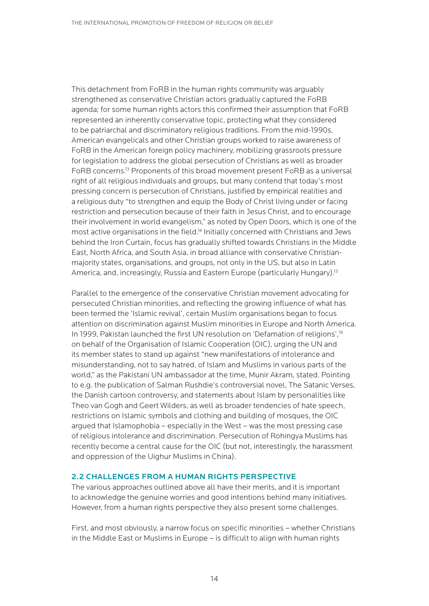<span id="page-13-0"></span>This detachment from FoRB in the human rights community was arguably strengthened as conservative Christian actors gradually captured the FoRB agenda; for some human rights actors this confirmed their assumption that FoRB represented an inherently conservative topic, protecting what they considered to be patriarchal and discriminatory religious traditions. From the mid-1990s, American evangelicals and other Christian groups worked to raise awareness of FoRB in the American foreign policy machinery, mobilizing grassroots pressure for legislation to address the global persecution of Christians as well as broader FoRB concerns[.13](#page-92-0) Proponents of this broad movement present FoRB as a universal right of all religious individuals and groups, but many contend that today's most pressing concern is persecution of Christians, justified by empirical realities and a religious duty "to strengthen and equip the Body of Christ living under or facing restriction and persecution because of their faith in Jesus Christ, and to encourage their involvement in world evangelism," as noted by Open Doors, which is one of the most active organisations in the field.<sup>14</sup> Initially concerned with Christians and Jews behind the Iron Curtain, focus has gradually shifted towards Christians in the Middle East, North Africa, and South Asia, in broad alliance with conservative Christianmajority states, organisations, and groups, not only in the US, but also in Latin America, and, increasingly, Russia and Eastern Europe (particularly Hungary)[.15](#page-92-0)

Parallel to the emergence of the conservative Christian movement advocating for persecuted Christian minorities, and reflecting the growing influence of what has been termed the 'Islamic revival', certain Muslim organisations began to focus attention on discrimination against Muslim minorities in Europe and North America. In 1999, Pakistan launched the first UN resolution on 'Defamation of religions',<sup>16</sup> on behalf of the Organisation of Islamic Cooperation (OIC), urging the UN and its member states to stand up against "new manifestations of intolerance and misunderstanding, not to say hatred, of Islam and Muslims in various parts of the world," as the Pakistani UN ambassador at the time, Munir Akram, stated. Pointing to e.g. the publication of Salman Rushdie's controversial novel, The Satanic Verses, the Danish cartoon controversy, and statements about Islam by personalities like Theo van Gogh and Geert Wilders, as well as broader tendencies of hate speech, restrictions on Islamic symbols and clothing and building of mosques, the OIC argued that Islamophobia – especially in the West – was the most pressing case of religious intolerance and discrimination. Persecution of Rohingya Muslims has recently become a central cause for the OIC (but not, interestingly, the harassment and oppression of the Uighur Muslims in China).

#### 2.2 CHALLENGES FROM A HUMAN RIGHTS PERSPECTIVE

The various approaches outlined above all have their merits, and it is important to acknowledge the genuine worries and good intentions behind many initiatives. However, from a human rights perspective they also present some challenges.

First, and most obviously, a narrow focus on specific minorities – whether Christians in the Middle East or Muslims in Europe – is difficult to align with human rights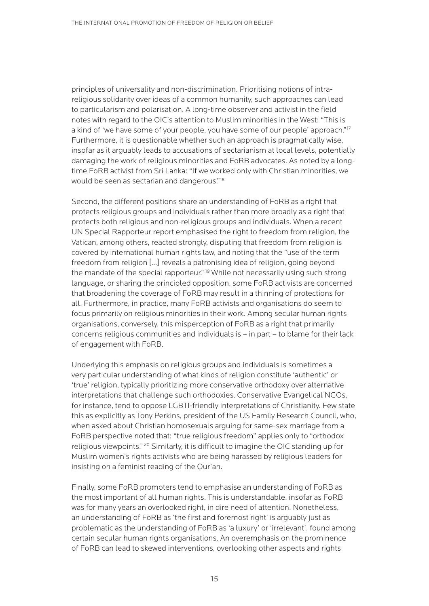principles of universality and non-discrimination. Prioritising notions of intrareligious solidarity over ideas of a common humanity, such approaches can lead to particularism and polarisation. A long-time observer and activist in the field notes with regard to the OIC's attention to Muslim minorities in the West: "This is a kind of 'we have some of your people, you have some of our people' approach."<sup>17</sup> Furthermore, it is questionable whether such an approach is pragmatically wise, insofar as it arguably leads to accusations of sectarianism at local levels, potentially damaging the work of religious minorities and FoRB advocates. As noted by a longtime FoRB activist from Sri Lanka: "If we worked only with Christian minorities, we would be seen as sectarian and dangerous.["18](#page-92-0)

Second, the different positions share an understanding of FoRB as a right that protects religious groups and individuals rather than more broadly as a right that protects both religious and non-religious groups and individuals. When a recent UN Special Rapporteur report emphasised the right to freedom from religion, the Vatican, among others, reacted strongly, disputing that freedom from religion is covered by international human rights law, and noting that the "use of the term freedom from religion […] reveals a patronising idea of religion, going beyond the mandate of the special rapporteur."<sup>19</sup> While not necessarily using such strong language, or sharing the principled opposition, some FoRB activists are concerned that broadening the coverage of FoRB may result in a thinning of protections for all. Furthermore, in practice, many FoRB activists and organisations do seem to focus primarily on religious minorities in their work. Among secular human rights organisations, conversely, this misperception of FoRB as a right that primarily concerns religious communities and individuals is – in part – to blame for their lack of engagement with FoRB.

Underlying this emphasis on religious groups and individuals is sometimes a very particular understanding of what kinds of religion constitute 'authentic' or 'true' religion, typically prioritizing more conservative orthodoxy over alternative interpretations that challenge such orthodoxies. Conservative Evangelical NGOs, for instance, tend to oppose LGBTI-friendly interpretations of Christianity. Few state this as explicitly as Tony Perkins, president of the US Family Research Council, who, when asked about Christian homosexuals arguing for same-sex marriage from a FoRB perspective noted that: "true religious freedom" applies only to "orthodox religious viewpoints." [20](#page-93-0) Similarly, it is difficult to imagine the OIC standing up for Muslim women's rights activists who are being harassed by religious leaders for insisting on a feminist reading of the Qur'an.

Finally, some FoRB promoters tend to emphasise an understanding of FoRB as the most important of all human rights. This is understandable, insofar as FoRB was for many years an overlooked right, in dire need of attention. Nonetheless, an understanding of FoRB as 'the first and foremost right' is arguably just as problematic as the understanding of FoRB as 'a luxury' or 'irrelevant', found among certain secular human rights organisations. An overemphasis on the prominence of FoRB can lead to skewed interventions, overlooking other aspects and rights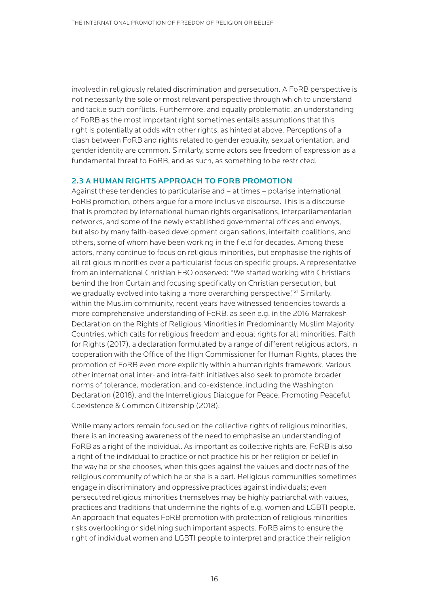<span id="page-15-0"></span>involved in religiously related discrimination and persecution. A FoRB perspective is not necessarily the sole or most relevant perspective through which to understand and tackle such conflicts. Furthermore, and equally problematic, an understanding of FoRB as the most important right sometimes entails assumptions that this right is potentially at odds with other rights, as hinted at above. Perceptions of a clash between FoRB and rights related to gender equality, sexual orientation, and gender identity are common. Similarly, some actors see freedom of expression as a fundamental threat to FoRB, and as such, as something to be restricted.

#### 2.3 A HUMAN RIGHTS APPROACH TO FORB PROMOTION

Against these tendencies to particularise and – at times – polarise international FoRB promotion, others argue for a more inclusive discourse. This is a discourse that is promoted by international human rights organisations, interparliamentarian networks, and some of the newly established governmental offices and envoys, but also by many faith-based development organisations, interfaith coalitions, and others, some of whom have been working in the field for decades. Among these actors, many continue to focus on religious minorities, but emphasise the rights of all religious minorities over a particularist focus on specific groups. A representative from an international Christian FBO observed: "We started working with Christians behind the Iron Curtain and focusing specifically on Christian persecution, but we gradually evolved into taking a more overarching perspective."<sup>21</sup> Similarly, within the Muslim community, recent years have witnessed tendencies towards a more comprehensive understanding of FoRB, as seen e.g. in the 2016 Marrakesh Declaration on the Rights of Religious Minorities in Predominantly Muslim Majority Countries, which calls for religious freedom and equal rights for all minorities. Faith for Rights (2017), a declaration formulated by a range of different religious actors, in cooperation with the Office of the High Commissioner for Human Rights, places the promotion of FoRB even more explicitly within a human rights framework. Various other international inter- and intra-faith initiatives also seek to promote broader norms of tolerance, moderation, and co-existence, including the Washington Declaration (2018), and the Interreligious Dialogue for Peace, Promoting Peaceful Coexistence & Common Citizenship (2018).

While many actors remain focused on the collective rights of religious minorities, there is an increasing awareness of the need to emphasise an understanding of FoRB as a right of the individual. As important as collective rights are, FoRB is also a right of the individual to practice or not practice his or her religion or belief in the way he or she chooses, when this goes against the values and doctrines of the religious community of which he or she is a part. Religious communities sometimes engage in discriminatory and oppressive practices against individuals; even persecuted religious minorities themselves may be highly patriarchal with values, practices and traditions that undermine the rights of e.g. women and LGBTI people. An approach that equates FoRB promotion with protection of religious minorities risks overlooking or sidelining such important aspects. FoRB aims to ensure the right of individual women and LGBTI people to interpret and practice their religion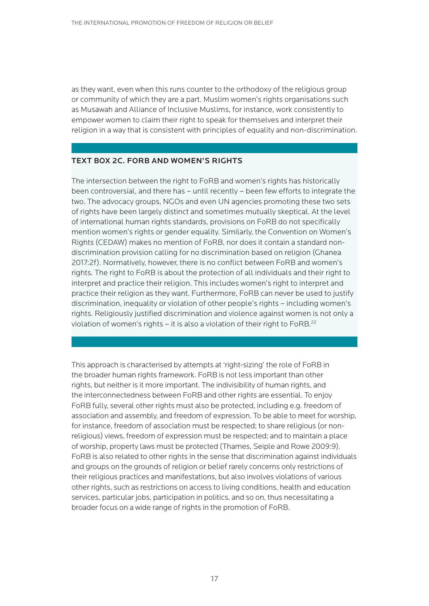as they want, even when this runs counter to the orthodoxy of the religious group or community of which they are a part. Muslim women's rights organisations such as Musawah and Alliance of Inclusive Muslims, for instance, work consistently to empower women to claim their right to speak for themselves and interpret their religion in a way that is consistent with principles of equality and non-discrimination.

### TEXT BOX 2C. FORB AND WOMEN'S RIGHTS

The intersection between the right to FoRB and women's rights has historically been controversial, and there has – until recently – been few efforts to integrate the two. The advocacy groups, NGOs and even UN agencies promoting these two sets of rights have been largely distinct and sometimes mutually skeptical. At the level of international human rights standards, provisions on FoRB do not specifically mention women's rights or gender equality. Similarly, the Convention on Women's Rights (CEDAW) makes no mention of FoRB, nor does it contain a standard nondiscrimination provision calling for no discrimination based on religion (Ghanea 2017:2f). Normatively, however, there is no conflict between FoRB and women's rights. The right to FoRB is about the protection of all individuals and their right to interpret and practice their religion. This includes women's right to interpret and practice their religion as they want. Furthermore, FoRB can never be used to justify discrimination, inequality or violation of other people's rights – including women's rights. Religiously justified discrimination and violence against women is not only a violation of women's rights  $-$  it is also a violation of their right to FoRB.<sup>[22](#page-93-0)</sup>

This approach is characterised by attempts at 'right-sizing' the role of FoRB in the broader human rights framework. FoRB is not less important than other rights, but neither is it more important. The indivisibility of human rights, and the interconnectedness between FoRB and other rights are essential. To enjoy FoRB fully, several other rights must also be protected, including e.g. freedom of association and assembly, and freedom of expression. To be able to meet for worship, for instance, freedom of association must be respected; to share religious (or nonreligious) views, freedom of expression must be respected; and to maintain a place of worship, property laws must be protected (Thames, Seiple and Rowe 2009:9). FoRB is also related to other rights in the sense that discrimination against individuals and groups on the grounds of religion or belief rarely concerns only restrictions of their religious practices and manifestations, but also involves violations of various other rights, such as restrictions on access to living conditions, health and education services, particular jobs, participation in politics, and so on, thus necessitating a broader focus on a wide range of rights in the promotion of FoRB.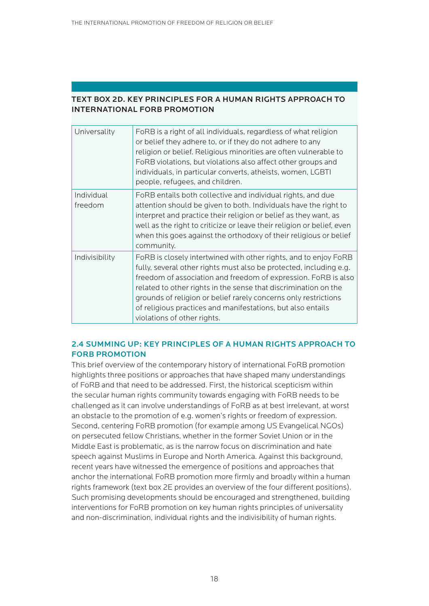## <span id="page-17-0"></span>TEXT BOX 2D. KEY PRINCIPLES FOR A HUMAN RIGHTS APPROACH TO INTERNATIONAL FORB PROMOTION

| Universality          | FoRB is a right of all individuals, regardless of what religion<br>or belief they adhere to, or if they do not adhere to any<br>religion or belief. Religious minorities are often vulnerable to<br>FoRB violations, but violations also affect other groups and<br>individuals, in particular converts, atheists, women, LGBTI<br>people, refugees, and children.                                                                           |
|-----------------------|----------------------------------------------------------------------------------------------------------------------------------------------------------------------------------------------------------------------------------------------------------------------------------------------------------------------------------------------------------------------------------------------------------------------------------------------|
| Individual<br>freedom | FoRB entails both collective and individual rights, and due<br>attention should be given to both. Individuals have the right to<br>interpret and practice their religion or belief as they want, as<br>well as the right to criticize or leave their religion or belief, even<br>when this goes against the orthodoxy of their religious or belief<br>community.                                                                             |
| Indivisibility        | FoRB is closely intertwined with other rights, and to enjoy FoRB<br>fully, several other rights must also be protected, including e.g.<br>freedom of association and freedom of expression. FoRB is also<br>related to other rights in the sense that discrimination on the<br>grounds of religion or belief rarely concerns only restrictions<br>of religious practices and manifestations, but also entails<br>violations of other rights. |

## 2.4 SUMMING UP: KEY PRINCIPLES OF A HUMAN RIGHTS APPROACH TO FORB PROMOTION

This brief overview of the contemporary history of international FoRB promotion highlights three positions or approaches that have shaped many understandings of FoRB and that need to be addressed. First, the historical scepticism within the secular human rights community towards engaging with FoRB needs to be challenged as it can involve understandings of FoRB as at best irrelevant, at worst an obstacle to the promotion of e.g. women's rights or freedom of expression. Second, centering FoRB promotion (for example among US Evangelical NGOs) on persecuted fellow Christians, whether in the former Soviet Union or in the Middle East is problematic, as is the narrow focus on discrimination and hate speech against Muslims in Europe and North America. Against this background, recent years have witnessed the emergence of positions and approaches that anchor the international FoRB promotion more firmly and broadly within a human rights framework (text box 2E provides an overview of the four different positions). Such promising developments should be encouraged and strengthened, building interventions for FoRB promotion on key human rights principles of universality and non-discrimination, individual rights and the indivisibility of human rights.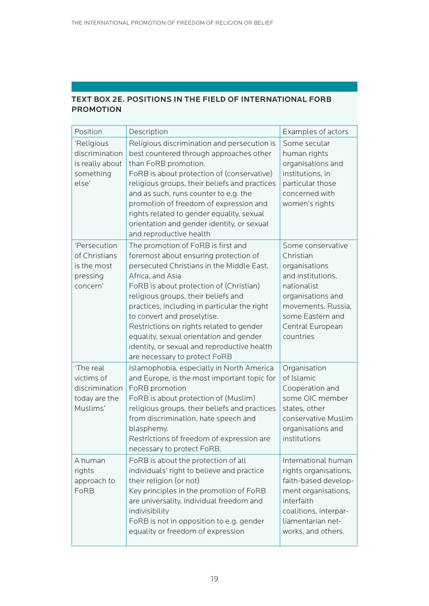## TEXT BOX 2E. POSITIONS IN THE FIELD OF INTERNATIONAL FORB PROMOTION

| Position                                                               | Description                                                                                                                                                                                                                                                                                                                                                                                                                                                                          | Examples of actors                                                                                                                                                                  |
|------------------------------------------------------------------------|--------------------------------------------------------------------------------------------------------------------------------------------------------------------------------------------------------------------------------------------------------------------------------------------------------------------------------------------------------------------------------------------------------------------------------------------------------------------------------------|-------------------------------------------------------------------------------------------------------------------------------------------------------------------------------------|
| 'Religious<br>discrimination<br>is really about<br>something<br>else'  | Religious discrimination and persecution is<br>best countered through approaches other<br>than FoRB promotion.<br>FoRB is about protection of (conservative)<br>religious groups, their beliefs and practices<br>and as such, runs counter to e.g. the<br>promotion of freedom of expression and<br>rights related to gender equality, sexual<br>orientation and gender identity, or sexual<br>and reproductive health                                                               | Some secular<br>human rights<br>organisations and<br>institutions, in<br>particular those<br>concerned with<br>women's rights                                                       |
| 'Persecution<br>of Christians<br>is the most<br>pressing<br>concern'   | The promotion of FoRB is first and<br>foremost about ensuring protection of<br>persecuted Christians in the Middle East,<br>Africa, and Asia<br>FoRB is about protection of (Christian)<br>religious groups, their beliefs and<br>practices, including in particular the right<br>to convert and proselytise.<br>Restrictions on rights related to gender<br>equality, sexual orientation and gender<br>identity, or sexual and reproductive health<br>are necessary to protect FoRB | Some conservative<br>Christian<br>organisations<br>and institutions,<br>nationalist<br>organisations and<br>movements, Russia,<br>some Eastern and<br>Central European<br>countries |
| 'The real<br>victims of<br>discrimination<br>today are the<br>Muslims' | Islamophobia, especially in North America<br>and Europe, is the most important topic for<br>FoRB promotion<br>FoRB is about protection of (Muslim)<br>religious groups, their beliefs and practices<br>from discrimination, hate speech and<br>blasphemy.<br>Restrictions of freedom of expression are<br>necessary to protect FoRB.                                                                                                                                                 | Organisation<br>of Islamic<br>Cooperation and<br>some OIC member<br>states, other<br>conservative Muslim<br>organisations and<br>institutions                                       |
| A human<br>rights<br>approach to<br>FoRB                               | FoRB is about the protection of all<br>individuals' right to believe and practice<br>their religion (or not)<br>Key principles in the promotion of FoRB<br>are universality, individual freedom and<br>indivisibility<br>FoRB is not in opposition to e.g. gender<br>equality or freedom of expression                                                                                                                                                                               | International human<br>rights organisations,<br>faith-based develop-<br>ment organisations,<br>interfaith<br>coalitions, interpar-<br>liamentarian net-<br>works, and others.       |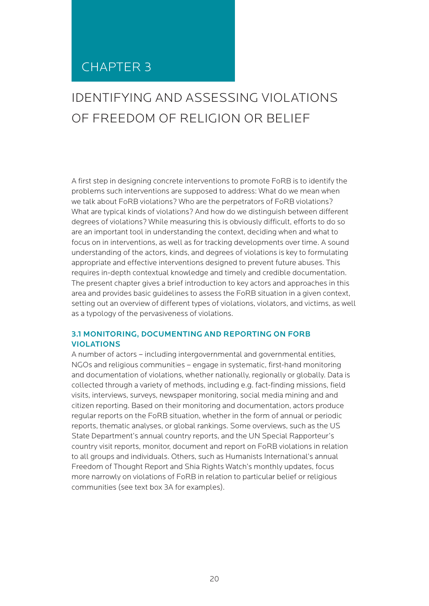## <span id="page-19-0"></span>CHAPTER 3

# IDENTIFYING AND ASSESSING VIOLATIONS OF FREEDOM OF RELIGION OR BELIEF

A first step in designing concrete interventions to promote FoRB is to identify the problems such interventions are supposed to address: What do we mean when we talk about FoRB violations? Who are the perpetrators of FoRB violations? What are typical kinds of violations? And how do we distinguish between different degrees of violations? While measuring this is obviously difficult, efforts to do so are an important tool in understanding the context, deciding when and what to focus on in interventions, as well as for tracking developments over time. A sound understanding of the actors, kinds, and degrees of violations is key to formulating appropriate and effective interventions designed to prevent future abuses. This requires in-depth contextual knowledge and timely and credible documentation. The present chapter gives a brief introduction to key actors and approaches in this area and provides basic guidelines to assess the FoRB situation in a given context, setting out an overview of different types of violations, violators, and victims, as well as a typology of the pervasiveness of violations.

### 3.1 MONITORING, DOCUMENTING AND REPORTING ON FORB VIOLATIONS

A number of actors – including intergovernmental and governmental entities, NGOs and religious communities – engage in systematic, first-hand monitoring and documentation of violations, whether nationally, regionally or globally. Data is collected through a variety of methods, including e.g. fact-finding missions, field visits, interviews, surveys, newspaper monitoring, social media mining and and citizen reporting. Based on their monitoring and documentation, actors produce regular reports on the FoRB situation, whether in the form of annual or periodic reports, thematic analyses, or global rankings. Some overviews, such as the US State Department's annual country reports, and the UN Special Rapporteur's country visit reports, monitor, document and report on FoRB violations in relation to all groups and individuals. Others, such as Humanists International's annual Freedom of Thought Report and Shia Rights Watch's monthly updates, focus more narrowly on violations of FoRB in relation to particular belief or religious communities (see text box 3A for examples).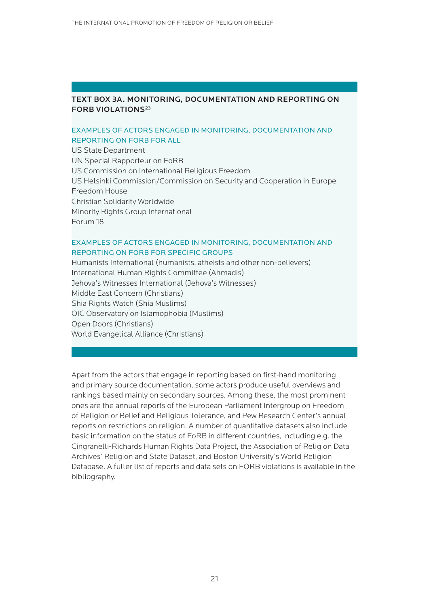### TEXT BOX 3A. MONITORING, DOCUMENTATION AND REPORTING ON FORB VIOLATION[S23](#page-93-0)

### EXAMPLES OF ACTORS ENGAGED IN MONITORING, DOCUMENTATION AND REPORTING ON FORB FOR ALL

US State Department UN Special Rapporteur on FoRB US Commission on International Religious Freedom US Helsinki Commission/Commission on Security and Cooperation in Europe Freedom House Christian Solidarity Worldwide Minority Rights Group International Forum 18

#### EXAMPLES OF ACTORS ENGAGED IN MONITORING, DOCUMENTATION AND REPORTING ON FORB FOR SPECIFIC GROUPS

Humanists International (humanists, atheists and other non-believers) International Human Rights Committee (Ahmadis) Jehova's Witnesses International (Jehova's Witnesses) Middle East Concern (Christians) Shia Rights Watch (Shia Muslims) OIC Observatory on Islamophobia (Muslims) Open Doors (Christians) World Evangelical Alliance (Christians)

Apart from the actors that engage in reporting based on first-hand monitoring and primary source documentation, some actors produce useful overviews and rankings based mainly on secondary sources. Among these, the most prominent ones are the annual reports of the European Parliament Intergroup on Freedom of Religion or Belief and Religious Tolerance, and Pew Research Center's annual reports on restrictions on religion. A number of quantitative datasets also include basic information on the status of FoRB in different countries, including e.g. the Cingranelli-Richards Human Rights Data Project, the Association of Religion Data Archives' Religion and State Dataset, and Boston University's World Religion Database. A fuller list of reports and data sets on FORB violations is available in the bibliography.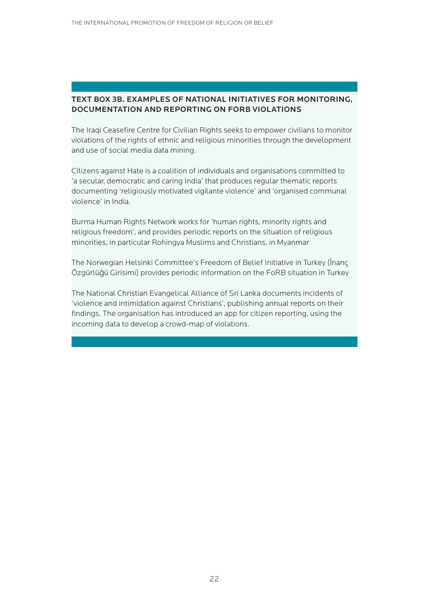## TEXT BOX 3B. EXAMPLES OF NATIONAL INITIATIVES FOR MONITORING, DOCUMENTATION AND REPORTING ON FORB VIOLATIONS

The Iraqi Ceasefire Centre for Civilian Rights seeks to empower civilians to monitor violations of the rights of ethnic and religious minorities through the development and use of social media data mining.

Citizens against Hate is a coalition of individuals and organisations committed to 'a secular, democratic and caring India' that produces regular thematic reports documenting 'religiously motivated vigilante violence' and 'organised communal violence' in India.

Burma Human Rights Network works for 'human rights, minority rights and religious freedom', and provides periodic reports on the situation of religious minorities, in particular Rohingya Muslims and Christians, in Myanmar

The Norwegian Helsinki Committee's Freedom of Belief Initiative in Turkey (İnanç Özgürlüğü Girisimi) provides periodic information on the FoRB situation in Turkey

The National Christian Evangelical Alliance of Sri Lanka documents incidents of 'violence and intimidation against Christians', publishing annual reports on their findings. The organisation has introduced an app for citizen reporting, using the incoming data to develop a crowd-map of violations.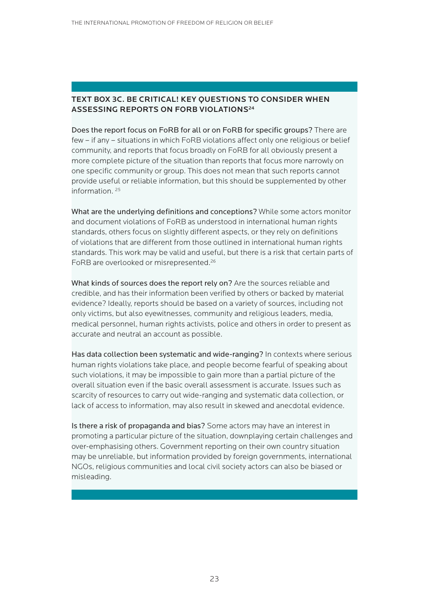## TEXT BOX 3C. BE CRITICAL! KEY QUESTIONS TO CONSIDER WHEN ASSESSING REPORTS ON FORB VIOLATIONS[24](#page-93-0)

Does the report focus on FoRB for all or on FoRB for specific groups? There are few – if any – situations in which FoRB violations affect only one religious or belief community, and reports that focus broadly on FoRB for all obviously present a more complete picture of the situation than reports that focus more narrowly on one specific community or group. This does not mean that such reports cannot provide useful or reliable information, but this should be supplemented by other information. [25](#page-93-0)

What are the underlying definitions and conceptions? While some actors monitor and document violations of FoRB as understood in international human rights standards, others focus on slightly different aspects, or they rely on definitions of violations that are different from those outlined in international human rights standards. This work may be valid and useful, but there is a risk that certain parts of FoRB are overlooked or misrepresented[.26](#page-93-0)

What kinds of sources does the report rely on? Are the sources reliable and credible, and has their information been verified by others or backed by material evidence? Ideally, reports should be based on a variety of sources, including not only victims, but also eyewitnesses, community and religious leaders, media, medical personnel, human rights activists, police and others in order to present as accurate and neutral an account as possible.

Has data collection been systematic and wide-ranging? In contexts where serious human rights violations take place, and people become fearful of speaking about such violations, it may be impossible to gain more than a partial picture of the overall situation even if the basic overall assessment is accurate. Issues such as scarcity of resources to carry out wide-ranging and systematic data collection, or lack of access to information, may also result in skewed and anecdotal evidence.

Is there a risk of propaganda and bias? Some actors may have an interest in promoting a particular picture of the situation, downplaying certain challenges and over-emphasising others. Government reporting on their own country situation may be unreliable, but information provided by foreign governments, international NGOs, religious communities and local civil society actors can also be biased or misleading.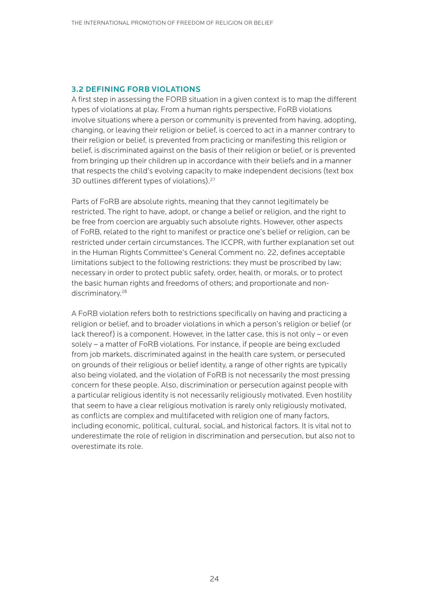#### <span id="page-23-0"></span>3.2 DEFINING FORB VIOLATIONS

A first step in assessing the FORB situation in a given context is to map the different types of violations at play. From a human rights perspective, FoRB violations involve situations where a person or community is prevented from having, adopting, changing, or leaving their religion or belief, is coerced to act in a manner contrary to their religion or belief, is prevented from practicing or manifesting this religion or belief, is discriminated against on the basis of their religion or belief, or is prevented from bringing up their children up in accordance with their beliefs and in a manner that respects the child's evolving capacity to make independent decisions (text box 3D outlines different types of violations).<sup>[27](#page-94-0)</sup>

Parts of FoRB are absolute rights, meaning that they cannot legitimately be restricted. The right to have, adopt, or change a belief or religion, and the right to be free from coercion are arguably such absolute rights. However, other aspects of FoRB, related to the right to manifest or practice one's belief or religion, can be restricted under certain circumstances. The ICCPR, with further explanation set out in the Human Rights Committee's General Comment no. 22, defines acceptable limitations subject to the following restrictions: they must be proscribed by law; necessary in order to protect public safety, order, health, or morals, or to protect the basic human rights and freedoms of others; and proportionate and non-discriminatory.<sup>[28](#page-94-0)</sup>

A FoRB violation refers both to restrictions specifically on having and practicing a religion or belief, and to broader violations in which a person's religion or belief (or lack thereof) is a component. However, in the latter case, this is not only – or even solely – a matter of FoRB violations. For instance, if people are being excluded from job markets, discriminated against in the health care system, or persecuted on grounds of their religious or belief identity, a range of other rights are typically also being violated, and the violation of FoRB is not necessarily the most pressing concern for these people. Also, discrimination or persecution against people with a particular religious identity is not necessarily religiously motivated. Even hostility that seem to have a clear religious motivation is rarely only religiously motivated, as conflicts are complex and multifaceted with religion one of many factors, including economic, political, cultural, social, and historical factors. It is vital not to underestimate the role of religion in discrimination and persecution, but also not to overestimate its role.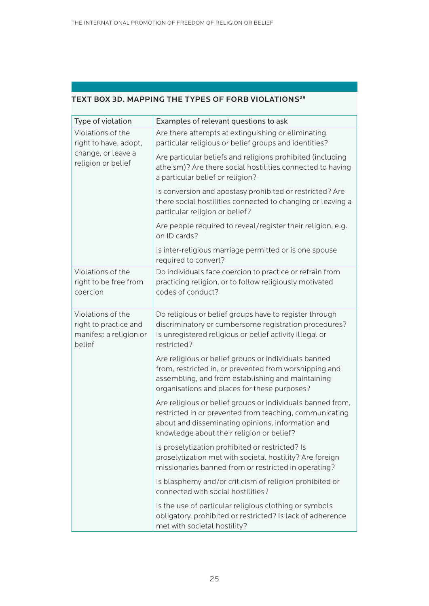| Type of violation                                                              | Examples of relevant questions to ask                                                                                                                                                                                   |  |
|--------------------------------------------------------------------------------|-------------------------------------------------------------------------------------------------------------------------------------------------------------------------------------------------------------------------|--|
| Violations of the<br>right to have, adopt,                                     | Are there attempts at extinguishing or eliminating<br>particular religious or belief groups and identities?                                                                                                             |  |
| change, or leave a<br>religion or belief                                       | Are particular beliefs and religions prohibited (including<br>atheism)? Are there social hostilities connected to having<br>a particular belief or religion?                                                            |  |
|                                                                                | Is conversion and apostasy prohibited or restricted? Are<br>there social hostilities connected to changing or leaving a<br>particular religion or belief?                                                               |  |
|                                                                                | Are people required to reveal/register their religion, e.g.<br>on ID cards?                                                                                                                                             |  |
|                                                                                | Is inter-religious marriage permitted or is one spouse<br>required to convert?                                                                                                                                          |  |
| Violations of the<br>right to be free from<br>coercion                         | Do individuals face coercion to practice or refrain from<br>practicing religion, or to follow religiously motivated<br>codes of conduct?                                                                                |  |
| Violations of the<br>right to practice and<br>manifest a religion or<br>belief | Do religious or belief groups have to register through<br>discriminatory or cumbersome registration procedures?<br>Is unregistered religious or belief activity illegal or<br>restricted?                               |  |
|                                                                                | Are religious or belief groups or individuals banned<br>from, restricted in, or prevented from worshipping and<br>assembling, and from establishing and maintaining<br>organisations and places for these purposes?     |  |
|                                                                                | Are religious or belief groups or individuals banned from,<br>restricted in or prevented from teaching, communicating<br>about and disseminating opinions, information and<br>knowledge about their religion or belief? |  |
|                                                                                | Is proselytization prohibited or restricted? Is<br>proselytization met with societal hostility? Are foreign<br>missionaries banned from or restricted in operating?                                                     |  |
|                                                                                | Is blasphemy and/or criticism of religion prohibited or<br>connected with social hostilities?                                                                                                                           |  |
|                                                                                | Is the use of particular religious clothing or symbols<br>obligatory, prohibited or restricted? Is lack of adherence<br>met with societal hostility?                                                                    |  |

#### TEXT BOX 3D. MAPPING THE TYPES OF FORB VIOLATIONS<sup>[29](#page-94-0)</sup>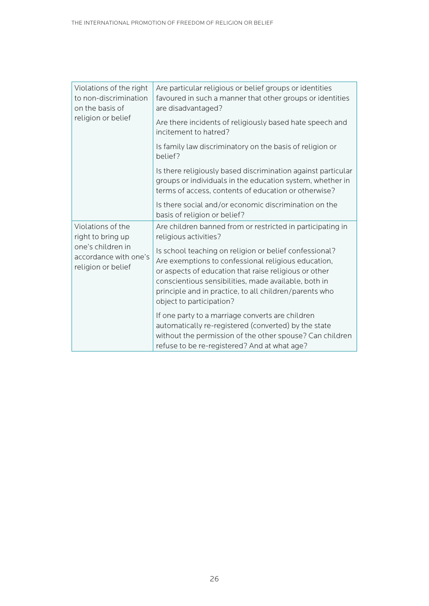| Violations of the right<br>to non-discrimination<br>on the basis of<br>religion or belief | Are particular religious or belief groups or identities<br>favoured in such a manner that other groups or identities<br>are disadvantaged?                                                                                                                                                                           |  |
|-------------------------------------------------------------------------------------------|----------------------------------------------------------------------------------------------------------------------------------------------------------------------------------------------------------------------------------------------------------------------------------------------------------------------|--|
|                                                                                           | Are there incidents of religiously based hate speech and<br>incitement to hatred?                                                                                                                                                                                                                                    |  |
|                                                                                           | Is family law discriminatory on the basis of religion or<br>belief?                                                                                                                                                                                                                                                  |  |
|                                                                                           | Is there religiously based discrimination against particular<br>groups or individuals in the education system, whether in<br>terms of access, contents of education or otherwise?                                                                                                                                    |  |
|                                                                                           | Is there social and/or economic discrimination on the<br>basis of religion or belief?                                                                                                                                                                                                                                |  |
| Violations of the<br>right to bring up                                                    | Are children banned from or restricted in participating in<br>religious activities?                                                                                                                                                                                                                                  |  |
| one's children in<br>accordance with one's<br>religion or belief                          | Is school teaching on religion or belief confessional?<br>Are exemptions to confessional religious education,<br>or aspects of education that raise religious or other<br>conscientious sensibilities, made available, both in<br>principle and in practice, to all children/parents who<br>object to participation? |  |
|                                                                                           | If one party to a marriage converts are children<br>automatically re-registered (converted) by the state<br>without the permission of the other spouse? Can children<br>refuse to be re-registered? And at what age?                                                                                                 |  |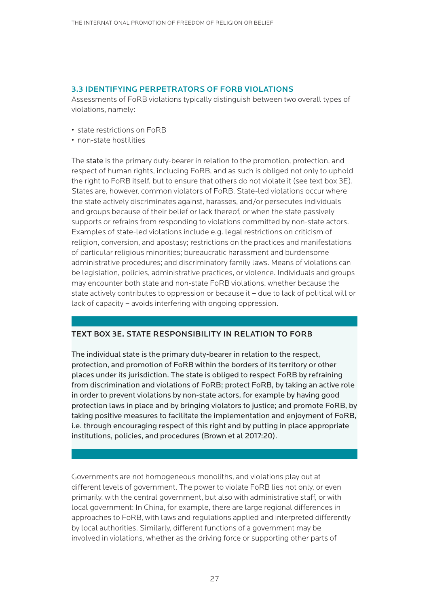#### <span id="page-26-0"></span>3.3 IDENTIFYING PERPETRATORS OF FORB VIOLATIONS

Assessments of FoRB violations typically distinguish between two overall types of violations, namely:

- state restrictions on FoRB
- non-state hostilities

The state is the primary duty-bearer in relation to the promotion, protection, and respect of human rights, including FoRB, and as such is obliged not only to uphold the right to FoRB itself, but to ensure that others do not violate it (see text box 3E). States are, however, common violators of FoRB. State-led violations occur where the state actively discriminates against, harasses, and/or persecutes individuals and groups because of their belief or lack thereof, or when the state passively supports or refrains from responding to violations committed by non-state actors. Examples of state-led violations include e.g. legal restrictions on criticism of religion, conversion, and apostasy; restrictions on the practices and manifestations of particular religious minorities; bureaucratic harassment and burdensome administrative procedures; and discriminatory family laws. Means of violations can be legislation, policies, administrative practices, or violence. Individuals and groups may encounter both state and non-state FoRB violations, whether because the state actively contributes to oppression or because it – due to lack of political will or lack of capacity – avoids interfering with ongoing oppression.

### TEXT BOX 3E. STATE RESPONSIBILITY IN RELATION TO FORB

The individual state is the primary duty-bearer in relation to the respect, protection, and promotion of FoRB within the borders of its territory or other places under its jurisdiction. The state is obliged to respect FoRB by refraining from discrimination and violations of FoRB; protect FoRB, by taking an active role in order to prevent violations by non-state actors, for example by having good protection laws in place and by bringing violators to justice; and promote FoRB, by taking positive measures to facilitate the implementation and enjoyment of FoRB, i.e. through encouraging respect of this right and by putting in place appropriate institutions, policies, and procedures (Brown et al 2017:20).

Governments are not homogeneous monoliths, and violations play out at different levels of government. The power to violate FoRB lies not only, or even primarily, with the central government, but also with administrative staff, or with local government: In China, for example, there are large regional differences in approaches to FoRB, with laws and regulations applied and interpreted differently by local authorities. Similarly, different functions of a government may be involved in violations, whether as the driving force or supporting other parts of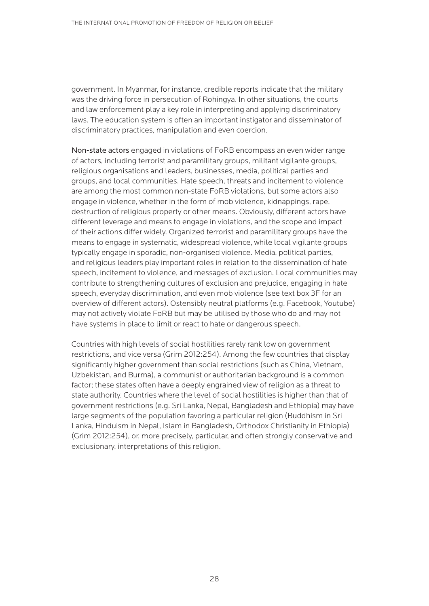government. In Myanmar, for instance, credible reports indicate that the military was the driving force in persecution of Rohingya. In other situations, the courts and law enforcement play a key role in interpreting and applying discriminatory laws. The education system is often an important instigator and disseminator of discriminatory practices, manipulation and even coercion.

Non-state actors engaged in violations of FoRB encompass an even wider range of actors, including terrorist and paramilitary groups, militant vigilante groups, religious organisations and leaders, businesses, media, political parties and groups, and local communities. Hate speech, threats and incitement to violence are among the most common non-state FoRB violations, but some actors also engage in violence, whether in the form of mob violence, kidnappings, rape, destruction of religious property or other means. Obviously, different actors have different leverage and means to engage in violations, and the scope and impact of their actions differ widely. Organized terrorist and paramilitary groups have the means to engage in systematic, widespread violence, while local vigilante groups typically engage in sporadic, non-organised violence. Media, political parties, and religious leaders play important roles in relation to the dissemination of hate speech, incitement to violence, and messages of exclusion. Local communities may contribute to strengthening cultures of exclusion and prejudice, engaging in hate speech, everyday discrimination, and even mob violence (see text box 3F for an overview of different actors). Ostensibly neutral platforms (e.g. Facebook, Youtube) may not actively violate FoRB but may be utilised by those who do and may not have systems in place to limit or react to hate or dangerous speech.

Countries with high levels of social hostilities rarely rank low on government restrictions, and vice versa (Grim 2012:254). Among the few countries that display significantly higher government than social restrictions (such as China, Vietnam, Uzbekistan, and Burma), a communist or authoritarian background is a common factor; these states often have a deeply engrained view of religion as a threat to state authority. Countries where the level of social hostilities is higher than that of government restrictions (e.g. Sri Lanka, Nepal, Bangladesh and Ethiopia) may have large segments of the population favoring a particular religion (Buddhism in Sri Lanka, Hinduism in Nepal, Islam in Bangladesh, Orthodox Christianity in Ethiopia) (Grim 2012:254), or, more precisely, particular, and often strongly conservative and exclusionary, interpretations of this religion.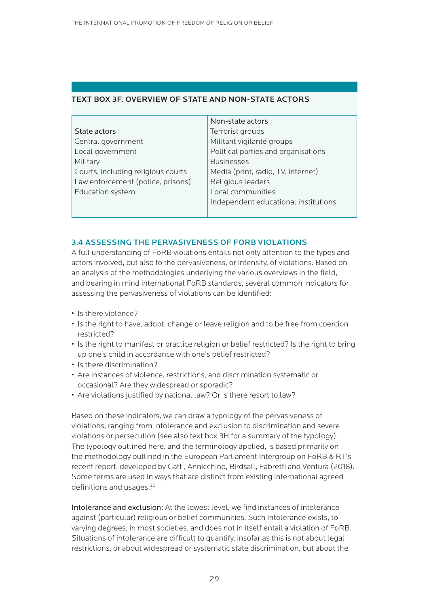#### <span id="page-28-0"></span>TEXT BOX 3F. OVERVIEW OF STATE AND NON-STATE ACTORS

|                                    | Non-state actors                     |
|------------------------------------|--------------------------------------|
| State actors                       | Terrorist groups                     |
| Central government                 | Militant vigilante groups            |
| Local government                   | Political parties and organisations  |
| Military                           | <b>Businesses</b>                    |
| Courts, including religious courts | Media (print, radio, TV, internet)   |
| Law enforcement (police, prisons)  | Religious leaders                    |
| Education system                   | Local communities                    |
|                                    | Independent educational institutions |
|                                    |                                      |

#### 3.4 ASSESSING THE PERVASIVENESS OF FORB VIOLATIONS

A full understanding of FoRB violations entails not only attention to the types and actors involved, but also to the pervasiveness, or intensity, of violations. Based on an analysis of the methodologies underlying the various overviews in the field, and bearing in mind international FoRB standards, several common indicators for assessing the pervasiveness of violations can be identified:

- Is there violence?
- Is the right to have, adopt, change or leave religion and to be free from coercion restricted?
- Is the right to manifest or practice religion or belief restricted? Is the right to bring up one's child in accordance with one's belief restricted?
- Is there discrimination?
- Are instances of violence, restrictions, and discrimination systematic or occasional? Are they widespread or sporadic?
- Are violations justified by national law? Or is there resort to law?

Based on these indicators, we can draw a typology of the pervasiveness of violations, ranging from intolerance and exclusion to discrimination and severe violations or persecution (see also text box 3H for a summary of the typology). The typology outlined here, and the terminology applied, is based primarily on the methodology outlined in the European Parliament Intergroup on FoRB & RT's recent report, developed by Gatti, Annicchino, Birdsall, Fabretti and Ventura (2018). Some terms are used in ways that are distinct from existing international agreed definitions and usages[.30](#page-94-0)

Intolerance and exclusion: At the lowest level, we find instances of intolerance against (particular) religious or belief communities. Such intolerance exists, to varying degrees, in most societies, and does not in itself entail a violation of FoRB. Situations of intolerance are difficult to quantify, insofar as this is not about legal restrictions, or about widespread or systematic state discrimination, but about the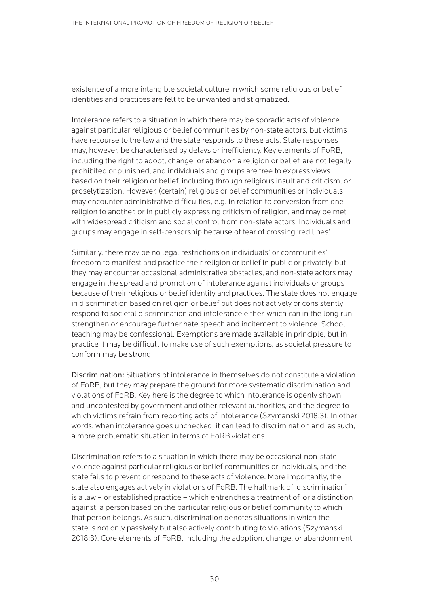existence of a more intangible societal culture in which some religious or belief identities and practices are felt to be unwanted and stigmatized.

Intolerance refers to a situation in which there may be sporadic acts of violence against particular religious or belief communities by non-state actors, but victims have recourse to the law and the state responds to these acts. State responses may, however, be characterised by delays or inefficiency. Key elements of FoRB, including the right to adopt, change, or abandon a religion or belief, are not legally prohibited or punished, and individuals and groups are free to express views based on their religion or belief, including through religious insult and criticism, or proselytization. However, (certain) religious or belief communities or individuals may encounter administrative difficulties, e.g. in relation to conversion from one religion to another, or in publicly expressing criticism of religion, and may be met with widespread criticism and social control from non-state actors. Individuals and groups may engage in self-censorship because of fear of crossing 'red lines'.

Similarly, there may be no legal restrictions on individuals' or communities' freedom to manifest and practice their religion or belief in public or privately, but they may encounter occasional administrative obstacles, and non-state actors may engage in the spread and promotion of intolerance against individuals or groups because of their religious or belief identity and practices. The state does not engage in discrimination based on religion or belief but does not actively or consistently respond to societal discrimination and intolerance either, which can in the long run strengthen or encourage further hate speech and incitement to violence. School teaching may be confessional. Exemptions are made available in principle, but in practice it may be difficult to make use of such exemptions, as societal pressure to conform may be strong.

Discrimination: Situations of intolerance in themselves do not constitute a violation of FoRB, but they may prepare the ground for more systematic discrimination and violations of FoRB. Key here is the degree to which intolerance is openly shown and uncontested by government and other relevant authorities, and the degree to which victims refrain from reporting acts of intolerance (Szymanski 2018:3). In other words, when intolerance goes unchecked, it can lead to discrimination and, as such, a more problematic situation in terms of FoRB violations.

Discrimination refers to a situation in which there may be occasional non-state violence against particular religious or belief communities or individuals, and the state fails to prevent or respond to these acts of violence. More importantly, the state also engages actively in violations of FoRB. The hallmark of 'discrimination' is a law – or established practice – which entrenches a treatment of, or a distinction against, a person based on the particular religious or belief community to which that person belongs. As such, discrimination denotes situations in which the state is not only passively but also actively contributing to violations (Szymanski 2018:3). Core elements of FoRB, including the adoption, change, or abandonment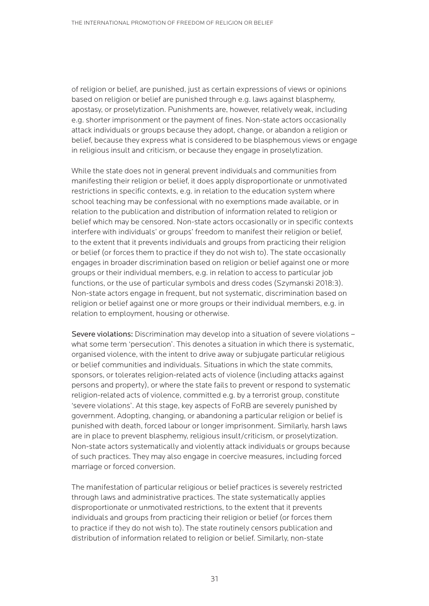of religion or belief, are punished, just as certain expressions of views or opinions based on religion or belief are punished through e.g. laws against blasphemy, apostasy, or proselytization. Punishments are, however, relatively weak, including e.g. shorter imprisonment or the payment of fines. Non-state actors occasionally attack individuals or groups because they adopt, change, or abandon a religion or belief, because they express what is considered to be blasphemous views or engage in religious insult and criticism, or because they engage in proselytization.

While the state does not in general prevent individuals and communities from manifesting their religion or belief, it does apply disproportionate or unmotivated restrictions in specific contexts, e.g. in relation to the education system where school teaching may be confessional with no exemptions made available, or in relation to the publication and distribution of information related to religion or belief which may be censored. Non-state actors occasionally or in specific contexts interfere with individuals' or groups' freedom to manifest their religion or belief, to the extent that it prevents individuals and groups from practicing their religion or belief (or forces them to practice if they do not wish to). The state occasionally engages in broader discrimination based on religion or belief against one or more groups or their individual members, e.g. in relation to access to particular job functions, or the use of particular symbols and dress codes (Szymanski 2018:3). Non-state actors engage in frequent, but not systematic, discrimination based on religion or belief against one or more groups or their individual members, e.g. in relation to employment, housing or otherwise.

Severe violations: Discrimination may develop into a situation of severe violations – what some term 'persecution'. This denotes a situation in which there is systematic, organised violence, with the intent to drive away or subjugate particular religious or belief communities and individuals. Situations in which the state commits, sponsors, or tolerates religion-related acts of violence (including attacks against persons and property), or where the state fails to prevent or respond to systematic religion-related acts of violence, committed e.g. by a terrorist group, constitute 'severe violations'. At this stage, key aspects of FoRB are severely punished by government. Adopting, changing, or abandoning a particular religion or belief is punished with death, forced labour or longer imprisonment. Similarly, harsh laws are in place to prevent blasphemy, religious insult/criticism, or proselytization. Non-state actors systematically and violently attack individuals or groups because of such practices. They may also engage in coercive measures, including forced marriage or forced conversion.

The manifestation of particular religious or belief practices is severely restricted through laws and administrative practices. The state systematically applies disproportionate or unmotivated restrictions, to the extent that it prevents individuals and groups from practicing their religion or belief (or forces them to practice if they do not wish to). The state routinely censors publication and distribution of information related to religion or belief. Similarly, non-state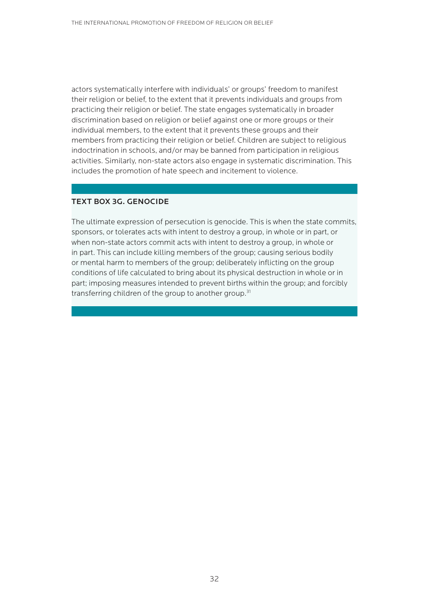actors systematically interfere with individuals' or groups' freedom to manifest their religion or belief, to the extent that it prevents individuals and groups from practicing their religion or belief. The state engages systematically in broader discrimination based on religion or belief against one or more groups or their individual members, to the extent that it prevents these groups and their members from practicing their religion or belief. Children are subject to religious indoctrination in schools, and/or may be banned from participation in religious activities. Similarly, non-state actors also engage in systematic discrimination. This includes the promotion of hate speech and incitement to violence.

### TEXT BOX 3G. GENOCIDE

The ultimate expression of persecution is genocide. This is when the state commits, sponsors, or tolerates acts with intent to destroy a group, in whole or in part, or when non-state actors commit acts with intent to destroy a group, in whole or in part. This can include killing members of the group; causing serious bodily or mental harm to members of the group; deliberately inflicting on the group conditions of life calculated to bring about its physical destruction in whole or in part; imposing measures intended to prevent births within the group; and forcibly transferring children of the group to another group.<sup>31</sup>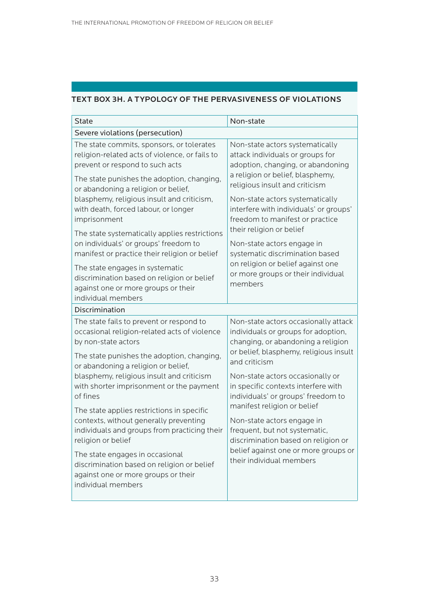### TEXT BOX 3H. A TYPOLOGY OF THE PERVASIVENESS OF VIOLATIONS

| <b>State</b>                                                                                                                                                                                                                                                      | Non-state                                                                                                                                                                                                         |  |  |
|-------------------------------------------------------------------------------------------------------------------------------------------------------------------------------------------------------------------------------------------------------------------|-------------------------------------------------------------------------------------------------------------------------------------------------------------------------------------------------------------------|--|--|
| Severe violations (persecution)                                                                                                                                                                                                                                   |                                                                                                                                                                                                                   |  |  |
| The state commits, sponsors, or tolerates<br>religion-related acts of violence, or fails to<br>prevent or respond to such acts<br>The state punishes the adoption, changing,<br>or abandoning a religion or belief,<br>blasphemy, religious insult and criticism, | Non-state actors systematically<br>attack individuals or groups for<br>adoption, changing, or abandoning<br>a religion or belief, blasphemy,<br>religious insult and criticism<br>Non-state actors systematically |  |  |
| with death, forced labour, or longer<br>imprisonment                                                                                                                                                                                                              | interfere with individuals' or groups'<br>freedom to manifest or practice<br>their religion or belief                                                                                                             |  |  |
| The state systematically applies restrictions<br>on individuals' or groups' freedom to<br>manifest or practice their religion or belief                                                                                                                           | Non-state actors engage in<br>systematic discrimination based                                                                                                                                                     |  |  |
| The state engages in systematic<br>discrimination based on religion or belief<br>against one or more groups or their<br>individual members                                                                                                                        | on religion or belief against one<br>or more groups or their individual<br>members                                                                                                                                |  |  |
| Discrimination                                                                                                                                                                                                                                                    |                                                                                                                                                                                                                   |  |  |
| The state fails to prevent or respond to<br>occasional religion-related acts of violence<br>by non-state actors<br>The state punishes the adoption, changing,                                                                                                     | Non-state actors occasionally attack<br>individuals or groups for adoption,<br>changing, or abandoning a religion<br>or belief, blasphemy, religious insult<br>and criticism                                      |  |  |
| or abandoning a religion or belief,<br>blasphemy, religious insult and criticism<br>with shorter imprisonment or the payment<br>of fines                                                                                                                          | Non-state actors occasionally or<br>in specific contexts interfere with<br>individuals' or groups' freedom to<br>manifest religion or belief                                                                      |  |  |
| The state applies restrictions in specific<br>contexts, without generally preventing<br>individuals and groups from practicing their<br>religion or belief                                                                                                        | Non-state actors engage in<br>frequent, but not systematic,<br>discrimination based on religion or                                                                                                                |  |  |
| The state engages in occasional<br>discrimination based on religion or belief<br>against one or more groups or their<br>individual members                                                                                                                        | belief against one or more groups or<br>their individual members                                                                                                                                                  |  |  |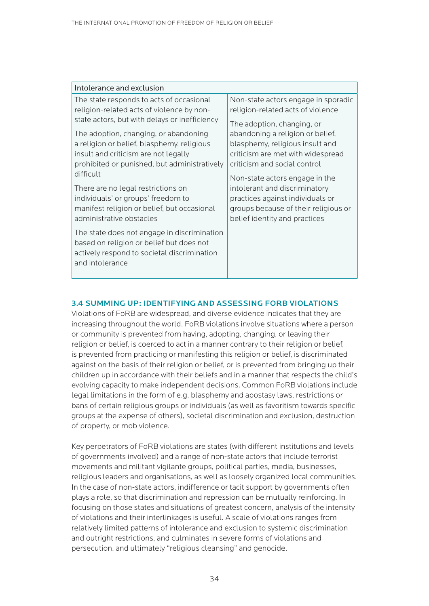<span id="page-33-0"></span>

| Intolerance and exclusion                                                                                                                                 |                                      |  |  |
|-----------------------------------------------------------------------------------------------------------------------------------------------------------|--------------------------------------|--|--|
| The state responds to acts of occasional                                                                                                                  | Non-state actors engage in sporadic  |  |  |
| religion-related acts of violence by non-                                                                                                                 | religion-related acts of violence    |  |  |
| state actors, but with delays or inefficiency                                                                                                             | The adoption, changing, or           |  |  |
| The adoption, changing, or abandoning                                                                                                                     | abandoning a religion or belief,     |  |  |
| a religion or belief, blasphemy, religious                                                                                                                | blasphemy, religious insult and      |  |  |
| insult and criticism are not legally                                                                                                                      | criticism are met with widespread    |  |  |
| prohibited or punished, but administratively                                                                                                              | criticism and social control         |  |  |
| difficult                                                                                                                                                 | Non-state actors engage in the       |  |  |
| There are no legal restrictions on                                                                                                                        | intolerant and discriminatory        |  |  |
| individuals' or groups' freedom to                                                                                                                        | practices against individuals or     |  |  |
| manifest religion or belief, but occasional                                                                                                               | groups because of their religious or |  |  |
| administrative obstacles                                                                                                                                  | belief identity and practices        |  |  |
| The state does not engage in discrimination<br>based on religion or belief but does not<br>actively respond to societal discrimination<br>and intolerance |                                      |  |  |

### 3.4 SUMMING UP: IDENTIFYING AND ASSESSING FORB VIOLATIONS

Violations of FoRB are widespread, and diverse evidence indicates that they are increasing throughout the world. FoRB violations involve situations where a person or community is prevented from having, adopting, changing, or leaving their religion or belief, is coerced to act in a manner contrary to their religion or belief, is prevented from practicing or manifesting this religion or belief, is discriminated against on the basis of their religion or belief, or is prevented from bringing up their children up in accordance with their beliefs and in a manner that respects the child's evolving capacity to make independent decisions. Common FoRB violations include legal limitations in the form of e.g. blasphemy and apostasy laws, restrictions or bans of certain religious groups or individuals (as well as favoritism towards specific groups at the expense of others), societal discrimination and exclusion, destruction of property, or mob violence.

Key perpetrators of FoRB violations are states (with different institutions and levels of governments involved) and a range of non-state actors that include terrorist movements and militant vigilante groups, political parties, media, businesses, religious leaders and organisations, as well as loosely organized local communities. In the case of non-state actors, indifference or tacit support by governments often plays a role, so that discrimination and repression can be mutually reinforcing. In focusing on those states and situations of greatest concern, analysis of the intensity of violations and their interlinkages is useful. A scale of violations ranges from relatively limited patterns of intolerance and exclusion to systemic discrimination and outright restrictions, and culminates in severe forms of violations and persecution, and ultimately "religious cleansing" and genocide.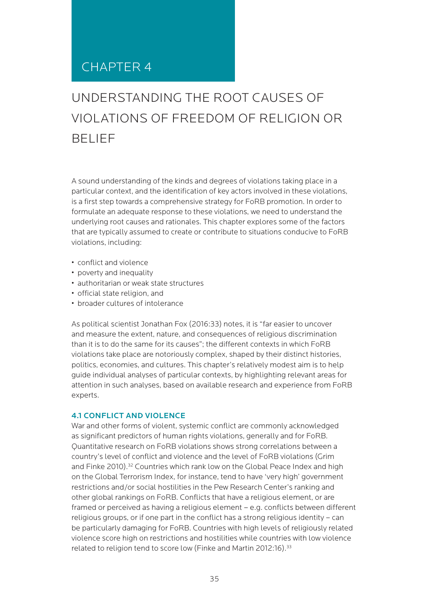## <span id="page-34-0"></span>CHAPTER 4

# UNDERSTANDING THE ROOT CAUSES OF VIOLATIONS OF FREEDOM OF RELIGION OR BELIEF

A sound understanding of the kinds and degrees of violations taking place in a particular context, and the identification of key actors involved in these violations, is a first step towards a comprehensive strategy for FoRB promotion. In order to formulate an adequate response to these violations, we need to understand the underlying root causes and rationales. This chapter explores some of the factors that are typically assumed to create or contribute to situations conducive to FoRB violations, including:

- conflict and violence
- poverty and inequality
- authoritarian or weak state structures
- official state religion, and
- broader cultures of intolerance

As political scientist Jonathan Fox (2016:33) notes, it is "far easier to uncover and measure the extent, nature, and consequences of religious discrimination than it is to do the same for its causes"; the different contexts in which FoRB violations take place are notoriously complex, shaped by their distinct histories, politics, economies, and cultures. This chapter's relatively modest aim is to help guide individual analyses of particular contexts, by highlighting relevant areas for attention in such analyses, based on available research and experience from FoRB experts.

#### 4.1 CONFLICT AND VIOLENCE

War and other forms of violent, systemic conflict are commonly acknowledged as significant predictors of human rights violations, generally and for FoRB. Quantitative research on FoRB violations shows strong correlations between a country's level of conflict and violence and the level of FoRB violations (Grim and Finke 2010).<sup>32</sup> Countries which rank low on the Global Peace Index and high on the Global Terrorism Index, for instance, tend to have 'very high' government restrictions and/or social hostilities in the Pew Research Center's ranking and other global rankings on FoRB. Conflicts that have a religious element, or are framed or perceived as having a religious element – e.g. conflicts between different religious groups, or if one part in the conflict has a strong religious identity – can be particularly damaging for FoRB. Countries with high levels of religiously related violence score high on restrictions and hostilities while countries with low violence related to religion tend to score low (Finke and Martin 2012:16).<sup>[33](#page-94-0)</sup>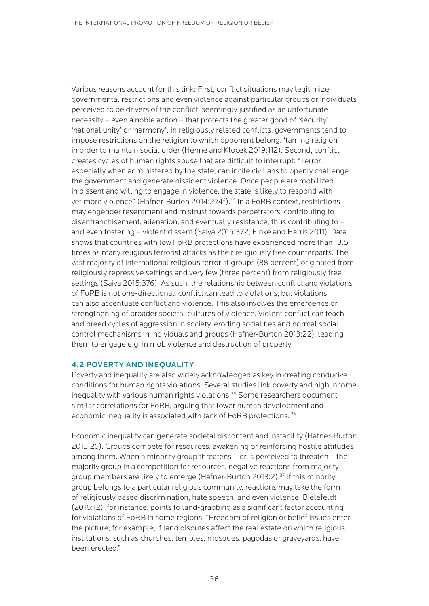<span id="page-35-0"></span>Various reasons account for this link: First, conflict situations may legitimize governmental restrictions and even violence against particular groups or individuals perceived to be drivers of the conflict, seemingly justified as an unfortunate necessity – even a noble action – that protects the greater good of 'security', 'national unity' or 'harmony'. In religiously related conflicts, governments tend to impose restrictions on the religion to which opponent belong, 'taming religion' in order to maintain social order (Henne and Klocek 2019:112). Second, conflict creates cycles of human rights abuse that are difficult to interrupt: "Terror, especially when administered by the state, can incite civilians to openly challenge the government and generate dissident violence. Once people are mobilized in dissent and willing to engage in violence, the state is likely to respond with yet more violence" (Hafner-Burton 2014:274f).<sup>[34](#page-94-0)</sup> In a FoRB context, restrictions may engender resentment and mistrust towards perpetrators, contributing to disenfranchisement, alienation, and eventually resistance, thus contributing to – and even fostering – violent dissent (Saiya 2015:372; Finke and Harris 2011). Data shows that countries with low FoRB protections have experienced more than 13.5 times as many religious terrorist attacks as their religiously free counterparts. The vast majority of international religious terrorist groups (88 percent) originated from religiously repressive settings and very few (three percent) from religiously free settings (Saiya 2015:376). As such, the relationship between conflict and violations of FoRB is not one-directional; conflict can lead to violations, but violations can also accentuate conflict and violence. This also involves the emergence or strengthening of broader societal cultures of violence. Violent conflict can teach and breed cycles of aggression in society, eroding social ties and normal social control mechanisms in individuals and groups (Hafner-Burton 2013:22), leading them to engage e.g. in mob violence and destruction of property.

#### 4.2 POVERTY AND INEQUALITY

Poverty and inequality are also widely acknowledged as key in creating conducive conditions for human rights violations. Several studies link poverty and high income inequality with various human rights violations.<sup>[35](#page-94-0)</sup> Some researchers document similar correlations for FoRB, arguing that lower human development and economic inequality is associated with lack of FoRB protections. [36](#page-94-0)

Economic inequality can generate societal discontent and instability (Hafner-Burton 2013:26). Groups compete for resources, awakening or reinforcing hostile attitudes among them. When a minority group threatens – or is perceived to threaten – the majority group in a competition for resources, negative reactions from majority group members are likely to emerge (Hafner-Burton 2013:2).<sup>37</sup> If this minority group belongs to a particular religious community, reactions may take the form of religiously based discrimination, hate speech, and even violence. Bielefeldt (2016:12), for instance, points to land-grabbing as a significant factor accounting for violations of FoRB in some regions: "Freedom of religion or belief issues enter the picture, for example, if land disputes affect the real estate on which religious institutions, such as churches, temples, mosques, pagodas or graveyards, have been erected."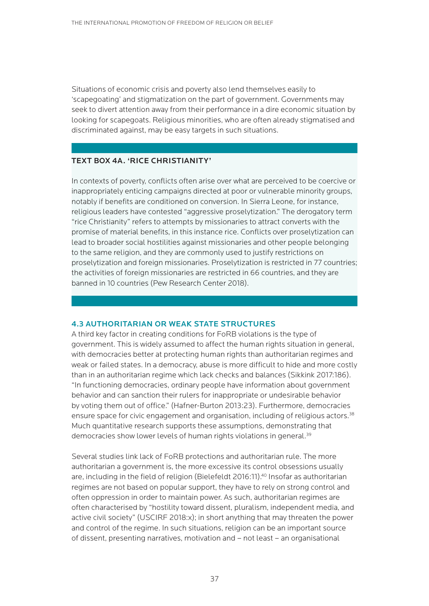Situations of economic crisis and poverty also lend themselves easily to 'scapegoating' and stigmatization on the part of government. Governments may seek to divert attention away from their performance in a dire economic situation by looking for scapegoats. Religious minorities, who are often already stigmatised and discriminated against, may be easy targets in such situations.

# TEXT BOX 4A. 'RICE CHRISTIANITY'

In contexts of poverty, conflicts often arise over what are perceived to be coercive or inappropriately enticing campaigns directed at poor or vulnerable minority groups, notably if benefits are conditioned on conversion. In Sierra Leone, for instance, religious leaders have contested "aggressive proselytization." The derogatory term "rice Christianity" refers to attempts by missionaries to attract converts with the promise of material benefits, in this instance rice. Conflicts over proselytization can lead to broader social hostilities against missionaries and other people belonging to the same religion, and they are commonly used to justify restrictions on proselytization and foreign missionaries. Proselytization is restricted in 77 countries; the activities of foreign missionaries are restricted in 66 countries, and they are banned in 10 countries (Pew Research Center 2018).

#### 4.3 AUTHORITARIAN OR WEAK STATE STRUCTURES

A third key factor in creating conditions for FoRB violations is the type of government. This is widely assumed to affect the human rights situation in general, with democracies better at protecting human rights than authoritarian regimes and weak or failed states. In a democracy, abuse is more difficult to hide and more costly than in an authoritarian regime which lack checks and balances (Sikkink 2017:186). "In functioning democracies, ordinary people have information about government behavior and can sanction their rulers for inappropriate or undesirable behavior by voting them out of office." (Hafner-Burton 2013:23). Furthermore, democracies ensure space for civic engagement and organisation, including of religious actors.<sup>[38](#page-94-0)</sup> Much quantitative research supports these assumptions, demonstrating that democracies show lower levels of human rights violations in general.<sup>39</sup>

Several studies link lack of FoRB protections and authoritarian rule. The more authoritarian a government is, the more excessive its control obsessions usually are, including in the field of religion (Bielefeldt 2016:11).<sup>40</sup> Insofar as authoritarian regimes are not based on popular support, they have to rely on strong control and often oppression in order to maintain power. As such, authoritarian regimes are often characterised by "hostility toward dissent, pluralism, independent media, and active civil society" (USCIRF 2018:x); in short anything that may threaten the power and control of the regime. In such situations, religion can be an important source of dissent, presenting narratives, motivation and – not least – an organisational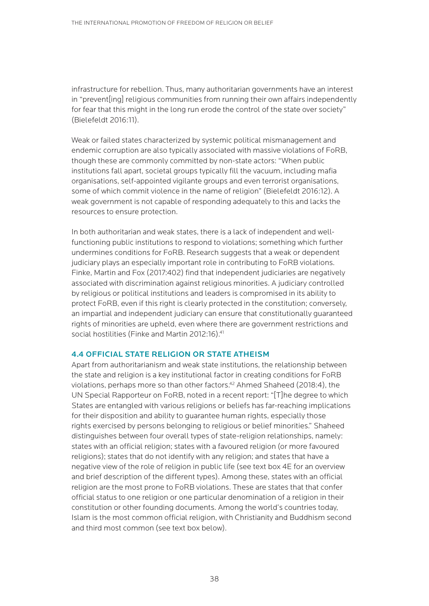infrastructure for rebellion. Thus, many authoritarian governments have an interest in "prevent[ing] religious communities from running their own affairs independently for fear that this might in the long run erode the control of the state over society" (Bielefeldt 2016:11).

Weak or failed states characterized by systemic political mismanagement and endemic corruption are also typically associated with massive violations of FoRB, though these are commonly committed by non-state actors: "When public institutions fall apart, societal groups typically fill the vacuum, including mafia organisations, self-appointed vigilante groups and even terrorist organisations, some of which commit violence in the name of religion" (Bielefeldt 2016:12). A weak government is not capable of responding adequately to this and lacks the resources to ensure protection.

In both authoritarian and weak states, there is a lack of independent and wellfunctioning public institutions to respond to violations; something which further undermines conditions for FoRB. Research suggests that a weak or dependent judiciary plays an especially important role in contributing to FoRB violations. Finke, Martin and Fox (2017:402) find that independent judiciaries are negatively associated with discrimination against religious minorities. A judiciary controlled by religious or political institutions and leaders is compromised in its ability to protect FoRB, even if this right is clearly protected in the constitution; conversely, an impartial and independent judiciary can ensure that constitutionally guaranteed rights of minorities are upheld, even where there are government restrictions and social hostilities (Finke and Martin 2012:16).<sup>41</sup>

#### 4.4 OFFICIAL STATE RELIGION OR STATE ATHEISM

Apart from authoritarianism and weak state institutions, the relationship between the state and religion is a key institutional factor in creating conditions for FoRB violations, perhaps more so than other factors[.42](#page-95-0) Ahmed Shaheed (2018:4), the UN Special Rapporteur on FoRB, noted in a recent report: "[T]he degree to which States are entangled with various religions or beliefs has far-reaching implications for their disposition and ability to guarantee human rights, especially those rights exercised by persons belonging to religious or belief minorities." Shaheed distinguishes between four overall types of state-religion relationships, namely: states with an official religion; states with a favoured religion (or more favoured religions); states that do not identify with any religion; and states that have a negative view of the role of religion in public life (see text box 4E for an overview and brief description of the different types). Among these, states with an official religion are the most prone to FoRB violations. These are states that that confer official status to one religion or one particular denomination of a religion in their constitution or other founding documents. Among the world's countries today, Islam is the most common official religion, with Christianity and Buddhism second and third most common (see text box below).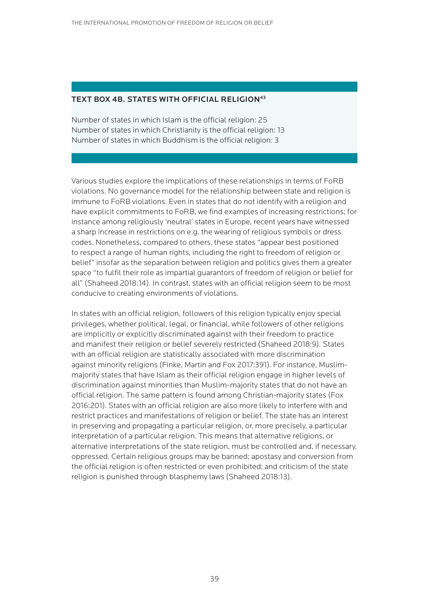#### TEXT BOX 4B. STATES WITH OFFICIAL RELIGION<sup>[43](#page-95-0)</sup>

Number of states in which Islam is the official religion: 25 Number of states in which Christianity is the official religion: 13 Number of states in which Buddhism is the official religion: 3

Various studies explore the implications of these relationships in terms of FoRB violations. No governance model for the relationship between state and religion is immune to FoRB violations. Even in states that do not identify with a religion and have explicit commitments to FoRB, we find examples of increasing restrictions; for instance among religiously 'neutral' states in Europe, recent years have witnessed a sharp increase in restrictions on e.g. the wearing of religious symbols or dress codes. Nonetheless, compared to others, these states "appear best positioned to respect a range of human rights, including the right to freedom of religion or belief" insofar as the separation between religion and politics gives them a greater space "to fulfil their role as impartial guarantors of freedom of religion or belief for all" (Shaheed 2018:14). In contrast, states with an official religion seem to be most conducive to creating environments of violations.

In states with an official religion, followers of this religion typically enjoy special privileges, whether political, legal, or financial, while followers of other religions are implicitly or explicitly discriminated against with their freedom to practice and manifest their religion or belief severely restricted (Shaheed 2018:9). States with an official religion are statistically associated with more discrimination against minority religions (Finke, Martin and Fox 2017:391). For instance, Muslimmajority states that have Islam as their official religion engage in higher levels of discrimination against minorities than Muslim-majority states that do not have an official religion. The same pattern is found among Christian-majority states (Fox 2016:201). States with an official religion are also more likely to interfere with and restrict practices and manifestations of religion or belief. The state has an interest in preserving and propagating a particular religion, or, more precisely, a particular interpretation of a particular religion. This means that alternative religions, or alternative interpretations of the state religion, must be controlled and, if necessary, oppressed. Certain religious groups may be banned; apostasy and conversion from the official religion is often restricted or even prohibited; and criticism of the state religion is punished through blasphemy laws (Shaheed 2018:13).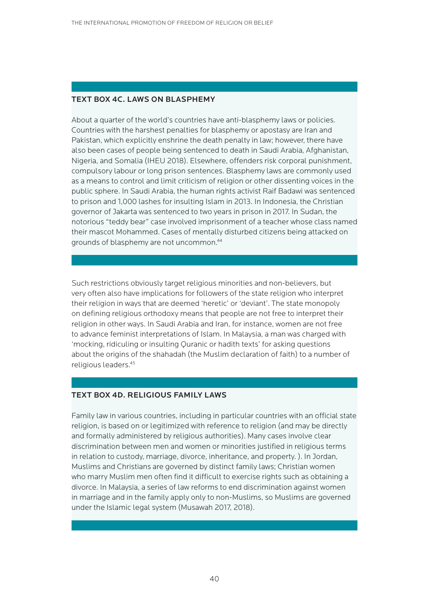#### TEXT BOX 4C. LAWS ON BLASPHEMY

About a quarter of the world's countries have anti-blasphemy laws or policies. Countries with the harshest penalties for blasphemy or apostasy are Iran and Pakistan, which explicitly enshrine the death penalty in law; however, there have also been cases of people being sentenced to death in Saudi Arabia, Afghanistan, Nigeria, and Somalia (IHEU 2018). Elsewhere, offenders risk corporal punishment, compulsory labour or long prison sentences. Blasphemy laws are commonly used as a means to control and limit criticism of religion or other dissenting voices in the public sphere. In Saudi Arabia, the human rights activist Raif Badawi was sentenced to prison and 1,000 lashes for insulting Islam in 2013. In Indonesia, the Christian governor of Jakarta was sentenced to two years in prison in 2017. In Sudan, the notorious "teddy bear" case involved imprisonment of a teacher whose class named their mascot Mohammed. Cases of mentally disturbed citizens being attacked on grounds of blasphemy are not uncommon[.44](#page-95-0)

Such restrictions obviously target religious minorities and non-believers, but very often also have implications for followers of the state religion who interpret their religion in ways that are deemed 'heretic' or 'deviant'. The state monopoly on defining religious orthodoxy means that people are not free to interpret their religion in other ways. In Saudi Arabia and Iran, for instance, women are not free to advance feminist interpretations of Islam. In Malaysia, a man was charged with 'mocking, ridiculing or insulting Quranic or hadith texts' for asking questions about the origins of the shahadah (the Muslim declaration of faith) to a number of religious leaders[.45](#page-95-0)

#### TEXT BOX 4D. RELIGIOUS FAMILY LAWS

Family law in various countries, including in particular countries with an official state religion, is based on or legitimized with reference to religion (and may be directly and formally administered by religious authorities). Many cases involve clear discrimination between men and women or minorities justified in religious terms in relation to custody, marriage, divorce, inheritance, and property. ). In Jordan, Muslims and Christians are governed by distinct family laws; Christian women who marry Muslim men often find it difficult to exercise rights such as obtaining a divorce. In Malaysia, a series of law reforms to end discrimination against women in marriage and in the family apply only to non-Muslims, so Muslims are governed under the Islamic legal system (Musawah 2017, 2018).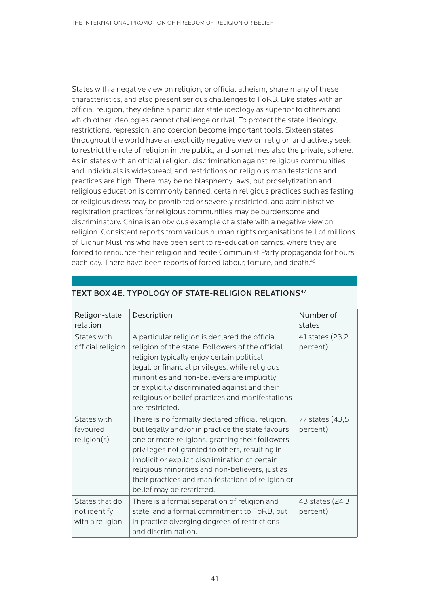States with a negative view on religion, or official atheism, share many of these characteristics, and also present serious challenges to FoRB. Like states with an official religion, they define a particular state ideology as superior to others and which other ideologies cannot challenge or rival. To protect the state ideology, restrictions, repression, and coercion become important tools. Sixteen states throughout the world have an explicitly negative view on religion and actively seek to restrict the role of religion in the public, and sometimes also the private, sphere. As in states with an official religion, discrimination against religious communities and individuals is widespread, and restrictions on religious manifestations and practices are high. There may be no blasphemy laws, but proselytization and religious education is commonly banned, certain religious practices such as fasting or religious dress may be prohibited or severely restricted, and administrative registration practices for religious communities may be burdensome and discriminatory. China is an obvious example of a state with a negative view on religion. Consistent reports from various human rights organisations tell of millions of Uighur Muslims who have been sent to re-education camps, where they are forced to renounce their religion and recite Communist Party propaganda for hours each day. There have been reports of forced labour, torture, and death.<sup>46</sup>

| Religon-state<br>relation                         | Description                                                                                                                                                                                                                                                                                                                                                                                      | Number of<br>states          |
|---------------------------------------------------|--------------------------------------------------------------------------------------------------------------------------------------------------------------------------------------------------------------------------------------------------------------------------------------------------------------------------------------------------------------------------------------------------|------------------------------|
| States with<br>official religion                  | A particular religion is declared the official<br>religion of the state. Followers of the official<br>religion typically enjoy certain political,<br>legal, or financial privileges, while religious<br>minorities and non-believers are implicitly<br>or explicitly discriminated against and their<br>religious or belief practices and manifestations<br>are restricted.                      | 41 states (23,2)<br>percent) |
| States with<br>favoured<br>religion(s)            | There is no formally declared official religion,<br>but legally and/or in practice the state favours<br>one or more religions, granting their followers<br>privileges not granted to others, resulting in<br>implicit or explicit discrimination of certain<br>religious minorities and non-believers, just as<br>their practices and manifestations of religion or<br>belief may be restricted. | 77 states (43,5<br>percent)  |
| States that do<br>not identify<br>with a religion | There is a formal separation of religion and<br>state, and a formal commitment to FoRB, but<br>in practice diverging degrees of restrictions<br>and discrimination.                                                                                                                                                                                                                              | 43 states (24,3<br>percent)  |

# TEXT BOX 4E. TYPOLOGY OF STATE-RELIGION RELATION[S47](#page-95-0)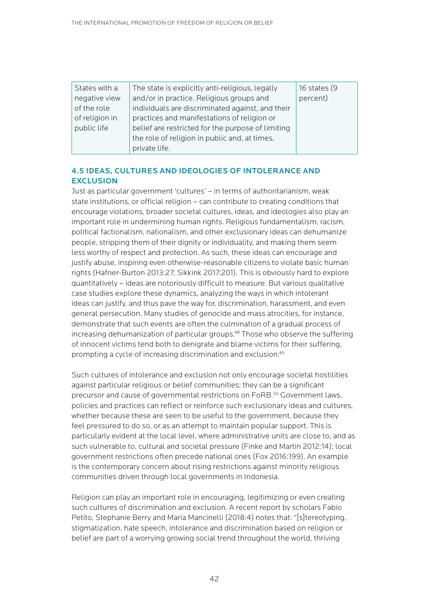| States with a  | The state is explicitly anti-religious, legally   | 16 states (9 |
|----------------|---------------------------------------------------|--------------|
| negative view  | and/or in practice. Religious groups and          | percent)     |
| of the role    | individuals are discriminated against, and their  |              |
| of religion in | practices and manifestations of religion or       |              |
| public life    | belief are restricted for the purpose of limiting |              |
|                | the role of religion in public and, at times,     |              |
|                | private life.                                     |              |

## 4.5 IDEAS, CULTURES AND IDEOLOGIES OF INTOLERANCE AND **EXCLUSION**

Just as particular government 'cultures' – in terms of authoritarianism, weak state institutions, or official religion – can contribute to creating conditions that encourage violations, broader societal cultures, ideas, and ideologies also play an important role in undermining human rights. Religious fundamentalism, racism, political factionalism, nationalism, and other exclusionary ideas can dehumanize people, stripping them of their dignity or individuality, and making them seem less worthy of respect and protection. As such, these ideas can encourage and justify abuse, inspiring even otherwise-reasonable citizens to violate basic human rights (Hafner-Burton 2013:27; Sikkink 2017:201). This is obviously hard to explore quantitatively – ideas are notoriously difficult to measure. But various qualitative case studies explore these dynamics, analyzing the ways in which intolerant ideas can justify, and thus pave the way for, discrimination, harassment, and even general persecution. Many studies of genocide and mass atrocities, for instance, demonstrate that such events are often the culmination of a gradual process of increasing dehumanization of particular groups.<sup>48</sup> Those who observe the suffering of innocent victims tend both to denigrate and blame victims for their suffering, prompting a cycle of increasing discrimination and exclusion[.49](#page-95-0)

Such cultures of intolerance and exclusion not only encourage societal hostilities against particular religious or belief communities; they can be a significant precursor and cause of governmental restrictions on FoRB.<sup>50</sup> Government laws, policies and practices can reflect or reinforce such exclusionary ideas and cultures, whether because these are seen to be useful to the government, because they feel pressured to do so, or as an attempt to maintain popular support. This is particularly evident at the local level, where administrative units are close to, and as such vulnerable to, cultural and societal pressure (Finke and Martin 2012:14); local government restrictions often precede national ones (Fox 2016:199). An example is the contemporary concern about rising restrictions against minority religious communities driven through local governments in Indonesia.

Religion can play an important role in encouraging, legitimizing or even creating such cultures of discrimination and exclusion. A recent report by scholars Fabio Petito, Stephanie Berry and Maria Mancinelli (2018:4) notes that: "[s]tereotyping, stigmatization, hate speech, intolerance and discrimination based on religion or belief are part of a worrying growing social trend throughout the world, thriving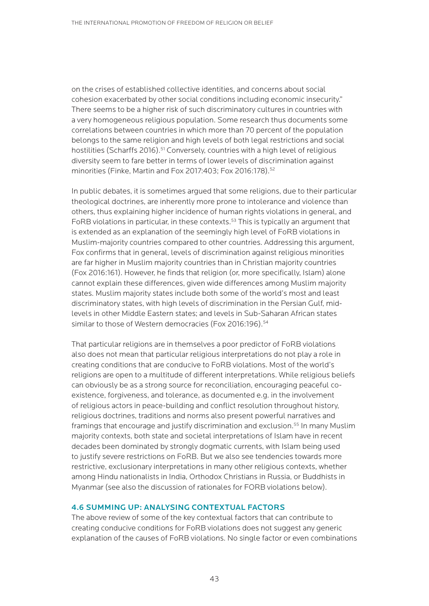on the crises of established collective identities, and concerns about social cohesion exacerbated by other social conditions including economic insecurity." There seems to be a higher risk of such discriminatory cultures in countries with a very homogeneous religious population. Some research thus documents some correlations between countries in which more than 70 percent of the population belongs to the same religion and high levels of both legal restrictions and social hostilities (Scharffs 2016).<sup>[51](#page-95-0)</sup> Conversely, countries with a high level of religious diversity seem to fare better in terms of lower levels of discrimination against minorities (Finke, Martin and Fox 2017:403; Fox 2016:178)[.52](#page-95-0)

In public debates, it is sometimes argued that some religions, due to their particular theological doctrines, are inherently more prone to intolerance and violence than others, thus explaining higher incidence of human rights violations in general, and FoRB violations in particular, in these contexts.<sup>[53](#page-95-0)</sup> This is typically an argument that is extended as an explanation of the seemingly high level of FoRB violations in Muslim-majority countries compared to other countries. Addressing this argument, Fox confirms that in general, levels of discrimination against religious minorities are far higher in Muslim majority countries than in Christian majority countries (Fox 2016:161). However, he finds that religion (or, more specifically, Islam) alone cannot explain these differences, given wide differences among Muslim majority states. Muslim majority states include both some of the world's most and least discriminatory states, with high levels of discrimination in the Persian Gulf, midlevels in other Middle Eastern states; and levels in Sub-Saharan African states similar to those of Western democracies (Fox 2016:196).<sup>[54](#page-96-0)</sup>

That particular religions are in themselves a poor predictor of FoRB violations also does not mean that particular religious interpretations do not play a role in creating conditions that are conducive to FoRB violations. Most of the world's religions are open to a multitude of different interpretations. While religious beliefs can obviously be as a strong source for reconciliation, encouraging peaceful coexistence, forgiveness, and tolerance, as documented e.g. in the involvement of religious actors in peace-building and conflict resolution throughout history, religious doctrines, traditions and norms also present powerful narratives and framings that encourage and justify discrimination and exclusion.<sup>[55](#page-96-0)</sup> In many Muslim majority contexts, both state and societal interpretations of Islam have in recent decades been dominated by strongly dogmatic currents, with Islam being used to justify severe restrictions on FoRB. But we also see tendencies towards more restrictive, exclusionary interpretations in many other religious contexts, whether among Hindu nationalists in India, Orthodox Christians in Russia, or Buddhists in Myanmar (see also the discussion of rationales for FORB violations below).

#### 4.6 SUMMING UP: ANALYSING CONTEXTUAL FACTORS

The above review of some of the key contextual factors that can contribute to creating conducive conditions for FoRB violations does not suggest any generic explanation of the causes of FoRB violations. No single factor or even combinations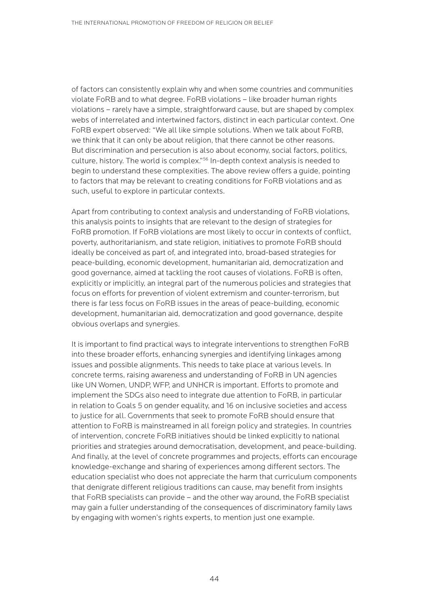of factors can consistently explain why and when some countries and communities violate FoRB and to what degree. FoRB violations – like broader human rights violations – rarely have a simple, straightforward cause, but are shaped by complex webs of interrelated and intertwined factors, distinct in each particular context. One FoRB expert observed: "We all like simple solutions. When we talk about FoRB, we think that it can only be about religion, that there cannot be other reasons. But discrimination and persecution is also about economy, social factors, politics, culture, history. The world is complex."[56](#page-96-0) In-depth context analysis is needed to begin to understand these complexities. The above review offers a guide, pointing to factors that may be relevant to creating conditions for FoRB violations and as such, useful to explore in particular contexts.

Apart from contributing to context analysis and understanding of FoRB violations, this analysis points to insights that are relevant to the design of strategies for FoRB promotion. If FoRB violations are most likely to occur in contexts of conflict, poverty, authoritarianism, and state religion, initiatives to promote FoRB should ideally be conceived as part of, and integrated into, broad-based strategies for peace-building, economic development, humanitarian aid, democratization and good governance, aimed at tackling the root causes of violations. FoRB is often, explicitly or implicitly, an integral part of the numerous policies and strategies that focus on efforts for prevention of violent extremism and counter-terrorism, but there is far less focus on FoRB issues in the areas of peace-building, economic development, humanitarian aid, democratization and good governance, despite obvious overlaps and synergies.

It is important to find practical ways to integrate interventions to strengthen FoRB into these broader efforts, enhancing synergies and identifying linkages among issues and possible alignments. This needs to take place at various levels. In concrete terms, raising awareness and understanding of FoRB in UN agencies like UN Women, UNDP, WFP, and UNHCR is important. Efforts to promote and implement the SDGs also need to integrate due attention to FoRB, in particular in relation to Goals 5 on gender equality, and 16 on inclusive societies and access to justice for all. Governments that seek to promote FoRB should ensure that attention to FoRB is mainstreamed in all foreign policy and strategies. In countries of intervention, concrete FoRB initiatives should be linked explicitly to national priorities and strategies around democratisation, development, and peace-building. And finally, at the level of concrete programmes and projects, efforts can encourage knowledge-exchange and sharing of experiences among different sectors. The education specialist who does not appreciate the harm that curriculum components that denigrate different religious traditions can cause, may benefit from insights that FoRB specialists can provide – and the other way around, the FoRB specialist may gain a fuller understanding of the consequences of discriminatory family laws by engaging with women's rights experts, to mention just one example.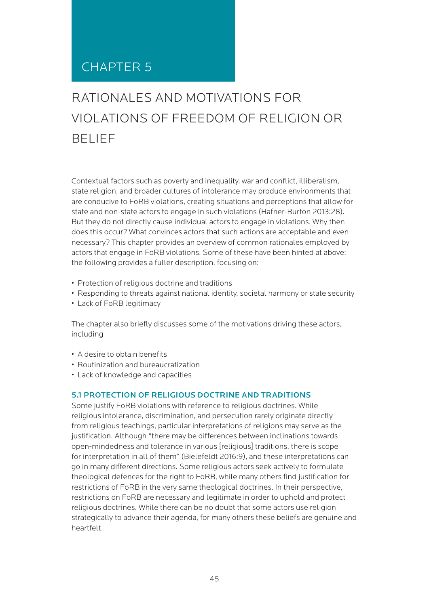# CHAPTER 5

# RATIONALES AND MOTIVATIONS FOR VIOLATIONS OF FREEDOM OF RELIGION OR BELIEF

Contextual factors such as poverty and inequality, war and conflict, illiberalism, state religion, and broader cultures of intolerance may produce environments that are conducive to FoRB violations, creating situations and perceptions that allow for state and non-state actors to engage in such violations (Hafner-Burton 2013:28). But they do not directly cause individual actors to engage in violations. Why then does this occur? What convinces actors that such actions are acceptable and even necessary? This chapter provides an overview of common rationales employed by actors that engage in FoRB violations. Some of these have been hinted at above; the following provides a fuller description, focusing on:

- Protection of religious doctrine and traditions
- Responding to threats against national identity, societal harmony or state security
- Lack of FoRB legitimacy

The chapter also briefly discusses some of the motivations driving these actors, including

- A desire to obtain benefits
- Routinization and bureaucratization
- Lack of knowledge and capacities

#### 5.1 PROTECTION OF RELIGIOUS DOCTRINE AND TRADITIONS

Some justify FoRB violations with reference to religious doctrines. While religious intolerance, discrimination, and persecution rarely originate directly from religious teachings, particular interpretations of religions may serve as the justification. Although "there may be differences between inclinations towards open-mindedness and tolerance in various [religious] traditions, there is scope for interpretation in all of them" (Bielefeldt 2016:9), and these interpretations can go in many different directions. Some religious actors seek actively to formulate theological defences for the right to FoRB, while many others find justification for restrictions of FoRB in the very same theological doctrines. In their perspective, restrictions on FoRB are necessary and legitimate in order to uphold and protect religious doctrines. While there can be no doubt that some actors use religion strategically to advance their agenda, for many others these beliefs are genuine and heartfelt.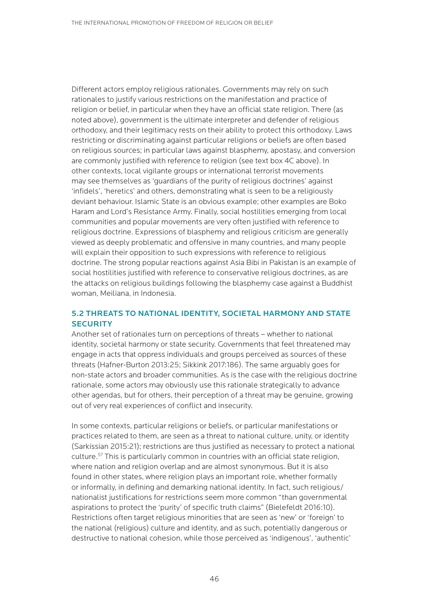Different actors employ religious rationales. Governments may rely on such rationales to justify various restrictions on the manifestation and practice of religion or belief, in particular when they have an official state religion. There (as noted above), government is the ultimate interpreter and defender of religious orthodoxy, and their legitimacy rests on their ability to protect this orthodoxy. Laws restricting or discriminating against particular religions or beliefs are often based on religious sources; in particular laws against blasphemy, apostasy, and conversion are commonly justified with reference to religion (see text box 4C above). In other contexts, local vigilante groups or international terrorist movements may see themselves as 'guardians of the purity of religious doctrines' against 'infidels', 'heretics' and others, demonstrating what is seen to be a religiously deviant behaviour. Islamic State is an obvious example; other examples are Boko Haram and Lord's Resistance Army. Finally, social hostilities emerging from local communities and popular movements are very often justified with reference to religious doctrine. Expressions of blasphemy and religious criticism are generally viewed as deeply problematic and offensive in many countries, and many people will explain their opposition to such expressions with reference to religious doctrine. The strong popular reactions against Asia Bibi in Pakistan is an example of social hostilities justified with reference to conservative religious doctrines, as are the attacks on religious buildings following the blasphemy case against a Buddhist woman, Meiliana, in Indonesia.

## 5.2 THREATS TO NATIONAL IDENTITY, SOCIETAL HARMONY AND STATE **SECURITY**

Another set of rationales turn on perceptions of threats – whether to national identity, societal harmony or state security. Governments that feel threatened may engage in acts that oppress individuals and groups perceived as sources of these threats (Hafner-Burton 2013:25; Sikkink 2017:186). The same arguably goes for non-state actors and broader communities. As is the case with the religious doctrine rationale, some actors may obviously use this rationale strategically to advance other agendas, but for others, their perception of a threat may be genuine, growing out of very real experiences of conflict and insecurity.

In some contexts, particular religions or beliefs, or particular manifestations or practices related to them, are seen as a threat to national culture, unity, or identity (Sarkissian 2015:21); restrictions are thus justified as necessary to protect a national culture.[57](#page-96-0) This is particularly common in countries with an official state religion, where nation and religion overlap and are almost synonymous. But it is also found in other states, where religion plays an important role, whether formally or informally, in defining and demarking national identity. In fact, such religious/ nationalist justifications for restrictions seem more common "than governmental aspirations to protect the 'purity' of specific truth claims" (Bielefeldt 2016:10). Restrictions often target religious minorities that are seen as 'new' or 'foreign' to the national (religious) culture and identity, and as such, potentially dangerous or destructive to national cohesion, while those perceived as 'indigenous', 'authentic'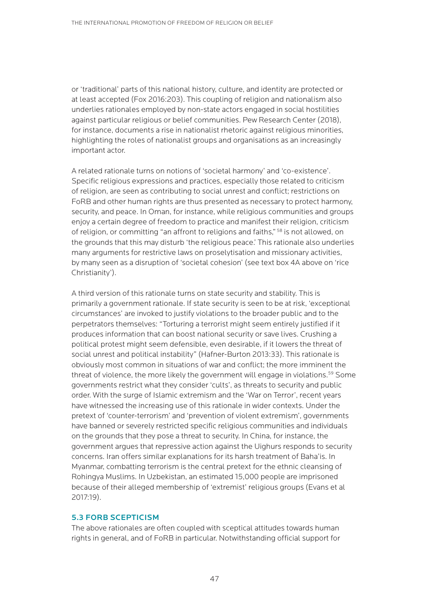or 'traditional' parts of this national history, culture, and identity are protected or at least accepted (Fox 2016:203). This coupling of religion and nationalism also underlies rationales employed by non-state actors engaged in social hostilities against particular religious or belief communities. Pew Research Center (2018), for instance, documents a rise in nationalist rhetoric against religious minorities, highlighting the roles of nationalist groups and organisations as an increasingly important actor.

A related rationale turns on notions of 'societal harmony' and 'co-existence'. Specific religious expressions and practices, especially those related to criticism of religion, are seen as contributing to social unrest and conflict; restrictions on FoRB and other human rights are thus presented as necessary to protect harmony, security, and peace. In Oman, for instance, while religious communities and groups enjoy a certain degree of freedom to practice and manifest their religion, criticism of religion, or committing "an affront to religions and faiths," [58](#page-96-0) is not allowed, on the grounds that this may disturb 'the religious peace.' This rationale also underlies many arguments for restrictive laws on proselytisation and missionary activities, by many seen as a disruption of 'societal cohesion' (see text box 4A above on 'rice Christianity').

A third version of this rationale turns on state security and stability. This is primarily a government rationale. If state security is seen to be at risk, 'exceptional circumstances' are invoked to justify violations to the broader public and to the perpetrators themselves: "Torturing a terrorist might seem entirely justified if it produces information that can boost national security or save lives. Crushing a political protest might seem defensible, even desirable, if it lowers the threat of social unrest and political instability" (Hafner-Burton 2013:33). This rationale is obviously most common in situations of war and conflict; the more imminent the threat of violence, the more likely the government will engage in violations.<sup>59</sup> Some governments restrict what they consider 'cults', as threats to security and public order. With the surge of Islamic extremism and the 'War on Terror', recent years have witnessed the increasing use of this rationale in wider contexts. Under the pretext of 'counter-terrorism' and 'prevention of violent extremism', governments have banned or severely restricted specific religious communities and individuals on the grounds that they pose a threat to security. In China, for instance, the government argues that repressive action against the Uighurs responds to security concerns. Iran offers similar explanations for its harsh treatment of Baha'is. In Myanmar, combatting terrorism is the central pretext for the ethnic cleansing of Rohingya Muslims. In Uzbekistan, an estimated 15,000 people are imprisoned because of their alleged membership of 'extremist' religious groups (Evans et al 2017:19).

#### 5.3 FORB SCEPTICISM

The above rationales are often coupled with sceptical attitudes towards human rights in general, and of FoRB in particular. Notwithstanding official support for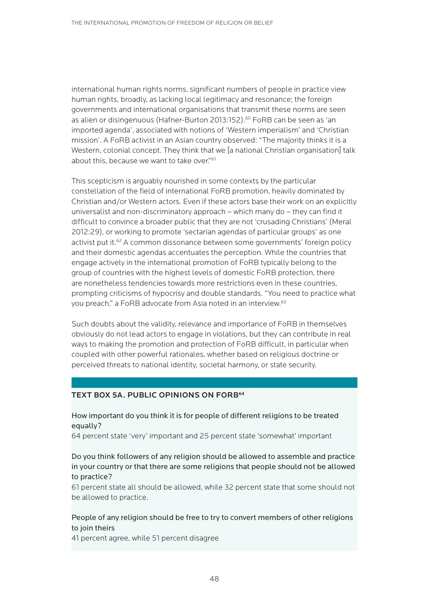international human rights norms, significant numbers of people in practice view human rights, broadly, as lacking local legitimacy and resonance; the foreign governments and international organisations that transmit these norms are seen as alien or disingenuous (Hafner-Burton 2013:152).<sup>60</sup> FoRB can be seen as 'an imported agenda', associated with notions of 'Western imperialism' and 'Christian mission'. A FoRB activist in an Asian country observed: "The majority thinks it is a Western, colonial concept. They think that we [a national Christian organisation] talk about this, because we want to take over."[61](#page-96-0)

This scepticism is arguably nourished in some contexts by the particular constellation of the field of international FoRB promotion, heavily dominated by Christian and/or Western actors. Even if these actors base their work on an explicitly universalist and non-discriminatory approach – which many do – they can find it difficult to convince a broader public that they are not 'crusading Christians' (Meral 2012:29), or working to promote 'sectarian agendas of particular groups' as one activist put it.<sup>62</sup> A common dissonance between some governments' foreign policy and their domestic agendas accentuates the perception. While the countries that engage actively in the international promotion of FoRB typically belong to the group of countries with the highest levels of domestic FoRB protection, there are nonetheless tendencies towards more restrictions even in these countries, prompting criticisms of hypocrisy and double standards. "You need to practice what you preach," a FoRB advocate from Asia noted in an interview.[63](#page-96-0)

Such doubts about the validity, relevance and importance of FoRB in themselves obviously do not lead actors to engage in violations, but they can contribute in real ways to making the promotion and protection of FoRB difficult, in particular when coupled with other powerful rationales, whether based on religious doctrine or perceived threats to national identity, societal harmony, or state security.

#### TEXT BOX 5A. PUBLIC OPINIONS ON FORB<sup>64</sup>

How important do you think it is for people of different religions to be treated equally?

64 percent state 'very' important and 25 percent state 'somewhat' important

### Do you think followers of any religion should be allowed to assemble and practice in your country or that there are some religions that people should not be allowed to practice?

61 percent state all should be allowed, while 32 percent state that some should not be allowed to practice.

#### People of any religion should be free to try to convert members of other religions to join theirs

41 percent agree, while 51 percent disagree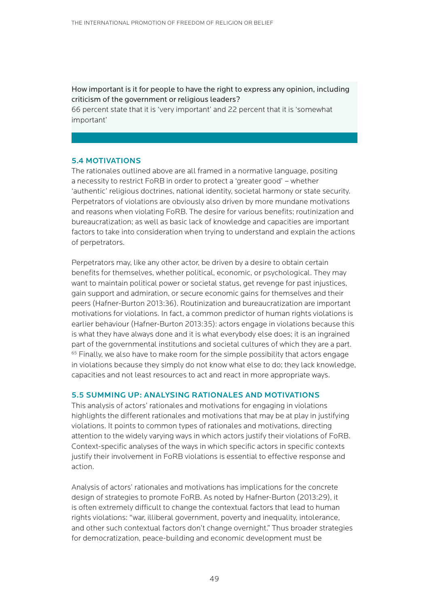How important is it for people to have the right to express any opinion, including criticism of the government or religious leaders?

66 percent state that it is 'very important' and 22 percent that it is 'somewhat important'

#### 5.4 MOTIVATIONS

The rationales outlined above are all framed in a normative language, positing a necessity to restrict FoRB in order to protect a 'greater good' – whether 'authentic' religious doctrines, national identity, societal harmony or state security. Perpetrators of violations are obviously also driven by more mundane motivations and reasons when violating FoRB. The desire for various benefits; routinization and bureaucratization; as well as basic lack of knowledge and capacities are important factors to take into consideration when trying to understand and explain the actions of perpetrators.

Perpetrators may, like any other actor, be driven by a desire to obtain certain benefits for themselves, whether political, economic, or psychological. They may want to maintain political power or societal status, get revenge for past injustices, gain support and admiration, or secure economic gains for themselves and their peers (Hafner-Burton 2013:36). Routinization and bureaucratization are important motivations for violations. In fact, a common predictor of human rights violations is earlier behaviour (Hafner-Burton 2013:35): actors engage in violations because this is what they have always done and it is what everybody else does; it is an ingrained part of the governmental institutions and societal cultures of which they are a part.  $65$  Finally, we also have to make room for the simple possibility that actors engage in violations because they simply do not know what else to do; they lack knowledge, capacities and not least resources to act and react in more appropriate ways.

#### 5.5 SUMMING UP: ANALYSING RATIONALES AND MOTIVATIONS

This analysis of actors' rationales and motivations for engaging in violations highlights the different rationales and motivations that may be at play in justifying violations. It points to common types of rationales and motivations, directing attention to the widely varying ways in which actors justify their violations of FoRB. Context-specific analyses of the ways in which specific actors in specific contexts justify their involvement in FoRB violations is essential to effective response and action.

Analysis of actors' rationales and motivations has implications for the concrete design of strategies to promote FoRB. As noted by Hafner-Burton (2013:29), it is often extremely difficult to change the contextual factors that lead to human rights violations: "war, illiberal government, poverty and inequality, intolerance, and other such contextual factors don't change overnight." Thus broader strategies for democratization, peace-building and economic development must be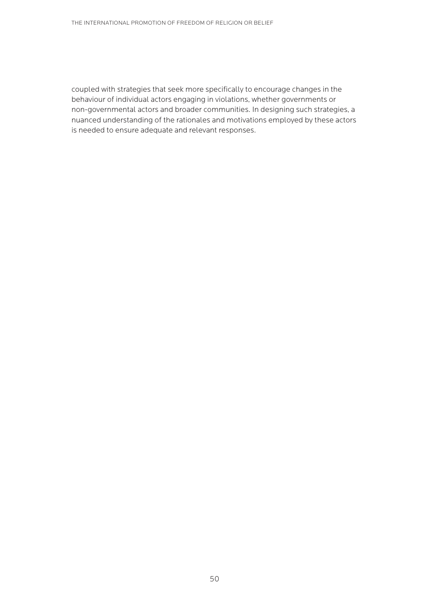coupled with strategies that seek more specifically to encourage changes in the behaviour of individual actors engaging in violations, whether governments or non-governmental actors and broader communities. In designing such strategies, a nuanced understanding of the rationales and motivations employed by these actors is needed to ensure adequate and relevant responses.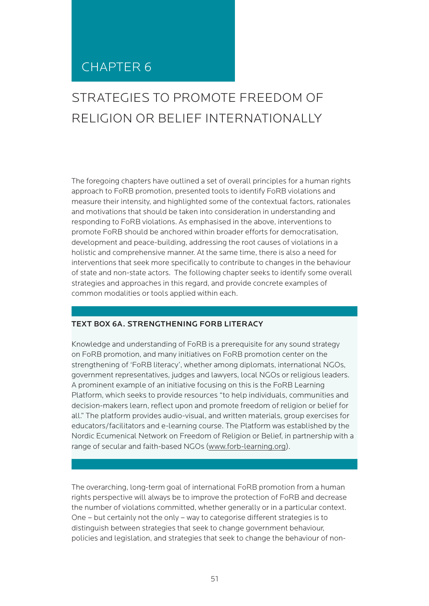# CHAPTER 6

# STRATEGIES TO PROMOTE FREEDOM OF RELIGION OR BELIEF INTERNATIONALLY

The foregoing chapters have outlined a set of overall principles for a human rights approach to FoRB promotion, presented tools to identify FoRB violations and measure their intensity, and highlighted some of the contextual factors, rationales and motivations that should be taken into consideration in understanding and responding to FoRB violations. As emphasised in the above, interventions to promote FoRB should be anchored within broader efforts for democratisation, development and peace-building, addressing the root causes of violations in a holistic and comprehensive manner. At the same time, there is also a need for interventions that seek more specifically to contribute to changes in the behaviour of state and non-state actors. The following chapter seeks to identify some overall strategies and approaches in this regard, and provide concrete examples of common modalities or tools applied within each.

#### TEXT BOX 6A. STRENGTHENING FORB LITERACY

Knowledge and understanding of FoRB is a prerequisite for any sound strategy on FoRB promotion, and many initiatives on FoRB promotion center on the strengthening of 'FoRB literacy', whether among diplomats, international NGOs, government representatives, judges and lawyers, local NGOs or religious leaders. A prominent example of an initiative focusing on this is the FoRB Learning Platform, which seeks to provide resources "to help individuals, communities and decision-makers learn, reflect upon and promote freedom of religion or belief for all." The platform provides audio-visual, and written materials, group exercises for educators/facilitators and e-learning course. The Platform was established by the Nordic Ecumenical Network on Freedom of Religion or Belief, in partnership with a range of secular and faith-based NGOs ([www.forb-learning.org\)](http://www.forb-learning.org).

The overarching, long-term goal of international FoRB promotion from a human rights perspective will always be to improve the protection of FoRB and decrease the number of violations committed, whether generally or in a particular context. One – but certainly not the only – way to categorise different strategies is to distinguish between strategies that seek to change government behaviour, policies and legislation, and strategies that seek to change the behaviour of non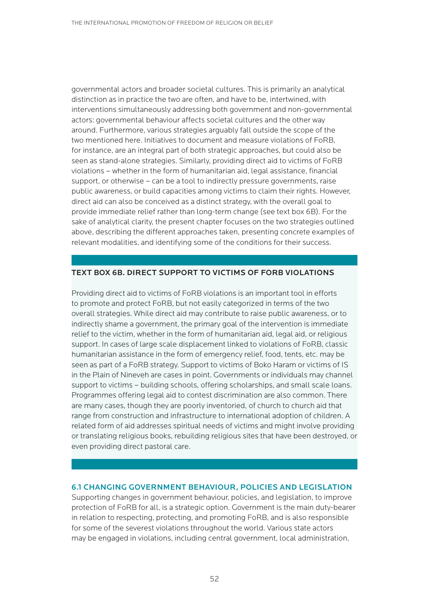governmental actors and broader societal cultures. This is primarily an analytical distinction as in practice the two are often, and have to be, intertwined, with interventions simultaneously addressing both government and non-governmental actors: governmental behaviour affects societal cultures and the other way around. Furthermore, various strategies arguably fall outside the scope of the two mentioned here. Initiatives to document and measure violations of FoRB, for instance, are an integral part of both strategic approaches, but could also be seen as stand-alone strategies. Similarly, providing direct aid to victims of FoRB violations – whether in the form of humanitarian aid, legal assistance, financial support, or otherwise – can be a tool to indirectly pressure governments, raise public awareness, or build capacities among victims to claim their rights. However, direct aid can also be conceived as a distinct strategy, with the overall goal to provide immediate relief rather than long-term change (see text box 6B). For the sake of analytical clarity, the present chapter focuses on the two strategies outlined above, describing the different approaches taken, presenting concrete examples of relevant modalities, and identifying some of the conditions for their success.

#### TEXT BOX 6B. DIRECT SUPPORT TO VICTIMS OF FORB VIOLATIONS

Providing direct aid to victims of FoRB violations is an important tool in efforts to promote and protect FoRB, but not easily categorized in terms of the two overall strategies. While direct aid may contribute to raise public awareness, or to indirectly shame a government, the primary goal of the intervention is immediate relief to the victim, whether in the form of humanitarian aid, legal aid, or religious support. In cases of large scale displacement linked to violations of FoRB, classic humanitarian assistance in the form of emergency relief, food, tents, etc. may be seen as part of a FoRB strategy. Support to victims of Boko Haram or victims of IS in the Plain of Nineveh are cases in point. Governments or individuals may channel support to victims – building schools, offering scholarships, and small scale loans. Programmes offering legal aid to contest discrimination are also common. There are many cases, though they are poorly inventoried, of church to church aid that range from construction and infrastructure to international adoption of children. A related form of aid addresses spiritual needs of victims and might involve providing or translating religious books, rebuilding religious sites that have been destroyed, or even providing direct pastoral care.

#### 6.1 CHANGING GOVERNMENT BEHAVIOUR, POLICIES AND LEGISLATION

Supporting changes in government behaviour, policies, and legislation, to improve protection of FoRB for all, is a strategic option. Government is the main duty-bearer in relation to respecting, protecting, and promoting FoRB, and is also responsible for some of the severest violations throughout the world. Various state actors may be engaged in violations, including central government, local administration,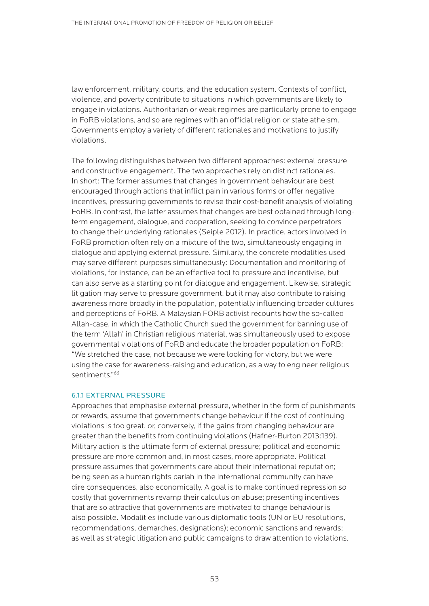law enforcement, military, courts, and the education system. Contexts of conflict, violence, and poverty contribute to situations in which governments are likely to engage in violations. Authoritarian or weak regimes are particularly prone to engage in FoRB violations, and so are regimes with an official religion or state atheism. Governments employ a variety of different rationales and motivations to justify violations.

The following distinguishes between two different approaches: external pressure and constructive engagement. The two approaches rely on distinct rationales. In short: The former assumes that changes in government behaviour are best encouraged through actions that inflict pain in various forms or offer negative incentives, pressuring governments to revise their cost-benefit analysis of violating FoRB. In contrast, the latter assumes that changes are best obtained through longterm engagement, dialogue, and cooperation, seeking to convince perpetrators to change their underlying rationales (Seiple 2012). In practice, actors involved in FoRB promotion often rely on a mixture of the two, simultaneously engaging in dialogue and applying external pressure. Similarly, the concrete modalities used may serve different purposes simultaneously: Documentation and monitoring of violations, for instance, can be an effective tool to pressure and incentivise, but can also serve as a starting point for dialogue and engagement. Likewise, strategic litigation may serve to pressure government, but it may also contribute to raising awareness more broadly in the population, potentially influencing broader cultures and perceptions of FoRB. A Malaysian FORB activist recounts how the so-called Allah-case, in which the Catholic Church sued the government for banning use of the term 'Allah' in Christian religious material, was simultaneously used to expose governmental violations of FoRB and educate the broader population on FoRB: "We stretched the case, not because we were looking for victory, but we were using the case for awareness-raising and education, as a way to engineer religious sentiments."<sup>66</sup>

#### 6.1.1 EXTERNAL PRESSURE

Approaches that emphasise external pressure, whether in the form of punishments or rewards, assume that governments change behaviour if the cost of continuing violations is too great, or, conversely, if the gains from changing behaviour are greater than the benefits from continuing violations (Hafner-Burton 2013:139). Military action is the ultimate form of external pressure; political and economic pressure are more common and, in most cases, more appropriate. Political pressure assumes that governments care about their international reputation; being seen as a human rights pariah in the international community can have dire consequences, also economically. A goal is to make continued repression so costly that governments revamp their calculus on abuse; presenting incentives that are so attractive that governments are motivated to change behaviour is also possible. Modalities include various diplomatic tools (UN or EU resolutions, recommendations, demarches, designations); economic sanctions and rewards; as well as strategic litigation and public campaigns to draw attention to violations.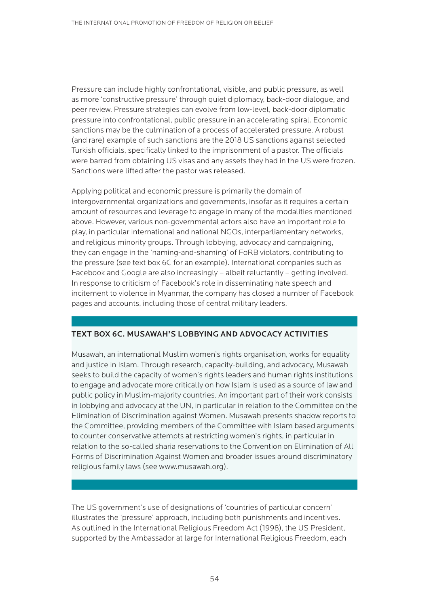Pressure can include highly confrontational, visible, and public pressure, as well as more 'constructive pressure' through quiet diplomacy, back-door dialogue, and peer review. Pressure strategies can evolve from low-level, back-door diplomatic pressure into confrontational, public pressure in an accelerating spiral. Economic sanctions may be the culmination of a process of accelerated pressure. A robust (and rare) example of such sanctions are the 2018 US sanctions against selected Turkish officials, specifically linked to the imprisonment of a pastor. The officials were barred from obtaining US visas and any assets they had in the US were frozen. Sanctions were lifted after the pastor was released.

Applying political and economic pressure is primarily the domain of intergovernmental organizations and governments, insofar as it requires a certain amount of resources and leverage to engage in many of the modalities mentioned above. However, various non-governmental actors also have an important role to play, in particular international and national NGOs, interparliamentary networks, and religious minority groups. Through lobbying, advocacy and campaigning, they can engage in the 'naming-and-shaming' of FoRB violators, contributing to the pressure (see text box 6C for an example). International companies such as Facebook and Google are also increasingly – albeit reluctantly – getting involved. In response to criticism of Facebook's role in disseminating hate speech and incitement to violence in Myanmar, the company has closed a number of Facebook pages and accounts, including those of central military leaders.

#### TEXT BOX 6C. MUSAWAH'S LOBBYING AND ADVOCACY ACTIVITIES

Musawah, an international Muslim women's rights organisation, works for equality and justice in Islam. Through research, capacity-building, and advocacy, Musawah seeks to build the capacity of women's rights leaders and human rights institutions to engage and advocate more critically on how Islam is used as a source of law and public policy in Muslim-majority countries. An important part of their work consists in lobbying and advocacy at the UN, in particular in relation to the Committee on the Elimination of Discrimination against Women. Musawah presents shadow reports to the Committee, providing members of the Committee with Islam based arguments to counter conservative attempts at restricting women's rights, in particular in relation to the so-called sharia reservations to the Convention on Elimination of All Forms of Discrimination Against Women and broader issues around discriminatory religious family laws ([see www.musawah.org](http://www.musawah.org)).

The US government's use of designations of 'countries of particular concern' illustrates the 'pressure' approach, including both punishments and incentives. As outlined in the International Religious Freedom Act (1998), the US President, supported by the Ambassador at large for International Religious Freedom, each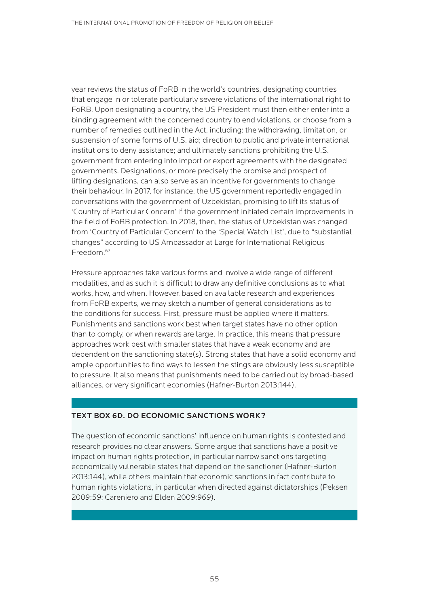year reviews the status of FoRB in the world's countries, designating countries that engage in or tolerate particularly severe violations of the international right to FoRB. Upon designating a country, the US President must then either enter into a binding agreement with the concerned country to end violations, or choose from a number of remedies outlined in the Act, including: the withdrawing, limitation, or suspension of some forms of U.S. aid; direction to public and private international institutions to deny assistance; and ultimately sanctions prohibiting the U.S. government from entering into import or export agreements with the designated governments. Designations, or more precisely the promise and prospect of lifting designations, can also serve as an incentive for governments to change their behaviour. In 2017, for instance, the US government reportedly engaged in conversations with the government of Uzbekistan, promising to lift its status of 'Country of Particular Concern' if the government initiated certain improvements in the field of FoRB protection. In 2018, then, the status of Uzbekistan was changed from 'Country of Particular Concern' to the 'Special Watch List', due to "substantial changes" according to US Ambassador at Large for International Religious Freedom[.67](#page-96-0)

Pressure approaches take various forms and involve a wide range of different modalities, and as such it is difficult to draw any definitive conclusions as to what works, how, and when. However, based on available research and experiences from FoRB experts, we may sketch a number of general considerations as to the conditions for success. First, pressure must be applied where it matters. Punishments and sanctions work best when target states have no other option than to comply, or when rewards are large. In practice, this means that pressure approaches work best with smaller states that have a weak economy and are dependent on the sanctioning state(s). Strong states that have a solid economy and ample opportunities to find ways to lessen the stings are obviously less susceptible to pressure. It also means that punishments need to be carried out by broad-based alliances, or very significant economies (Hafner-Burton 2013:144).

#### TEXT BOX 6D. DO ECONOMIC SANCTIONS WORK?

The question of economic sanctions' influence on human rights is contested and research provides no clear answers. Some argue that sanctions have a positive impact on human rights protection, in particular narrow sanctions targeting economically vulnerable states that depend on the sanctioner (Hafner-Burton 2013:144), while others maintain that economic sanctions in fact contribute to human rights violations, in particular when directed against dictatorships (Peksen 2009:59; Careniero and Elden 2009:969).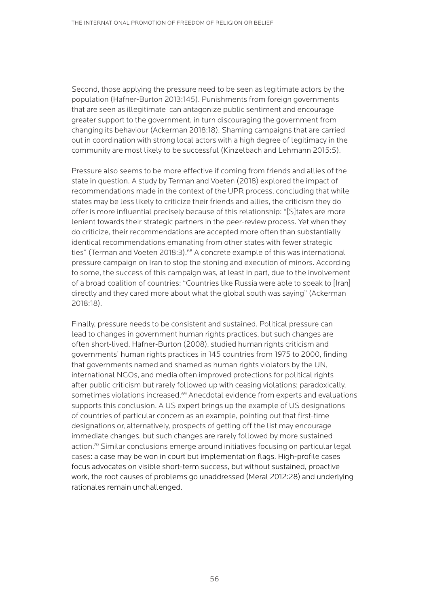Second, those applying the pressure need to be seen as legitimate actors by the population (Hafner-Burton 2013:145). Punishments from foreign governments that are seen as illegitimate can antagonize public sentiment and encourage greater support to the government, in turn discouraging the government from changing its behaviour (Ackerman 2018:18). Shaming campaigns that are carried out in coordination with strong local actors with a high degree of legitimacy in the community are most likely to be successful (Kinzelbach and Lehmann 2015:5).

Pressure also seems to be more effective if coming from friends and allies of the state in question. A study by Terman and Voeten (2018) explored the impact of recommendations made in the context of the UPR process, concluding that while states may be less likely to criticize their friends and allies, the criticism they do offer is more influential precisely because of this relationship: "[S]tates are more lenient towards their strategic partners in the peer-review process. Yet when they do criticize, their recommendations are accepted more often than substantially identical recommendations emanating from other states with fewer strategic ties" (Terman and Voeten 2018:3).<sup>[68](#page-96-0)</sup> A concrete example of this was international pressure campaign on Iran to stop the stoning and execution of minors. According to some, the success of this campaign was, at least in part, due to the involvement of a broad coalition of countries: "Countries like Russia were able to speak to [Iran] directly and they cared more about what the global south was saying" (Ackerman 2018:18).

Finally, pressure needs to be consistent and sustained. Political pressure can lead to changes in government human rights practices, but such changes are often short-lived. Hafner-Burton (2008), studied human rights criticism and governments' human rights practices in 145 countries from 1975 to 2000, finding that governments named and shamed as human rights violators by the UN, international NGOs, and media often improved protections for political rights after public criticism but rarely followed up with ceasing violations; paradoxically, sometimes violations increased.<sup>[69](#page-97-0)</sup> Anecdotal evidence from experts and evaluations supports this conclusion. A US expert brings up the example of US designations of countries of particular concern as an example, pointing out that first-time designations or, alternatively, prospects of getting off the list may encourage immediate changes, but such changes are rarely followed by more sustained action[.70](#page-97-0) Similar conclusions emerge around initiatives focusing on particular legal cases: a case may be won in court but implementation flags. High-profile cases focus advocates on visible short-term success, but without sustained, proactive work, the root causes of problems go unaddressed (Meral 2012:28) and underlying rationales remain unchallenged.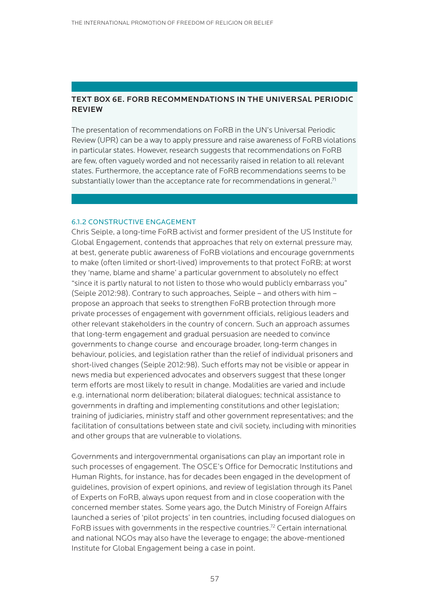#### TEXT BOX 6E. FORB RECOMMENDATIONS IN THE UNIVERSAL PERIODIC REVIEW

The presentation of recommendations on FoRB in the UN's Universal Periodic Review (UPR) can be a way to apply pressure and raise awareness of FoRB violations in particular states. However, research suggests that recommendations on FoRB are few, often vaguely worded and not necessarily raised in relation to all relevant states. Furthermore, the acceptance rate of FoRB recommendations seems to be substantially lower than the acceptance rate for recommendations in general.<sup>71</sup>

#### 6.1.2 CONSTRUCTIVE ENGAGEMENT

Chris Seiple, a long-time FoRB activist and former president of the US Institute for Global Engagement, contends that approaches that rely on external pressure may, at best, generate public awareness of FoRB violations and encourage governments to make (often limited or short-lived) improvements to that protect FoRB; at worst they 'name, blame and shame' a particular government to absolutely no effect "since it is partly natural to not listen to those who would publicly embarrass you" (Seiple 2012:98). Contrary to such approaches, Seiple – and others with him – propose an approach that seeks to strengthen FoRB protection through more private processes of engagement with government officials, religious leaders and other relevant stakeholders in the country of concern. Such an approach assumes that long-term engagement and gradual persuasion are needed to convince governments to change course and encourage broader, long-term changes in behaviour, policies, and legislation rather than the relief of individual prisoners and short-lived changes (Seiple 2012:98). Such efforts may not be visible or appear in news media but experienced advocates and observers suggest that these longer term efforts are most likely to result in change. Modalities are varied and include e.g. international norm deliberation; bilateral dialogues; technical assistance to governments in drafting and implementing constitutions and other legislation; training of judiciaries, ministry staff and other government representatives; and the facilitation of consultations between state and civil society, including with minorities and other groups that are vulnerable to violations.

Governments and intergovernmental organisations can play an important role in such processes of engagement. The OSCE's Office for Democratic Institutions and Human Rights, for instance, has for decades been engaged in the development of guidelines, provision of expert opinions, and review of legislation through its Panel of Experts on FoRB, always upon request from and in close cooperation with the concerned member states. Some years ago, the Dutch Ministry of Foreign Affairs launched a series of 'pilot projects' in ten countries, including focused dialogues on FoRB issues with governments in the respective countries.<sup>72</sup> Certain international and national NGOs may also have the leverage to engage; the above-mentioned Institute for Global Engagement being a case in point.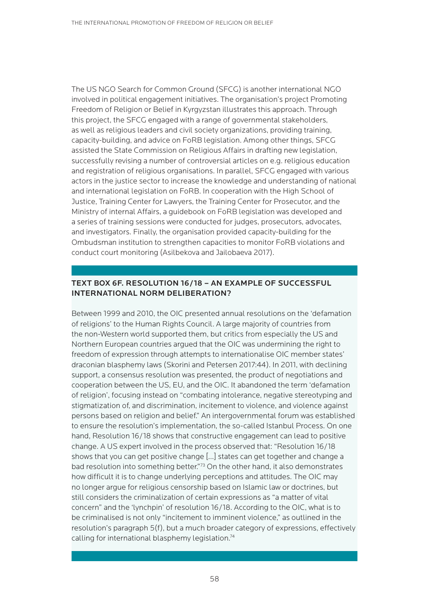The US NGO Search for Common Ground (SFCG) is another international NGO involved in political engagement initiatives. The organisation's project Promoting Freedom of Religion or Belief in Kyrgyzstan illustrates this approach. Through this project, the SFCG engaged with a range of governmental stakeholders, as well as religious leaders and civil society organizations, providing training, capacity-building, and advice on FoRB legislation. Among other things, SFCG assisted the State Commission on Religious Affairs in drafting new legislation, successfully revising a number of controversial articles on e.g. religious education and registration of religious organisations. In parallel, SFCG engaged with various actors in the justice sector to increase the knowledge and understanding of national and international legislation on FoRB. In cooperation with the High School of Justice, Training Center for Lawyers, the Training Center for Prosecutor, and the Ministry of internal Affairs, a guidebook on FoRB legislation was developed and a series of training sessions were conducted for judges, prosecutors, advocates, and investigators. Finally, the organisation provided capacity-building for the Ombudsman institution to strengthen capacities to monitor FoRB violations and conduct court monitoring (Asilbekova and Jailobaeva 2017).

## TEXT BOX 6F. RESOLUTION 16/18 – AN EXAMPLE OF SUCCESSFUL INTERNATIONAL NORM DELIBERATION?

Between 1999 and 2010, the OIC presented annual resolutions on the 'defamation of religions' to the Human Rights Council. A large majority of countries from the non-Western world supported them, but critics from especially the US and Northern European countries argued that the OIC was undermining the right to freedom of expression through attempts to internationalise OIC member states' draconian blasphemy laws (Skorini and Petersen 2017:44). In 2011, with declining support, a consensus resolution was presented, the product of negotiations and cooperation between the US, EU, and the OIC. It abandoned the term 'defamation of religion', focusing instead on "combating intolerance, negative stereotyping and stigmatization of, and discrimination, incitement to violence, and violence against persons based on religion and belief." An intergovernmental forum was established to ensure the resolution's implementation, the so-called Istanbul Process. On one hand, Resolution 16/18 shows that constructive engagement can lead to positive change. A US expert involved in the process observed that: "Resolution 16/18 shows that you can get positive change […] states can get together and change a bad resolution into something better."[73](#page-97-0) On the other hand, it also demonstrates how difficult it is to change underlying perceptions and attitudes. The OIC may no longer argue for religious censorship based on Islamic law or doctrines, but still considers the criminalization of certain expressions as "a matter of vital concern" and the 'lynchpin' of resolution 16/18. According to the OIC, what is to be criminalised is not only "incitement to imminent violence," as outlined in the resolution's paragraph 5(f), but a much broader category of expressions, effectively calling for international blasphemy legislation.<sup>74</sup>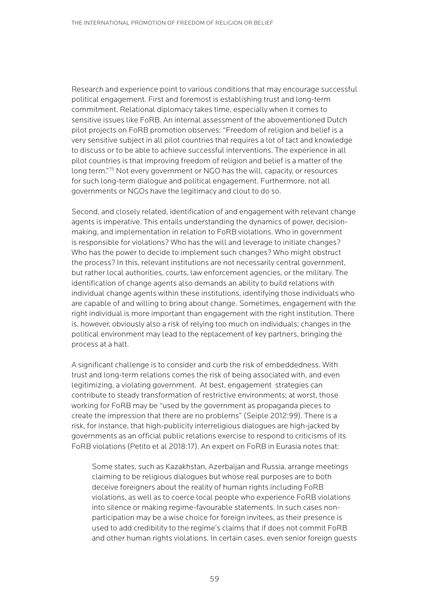Research and experience point to various conditions that may encourage successful political engagement. First and foremost is establishing trust and long-term commitment. Relational diplomacy takes time, especially when it comes to sensitive issues like FoRB. An internal assessment of the abovementioned Dutch pilot projects on FoRB promotion observes: "Freedom of religion and belief is a very sensitive subject in all pilot countries that requires a lot of tact and knowledge to discuss or to be able to achieve successful interventions. The experience in all pilot countries is that improving freedom of religion and belief is a matter of the long term."[75](#page-97-0) Not every government or NGO has the will, capacity, or resources for such long-term dialogue and political engagement. Furthermore, not all governments or NGOs have the legitimacy and clout to do so.

Second, and closely related, identification of and engagement with relevant change agents is imperative. This entails understanding the dynamics of power, decisionmaking, and implementation in relation to FoRB violations. Who in government is responsible for violations? Who has the will and leverage to initiate changes? Who has the power to decide to implement such changes? Who might obstruct the process? In this, relevant institutions are not necessarily central government, but rather local authorities, courts, law enforcement agencies, or the military. The identification of change agents also demands an ability to build relations with individual change agents within these institutions, identifying those individuals who are capable of and willing to bring about change. Sometimes, engagement with the right individual is more important than engagement with the right institution. There is, however, obviously also a risk of relying too much on individuals; changes in the political environment may lead to the replacement of key partners, bringing the process at a halt.

A significant challenge is to consider and curb the risk of embeddedness. With trust and long-term relations comes the risk of being associated with, and even legitimizing, a violating government. At best, engagement strategies can contribute to steady transformation of restrictive environments; at worst, those working for FoRB may be "used by the government as propaganda pieces to create the impression that there are no problems" (Seiple 2012:99). There is a risk, for instance, that high-publicity interreligious dialogues are high-jacked by governments as an official public relations exercise to respond to criticisms of its FoRB violations (Petito et al 2018:17). An expert on FoRB in Eurasia notes that:

Some states, such as Kazakhstan, Azerbaijan and Russia, arrange meetings claiming to be religious dialogues but whose real purposes are to both deceive foreigners about the reality of human rights including FoRB violations, as well as to coerce local people who experience FoRB violations into silence or making regime-favourable statements. In such cases nonparticipation may be a wise choice for foreign invitees, as their presence is used to add credibility to the regime's claims that if does not commit FoRB and other human rights violations. In certain cases, even senior foreign guests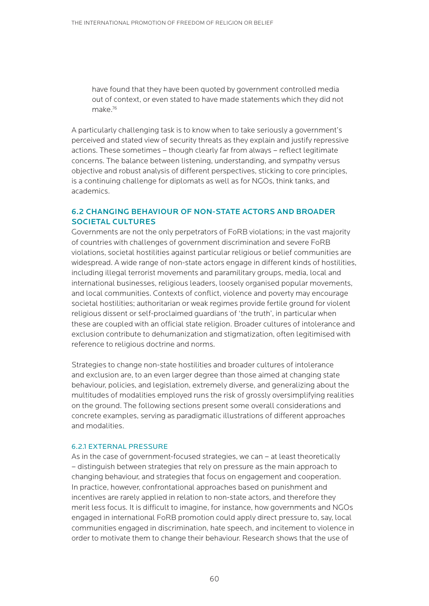have found that they have been quoted by government controlled media out of context, or even stated to have made statements which they did not make $^{76}$ 

A particularly challenging task is to know when to take seriously a government's perceived and stated view of security threats as they explain and justify repressive actions. These sometimes – though clearly far from always – reflect legitimate concerns. The balance between listening, understanding, and sympathy versus objective and robust analysis of different perspectives, sticking to core principles, is a continuing challenge for diplomats as well as for NGOs, think tanks, and academics.

#### 6.2 CHANGING BEHAVIOUR OF NON-STATE ACTORS AND BROADER SOCIETAL CULTURES

Governments are not the only perpetrators of FoRB violations; in the vast majority of countries with challenges of government discrimination and severe FoRB violations, societal hostilities against particular religious or belief communities are widespread. A wide range of non-state actors engage in different kinds of hostilities, including illegal terrorist movements and paramilitary groups, media, local and international businesses, religious leaders, loosely organised popular movements, and local communities. Contexts of conflict, violence and poverty may encourage societal hostilities; authoritarian or weak regimes provide fertile ground for violent religious dissent or self-proclaimed guardians of 'the truth', in particular when these are coupled with an official state religion. Broader cultures of intolerance and exclusion contribute to dehumanization and stigmatization, often legitimised with reference to religious doctrine and norms.

Strategies to change non-state hostilities and broader cultures of intolerance and exclusion are, to an even larger degree than those aimed at changing state behaviour, policies, and legislation, extremely diverse, and generalizing about the multitudes of modalities employed runs the risk of grossly oversimplifying realities on the ground. The following sections present some overall considerations and concrete examples, serving as paradigmatic illustrations of different approaches and modalities.

#### 6.2.1 EXTERNAL PRESSURE

As in the case of government-focused strategies, we can – at least theoretically – distinguish between strategies that rely on pressure as the main approach to changing behaviour, and strategies that focus on engagement and cooperation. In practice, however, confrontational approaches based on punishment and incentives are rarely applied in relation to non-state actors, and therefore they merit less focus. It is difficult to imagine, for instance, how governments and NGOs engaged in international FoRB promotion could apply direct pressure to, say, local communities engaged in discrimination, hate speech, and incitement to violence in order to motivate them to change their behaviour. Research shows that the use of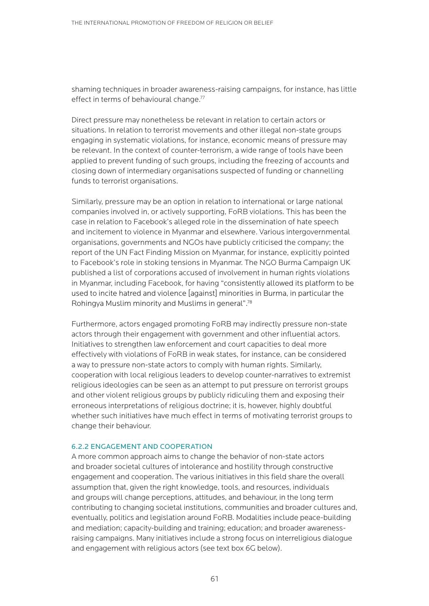shaming techniques in broader awareness-raising campaigns, for instance, has little effect in terms of behavioural change.<sup>77</sup>

Direct pressure may nonetheless be relevant in relation to certain actors or situations. In relation to terrorist movements and other illegal non-state groups engaging in systematic violations, for instance, economic means of pressure may be relevant. In the context of counter-terrorism, a wide range of tools have been applied to prevent funding of such groups, including the freezing of accounts and closing down of intermediary organisations suspected of funding or channelling funds to terrorist organisations.

Similarly, pressure may be an option in relation to international or large national companies involved in, or actively supporting, FoRB violations. This has been the case in relation to Facebook's alleged role in the dissemination of hate speech and incitement to violence in Myanmar and elsewhere. Various intergovernmental organisations, governments and NGOs have publicly criticised the company; the report of the UN Fact Finding Mission on Myanmar, for instance, explicitly pointed to Facebook's role in stoking tensions in Myanmar. The NGO Burma Campaign UK published a list of corporations accused of involvement in human rights violations in Myanmar, including Facebook, for having "consistently allowed its platform to be used to incite hatred and violence [against] minorities in Burma, in particular the Rohingya Muslim minority and Muslims in general"[.78](#page-97-0)

Furthermore, actors engaged promoting FoRB may indirectly pressure non-state actors through their engagement with government and other influential actors. Initiatives to strengthen law enforcement and court capacities to deal more effectively with violations of FoRB in weak states, for instance, can be considered a way to pressure non-state actors to comply with human rights. Similarly, cooperation with local religious leaders to develop counter-narratives to extremist religious ideologies can be seen as an attempt to put pressure on terrorist groups and other violent religious groups by publicly ridiculing them and exposing their erroneous interpretations of religious doctrine; it is, however, highly doubtful whether such initiatives have much effect in terms of motivating terrorist groups to change their behaviour.

#### 6.2.2 ENGAGEMENT AND COOPERATION

A more common approach aims to change the behavior of non-state actors and broader societal cultures of intolerance and hostility through constructive engagement and cooperation. The various initiatives in this field share the overall assumption that, given the right knowledge, tools, and resources, individuals and groups will change perceptions, attitudes, and behaviour, in the long term contributing to changing societal institutions, communities and broader cultures and, eventually, politics and legislation around FoRB. Modalities include peace-building and mediation; capacity-building and training; education; and broader awarenessraising campaigns. Many initiatives include a strong focus on interreligious dialogue and engagement with religious actors (see text box 6G below).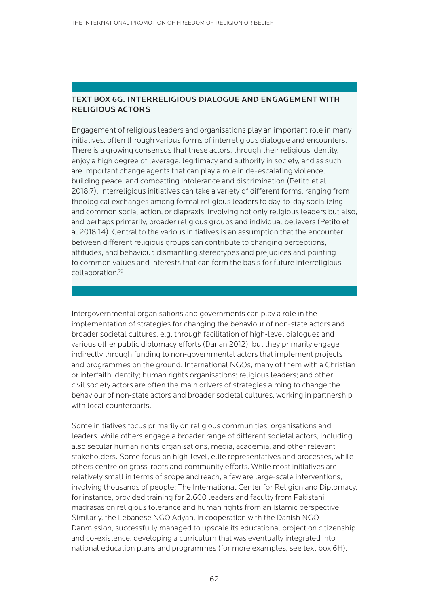## TEXT BOX 6G. INTERRELIGIOUS DIALOGUE AND ENGAGEMENT WITH RELIGIOUS ACTORS

Engagement of religious leaders and organisations play an important role in many initiatives, often through various forms of interreligious dialogue and encounters. There is a growing consensus that these actors, through their religious identity, enjoy a high degree of leverage, legitimacy and authority in society, and as such are important change agents that can play a role in de-escalating violence, building peace, and combatting intolerance and discrimination (Petito et al 2018:7). Interreligious initiatives can take a variety of different forms, ranging from theological exchanges among formal religious leaders to day-to-day socializing and common social action, or diapraxis, involving not only religious leaders but also, and perhaps primarily, broader religious groups and individual believers (Petito et al 2018:14). Central to the various initiatives is an assumption that the encounter between different religious groups can contribute to changing perceptions, attitudes, and behaviour, dismantling stereotypes and prejudices and pointing to common values and interests that can form the basis for future interreligious collaboration[.79](#page-97-0)

Intergovernmental organisations and governments can play a role in the implementation of strategies for changing the behaviour of non-state actors and broader societal cultures, e.g. through facilitation of high-level dialogues and various other public diplomacy efforts (Danan 2012), but they primarily engage indirectly through funding to non-governmental actors that implement projects and programmes on the ground. International NGOs, many of them with a Christian or interfaith identity; human rights organisations; religious leaders; and other civil society actors are often the main drivers of strategies aiming to change the behaviour of non-state actors and broader societal cultures, working in partnership with local counterparts.

Some initiatives focus primarily on religious communities, organisations and leaders, while others engage a broader range of different societal actors, including also secular human rights organisations, media, academia, and other relevant stakeholders. Some focus on high-level, elite representatives and processes, while others centre on grass-roots and community efforts. While most initiatives are relatively small in terms of scope and reach, a few are large-scale interventions, involving thousands of people: The International Center for Religion and Diplomacy, for instance, provided training for 2.600 leaders and faculty from Pakistani madrasas on religious tolerance and human rights from an Islamic perspective. Similarly, the Lebanese NGO Adyan, in cooperation with the Danish NGO Danmission, successfully managed to upscale its educational project on citizenship and co-existence, developing a curriculum that was eventually integrated into national education plans and programmes (for more examples, see text box 6H).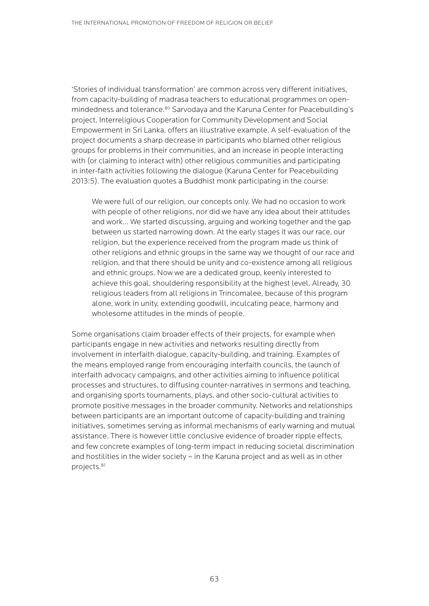'Stories of individual transformation' are common across very different initiatives, from capacity-building of madrasa teachers to educational programmes on open-mindedness and tolerance.<sup>[80](#page-97-0)</sup> Sarvodaya and the Karuna Center for Peacebuilding's project, Interreligious Cooperation for Community Development and Social Empowerment in Sri Lanka, offers an illustrative example. A self-evaluation of the project documents a sharp decrease in participants who blamed other religious groups for problems in their communities, and an increase in people interacting with (or claiming to interact with) other religious communities and participating in inter-faith activities following the dialogue (Karuna Center for Peacebuilding 2013:5). The evaluation quotes a Buddhist monk participating in the course:

We were full of our religion, our concepts only. We had no occasion to work with people of other religions, nor did we have any idea about their attitudes and work… We started discussing, arguing and working together and the gap between us started narrowing down. At the early stages it was our race, our religion, but the experience received from the program made us think of other religions and ethnic groups in the same way we thought of our race and religion, and that there should be unity and co-existence among all religious and ethnic groups. Now we are a dedicated group, keenly interested to achieve this goal, shouldering responsibility at the highest level. Already, 30 religious leaders from all religions in Trincomalee, because of this program alone, work in unity, extending goodwill, inculcating peace, harmony and wholesome attitudes in the minds of people.

Some organisations claim broader effects of their projects, for example when participants engage in new activities and networks resulting directly from involvement in interfaith dialogue, capacity-building, and training. Examples of the means employed range from encouraging interfaith councils, the launch of interfaith advocacy campaigns, and other activities aiming to influence political processes and structures, to diffusing counter-narratives in sermons and teaching, and organising sports tournaments, plays, and other socio-cultural activities to promote positive messages in the broader community. Networks and relationships between participants are an important outcome of capacity-building and training initiatives, sometimes serving as informal mechanisms of early warning and mutual assistance. There is however little conclusive evidence of broader ripple effects, and few concrete examples of long-term impact in reducing societal discrimination and hostilities in the wider society – in the Karuna project and as well as in other projects.<sup>81</sup>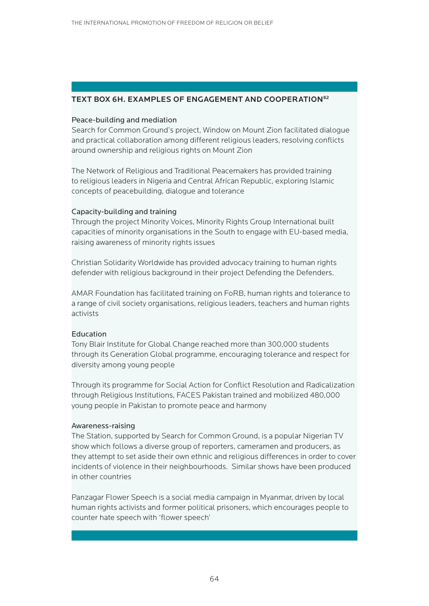#### TEXT BOX 6H. EXAMPLES OF ENGAGEMENT AND COOPERATION[82](#page-98-0)

#### Peace-building and mediation

Search for Common Ground's project, Window on Mount Zion facilitated dialogue and practical collaboration among different religious leaders, resolving conflicts around ownership and religious rights on Mount Zion

The Network of Religious and Traditional Peacemakers has provided training to religious leaders in Nigeria and Central African Republic, exploring Islamic concepts of peacebuilding, dialogue and tolerance

#### Capacity-building and training

Through the project Minority Voices, Minority Rights Group International built capacities of minority organisations in the South to engage with EU-based media, raising awareness of minority rights issues

Christian Solidarity Worldwide has provided advocacy training to human rights defender with religious background in their project Defending the Defenders.

AMAR Foundation has facilitated training on FoRB, human rights and tolerance to a range of civil society organisations, religious leaders, teachers and human rights activists

#### Education

Tony Blair Institute for Global Change reached more than 300,000 students through its Generation Global programme, encouraging tolerance and respect for diversity among young people

Through its programme for Social Action for Conflict Resolution and Radicalization through Religious Institutions, FACES Pakistan trained and mobilized 480,000 young people in Pakistan to promote peace and harmony

#### Awareness-raising

The Station, supported by Search for Common Ground, is a popular Nigerian TV show which follows a diverse group of reporters, cameramen and producers, as they attempt to set aside their own ethnic and religious differences in order to cover incidents of violence in their neighbourhoods. Similar shows have been produced in other countries

Panzagar Flower Speech is a social media campaign in Myanmar, driven by local human rights activists and former political prisoners, which encourages people to counter hate speech with 'flower speech'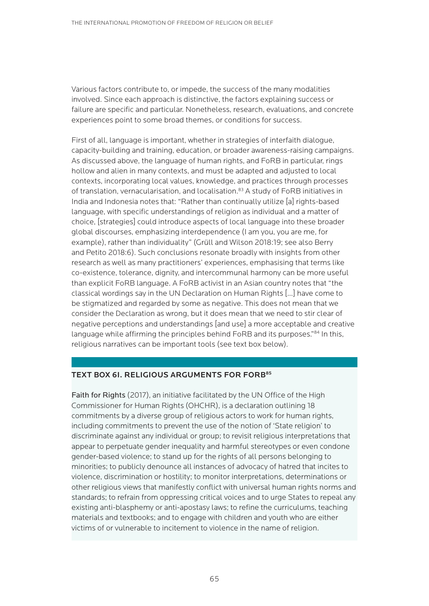Various factors contribute to, or impede, the success of the many modalities involved. Since each approach is distinctive, the factors explaining success or failure are specific and particular. Nonetheless, research, evaluations, and concrete experiences point to some broad themes, or conditions for success.

First of all, language is important, whether in strategies of interfaith dialogue, capacity-building and training, education, or broader awareness-raising campaigns. As discussed above, the language of human rights, and FoRB in particular, rings hollow and alien in many contexts, and must be adapted and adjusted to local contexts, incorporating local values, knowledge, and practices through processes of translation, vernacularisation, and localisation.<sup>[83](#page-98-0)</sup> A study of FoRB initiatives in India and Indonesia notes that: "Rather than continually utilize [a] rights-based language, with specific understandings of religion as individual and a matter of choice, [strategies] could introduce aspects of local language into these broader global discourses, emphasizing interdependence (I am you, you are me, for example), rather than individuality" (Grüll and Wilson 2018:19; see also Berry and Petito 2018:6). Such conclusions resonate broadly with insights from other research as well as many practitioners' experiences, emphasising that terms like co-existence, tolerance, dignity, and intercommunal harmony can be more useful than explicit FoRB language. A FoRB activist in an Asian country notes that "the classical wordings say in the UN Declaration on Human Rights […] have come to be stigmatized and regarded by some as negative. This does not mean that we consider the Declaration as wrong, but it does mean that we need to stir clear of negative perceptions and understandings [and use] a more acceptable and creative language while affirming the principles behind FoRB and its purposes."<sup>84</sup> In this, religious narratives can be important tools (see text box below).

#### TEXT BOX 6I. RELIGIOUS ARGUMENTS FOR FORB<sup>[85](#page-98-0)</sup>

Faith for Rights (2017), an initiative facilitated by the UN Office of the High Commissioner for Human Rights (OHCHR), is a declaration outlining 18 commitments by a diverse group of religious actors to work for human rights, including commitments to prevent the use of the notion of 'State religion' to discriminate against any individual or group; to revisit religious interpretations that appear to perpetuate gender inequality and harmful stereotypes or even condone gender-based violence; to stand up for the rights of all persons belonging to minorities; to publicly denounce all instances of advocacy of hatred that incites to violence, discrimination or hostility; to monitor interpretations, determinations or other religious views that manifestly conflict with universal human rights norms and standards; to refrain from oppressing critical voices and to urge States to repeal any existing anti-blasphemy or anti-apostasy laws; to refine the curriculums, teaching materials and textbooks; and to engage with children and youth who are either victims of or vulnerable to incitement to violence in the name of religion.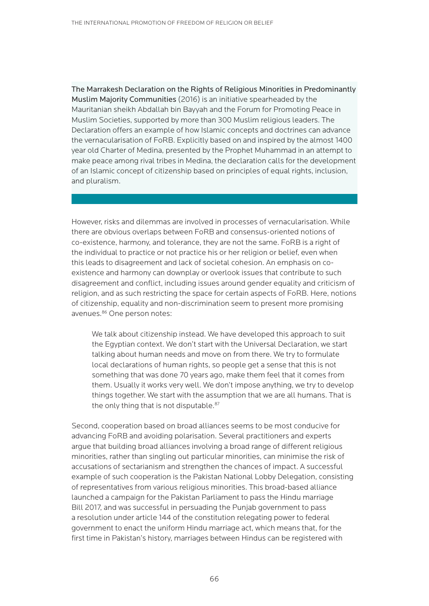The Marrakesh Declaration on the Rights of Religious Minorities in Predominantly Muslim Majority Communities (2016) is an initiative spearheaded by the Mauritanian sheikh Abdallah bin Bayyah and the Forum for Promoting Peace in Muslim Societies, supported by more than 300 Muslim religious leaders. The Declaration offers an example of how Islamic concepts and doctrines can advance the vernacularisation of FoRB. Explicitly based on and inspired by the almost 1400 year old Charter of Medina, presented by the Prophet Muhammad in an attempt to make peace among rival tribes in Medina, the declaration calls for the development of an Islamic concept of citizenship based on principles of equal rights, inclusion, and pluralism.

However, risks and dilemmas are involved in processes of vernacularisation. While there are obvious overlaps between FoRB and consensus-oriented notions of co-existence, harmony, and tolerance, they are not the same. FoRB is a right of the individual to practice or not practice his or her religion or belief, even when this leads to disagreement and lack of societal cohesion. An emphasis on coexistence and harmony can downplay or overlook issues that contribute to such disagreement and conflict, including issues around gender equality and criticism of religion, and as such restricting the space for certain aspects of FoRB. Here, notions of citizenship, equality and non-discrimination seem to present more promising avenues.<sup>86</sup> One person notes:

We talk about citizenship instead. We have developed this approach to suit the Egyptian context. We don't start with the Universal Declaration, we start talking about human needs and move on from there. We try to formulate local declarations of human rights, so people get a sense that this is not something that was done 70 years ago, make them feel that it comes from them. Usually it works very well. We don't impose anything, we try to develop things together. We start with the assumption that we are all humans. That is the only thing that is not disputable.<sup>[87](#page-98-0)</sup>

Second, cooperation based on broad alliances seems to be most conducive for advancing FoRB and avoiding polarisation. Several practitioners and experts argue that building broad alliances involving a broad range of different religious minorities, rather than singling out particular minorities, can minimise the risk of accusations of sectarianism and strengthen the chances of impact. A successful example of such cooperation is the Pakistan National Lobby Delegation, consisting of representatives from various religious minorities. This broad-based alliance launched a campaign for the Pakistan Parliament to pass the Hindu marriage Bill 2017, and was successful in persuading the Punjab government to pass a resolution under article 144 of the constitution relegating power to federal government to enact the uniform Hindu marriage act, which means that, for the first time in Pakistan's history, marriages between Hindus can be registered with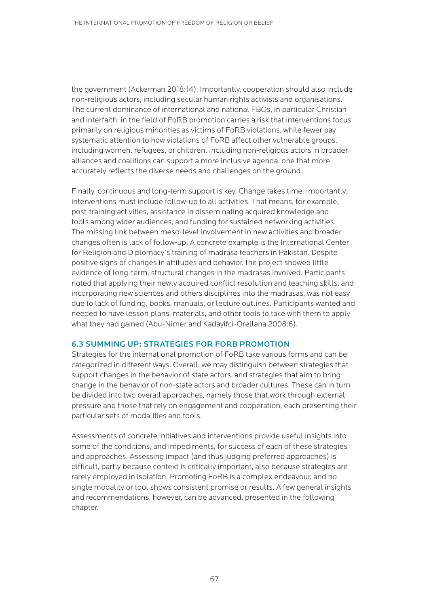the government (Ackerman 2018:14). Importantly, cooperation should also include non-religious actors, including secular human rights activists and organisations. The current dominance of international and national FBOs, in particular Christian and interfaith, in the field of FoRB promotion carries a risk that interventions focus primarily on religious minorities as victims of FoRB violations, while fewer pay systematic attention to how violations of FoRB affect other vulnerable groups, including women, refugees, or children. Including non-religious actors in broader alliances and coalitions can support a more inclusive agenda, one that more accurately reflects the diverse needs and challenges on the ground.

Finally, continuous and long-term support is key. Change takes time. Importantly, interventions must include follow-up to all activities. That means, for example, post-training activities, assistance in disseminating acquired knowledge and tools among wider audiences, and funding for sustained networking activities. The missing link between meso-level involvement in new activities and broader changes often is lack of follow-up. A concrete example is the International Center for Religion and Diplomacy's training of madrasa teachers in Pakistan. Despite positive signs of changes in attitudes and behavior, the project showed little evidence of long-term, structural changes in the madrasas involved. Participants noted that applying their newly acquired conflict resolution and teaching skills, and incorporating new sciences and others disciplines into the madrasas, was not easy due to lack of funding, books, manuals, or lecture outlines. Participants wanted and needed to have lesson plans, materials, and other tools to take with them to apply what they had gained (Abu-Nimer and Kadayifci-Orellana 2008:6).

#### 6.3 SUMMING UP: STRATEGIES FOR FORB PROMOTION

Strategies for the international promotion of FoRB take various forms and can be categorized in different ways. Overall, we may distinguish between strategies that support changes in the behavior of state actors, and strategies that aim to bring change in the behavior of non-state actors and broader cultures. These can in turn be divided into two overall approaches, namely those that work through external pressure and those that rely on engagement and cooperation, each presenting their particular sets of modalities and tools.

Assessments of concrete initiatives and interventions provide useful insights into some of the conditions, and impediments, for success of each of these strategies and approaches. Assessing impact (and thus judging preferred approaches) is difficult, partly because context is critically important, also because strategies are rarely employed in isolation. Promoting FoRB is a complex endeavour, and no single modality or tool shows consistent promise or results. A few general insights and recommendations, however, can be advanced, presented in the following chapter.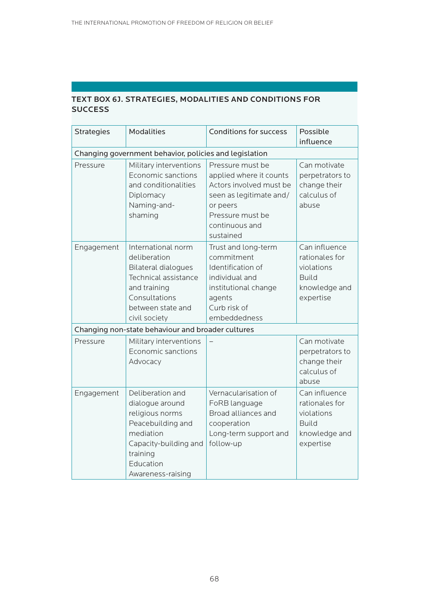# TEXT BOX 6J. STRATEGIES, MODALITIES AND CONDITIONS FOR SUCCESS

| <b>Strategies</b>                                      | <b>Modalities</b>                                                                                                                                               | <b>Conditions for success</b>                                                                                                                                    | Possible<br>influence                                                                       |  |  |
|--------------------------------------------------------|-----------------------------------------------------------------------------------------------------------------------------------------------------------------|------------------------------------------------------------------------------------------------------------------------------------------------------------------|---------------------------------------------------------------------------------------------|--|--|
| Changing government behavior, policies and legislation |                                                                                                                                                                 |                                                                                                                                                                  |                                                                                             |  |  |
| Pressure                                               | Military interventions<br>Economic sanctions<br>and conditionalities<br>Diplomacy<br>Naming-and-<br>shaming                                                     | Pressure must be<br>applied where it counts<br>Actors involved must be<br>seen as legitimate and/<br>or peers<br>Pressure must be<br>continuous and<br>sustained | Can motivate<br>perpetrators to<br>change their<br>calculus of<br>abuse                     |  |  |
| Engagement                                             | International norm<br>deliberation<br><b>Bilateral dialogues</b><br>Technical assistance<br>and training<br>Consultations<br>between state and<br>civil society | Trust and long-term<br>commitment<br>Identification of<br>individual and<br>institutional change<br>agents<br>Curb risk of<br>embeddedness                       | Can influence<br>rationales for<br>violations<br><b>Build</b><br>knowledge and<br>expertise |  |  |
|                                                        | Changing non-state behaviour and broader cultures                                                                                                               |                                                                                                                                                                  |                                                                                             |  |  |
| Pressure                                               | Military interventions<br>Economic sanctions<br>Advocacy                                                                                                        |                                                                                                                                                                  | Can motivate<br>perpetrators to<br>change their<br>calculus of<br>abuse                     |  |  |
| Engagement                                             | Deliberation and<br>dialogue around<br>religious norms<br>Peacebuilding and<br>mediation<br>Capacity-building and<br>training<br>Education<br>Awareness-raising | Vernacularisation of<br>FoRB language<br>Broad alliances and<br>cooperation<br>Long-term support and<br>follow-up                                                | Can influence<br>rationales for<br>violations<br><b>Build</b><br>knowledge and<br>expertise |  |  |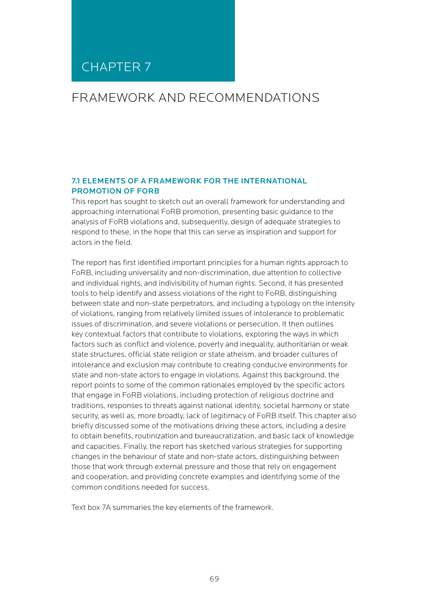# CHAPTER 7

# FRAMEWORK AND RECOMMENDATIONS

#### 7.1 ELEMENTS OF A FRAMEWORK FOR THE INTERNATIONAL PROMOTION OF FORB

This report has sought to sketch out an overall framework for understanding and approaching international FoRB promotion, presenting basic guidance to the analysis of FoRB violations and, subsequently, design of adequate strategies to respond to these, in the hope that this can serve as inspiration and support for actors in the field.

The report has first identified important principles for a human rights approach to FoRB, including universality and non-discrimination, due attention to collective and individual rights, and indivisibility of human rights. Second, it has presented tools to help identify and assess violations of the right to FoRB, distinguishing between state and non-state perpetrators, and including a typology on the intensity of violations, ranging from relatively limited issues of intolerance to problematic issues of discrimination, and severe violations or persecution. It then outlines key contextual factors that contribute to violations, exploring the ways in which factors such as conflict and violence, poverty and inequality, authoritarian or weak state structures, official state religion or state atheism, and broader cultures of intolerance and exclusion may contribute to creating conducive environments for state and non-state actors to engage in violations. Against this background, the report points to some of the common rationales employed by the specific actors that engage in FoRB violations, including protection of religious doctrine and traditions, responses to threats against national identity, societal harmony or state security, as well as, more broadly, lack of legitimacy of FoRB itself. This chapter also briefly discussed some of the motivations driving these actors, including a desire to obtain benefits, routinization and bureaucratization, and basic lack of knowledge and capacities. Finally, the report has sketched various strategies for supporting changes in the behaviour of state and non-state actors, distinguishing between those that work through external pressure and those that rely on engagement and cooperation, and providing concrete examples and identifying some of the common conditions needed for success.

Text box 7A summaries the key elements of the framework.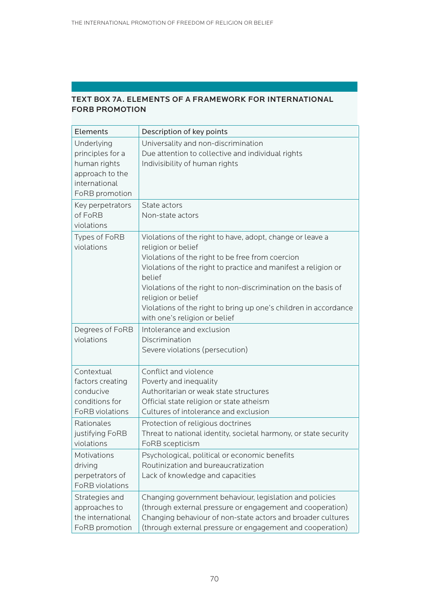# TEXT BOX 7A. ELEMENTS OF A FRAMEWORK FOR INTERNATIONAL FORB PROMOTION

| <b>Elements</b>                                                                                      | Description of key points                                                                                                                                                                                                                                                                                                                                                                                   |
|------------------------------------------------------------------------------------------------------|-------------------------------------------------------------------------------------------------------------------------------------------------------------------------------------------------------------------------------------------------------------------------------------------------------------------------------------------------------------------------------------------------------------|
| Underlying<br>principles for a<br>human rights<br>approach to the<br>international<br>FoRB promotion | Universality and non-discrimination<br>Due attention to collective and individual rights<br>Indivisibility of human rights                                                                                                                                                                                                                                                                                  |
| Key perpetrators<br>of FoRB<br>violations                                                            | State actors<br>Non-state actors                                                                                                                                                                                                                                                                                                                                                                            |
| Types of FoRB<br>violations                                                                          | Violations of the right to have, adopt, change or leave a<br>religion or belief<br>Violations of the right to be free from coercion<br>Violations of the right to practice and manifest a religion or<br>belief<br>Violations of the right to non-discrimination on the basis of<br>religion or belief<br>Violations of the right to bring up one's children in accordance<br>with one's religion or belief |
| Degrees of FoRB<br>violations                                                                        | Intolerance and exclusion<br>Discrimination<br>Severe violations (persecution)                                                                                                                                                                                                                                                                                                                              |
| Contextual<br>factors creating<br>conducive<br>conditions for<br><b>FoRB</b> violations              | Conflict and violence<br>Poverty and inequality<br>Authoritarian or weak state structures<br>Official state religion or state atheism<br>Cultures of intolerance and exclusion                                                                                                                                                                                                                              |
| Rationales<br>justifying FoRB<br>violations                                                          | Protection of religious doctrines<br>Threat to national identity, societal harmony, or state security<br>FoRB scepticism                                                                                                                                                                                                                                                                                    |
| Motivations<br>driving<br>perpetrators of<br><b>FoRB</b> violations                                  | Psychological, political or economic benefits<br>Routinization and bureaucratization<br>Lack of knowledge and capacities                                                                                                                                                                                                                                                                                    |
| Strategies and<br>approaches to<br>the international<br>FoRB promotion                               | Changing government behaviour, legislation and policies<br>(through external pressure or engagement and cooperation)<br>Changing behaviour of non-state actors and broader cultures<br>(through external pressure or engagement and cooperation)                                                                                                                                                            |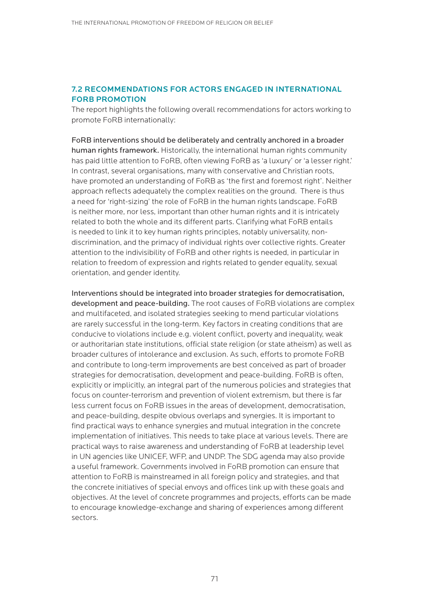#### 7.2 RECOMMENDATIONS FOR ACTORS ENGAGED IN INTERNATIONAL FORB PROMOTION

The report highlights the following overall recommendations for actors working to promote FoRB internationally:

FoRB interventions should be deliberately and centrally anchored in a broader human rights framework. Historically, the international human rights community has paid little attention to FoRB, often viewing FoRB as 'a luxury' or 'a lesser right.' In contrast, several organisations, many with conservative and Christian roots, have promoted an understanding of FoRB as 'the first and foremost right'. Neither approach reflects adequately the complex realities on the ground. There is thus a need for 'right-sizing' the role of FoRB in the human rights landscape. FoRB is neither more, nor less, important than other human rights and it is intricately related to both the whole and its different parts. Clarifying what FoRB entails is needed to link it to key human rights principles, notably universality, nondiscrimination, and the primacy of individual rights over collective rights. Greater attention to the indivisibility of FoRB and other rights is needed, in particular in relation to freedom of expression and rights related to gender equality, sexual orientation, and gender identity.

Interventions should be integrated into broader strategies for democratisation, development and peace-building. The root causes of FoRB violations are complex and multifaceted, and isolated strategies seeking to mend particular violations are rarely successful in the long-term. Key factors in creating conditions that are conducive to violations include e.g. violent conflict, poverty and inequality, weak or authoritarian state institutions, official state religion (or state atheism) as well as broader cultures of intolerance and exclusion. As such, efforts to promote FoRB and contribute to long-term improvements are best conceived as part of broader strategies for democratisation, development and peace-building. FoRB is often, explicitly or implicitly, an integral part of the numerous policies and strategies that focus on counter-terrorism and prevention of violent extremism, but there is far less current focus on FoRB issues in the areas of development, democratisation, and peace-building, despite obvious overlaps and synergies. It is important to find practical ways to enhance synergies and mutual integration in the concrete implementation of initiatives. This needs to take place at various levels. There are practical ways to raise awareness and understanding of FoRB at leadership level in UN agencies like UNICEF, WFP, and UNDP. The SDG agenda may also provide a useful framework. Governments involved in FoRB promotion can ensure that attention to FoRB is mainstreamed in all foreign policy and strategies, and that the concrete initiatives of special envoys and offices link up with these goals and objectives. At the level of concrete programmes and projects, efforts can be made to encourage knowledge-exchange and sharing of experiences among different sectors.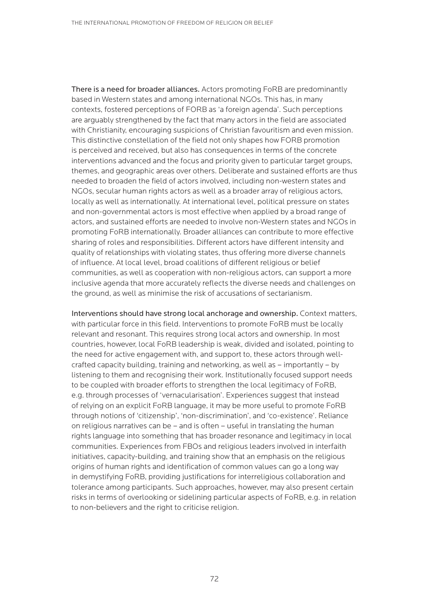There is a need for broader alliances. Actors promoting FoRB are predominantly based in Western states and among international NGOs. This has, in many contexts, fostered perceptions of FORB as 'a foreign agenda'. Such perceptions are arguably strengthened by the fact that many actors in the field are associated with Christianity, encouraging suspicions of Christian favouritism and even mission. This distinctive constellation of the field not only shapes how FORB promotion is perceived and received, but also has consequences in terms of the concrete interventions advanced and the focus and priority given to particular target groups, themes, and geographic areas over others. Deliberate and sustained efforts are thus needed to broaden the field of actors involved, including non-western states and NGOs, secular human rights actors as well as a broader array of religious actors, locally as well as internationally. At international level, political pressure on states and non-governmental actors is most effective when applied by a broad range of actors, and sustained efforts are needed to involve non-Western states and NGOs in promoting FoRB internationally. Broader alliances can contribute to more effective sharing of roles and responsibilities. Different actors have different intensity and quality of relationships with violating states, thus offering more diverse channels of influence. At local level, broad coalitions of different religious or belief communities, as well as cooperation with non-religious actors, can support a more inclusive agenda that more accurately reflects the diverse needs and challenges on the ground, as well as minimise the risk of accusations of sectarianism.

Interventions should have strong local anchorage and ownership. Context matters, with particular force in this field. Interventions to promote FoRB must be locally relevant and resonant. This requires strong local actors and ownership. In most countries, however, local FoRB leadership is weak, divided and isolated, pointing to the need for active engagement with, and support to, these actors through wellcrafted capacity building, training and networking, as well as – importantly – by listening to them and recognising their work. Institutionally focused support needs to be coupled with broader efforts to strengthen the local legitimacy of FoRB, e.g. through processes of 'vernacularisation'. Experiences suggest that instead of relying on an explicit FoRB language, it may be more useful to promote FoRB through notions of 'citizenship', 'non-discrimination', and 'co-existence'. Reliance on religious narratives can be – and is often – useful in translating the human rights language into something that has broader resonance and legitimacy in local communities. Experiences from FBOs and religious leaders involved in interfaith initiatives, capacity-building, and training show that an emphasis on the religious origins of human rights and identification of common values can go a long way in demystifying FoRB, providing justifications for interreligious collaboration and tolerance among participants. Such approaches, however, may also present certain risks in terms of overlooking or sidelining particular aspects of FoRB, e.g. in relation to non-believers and the right to criticise religion.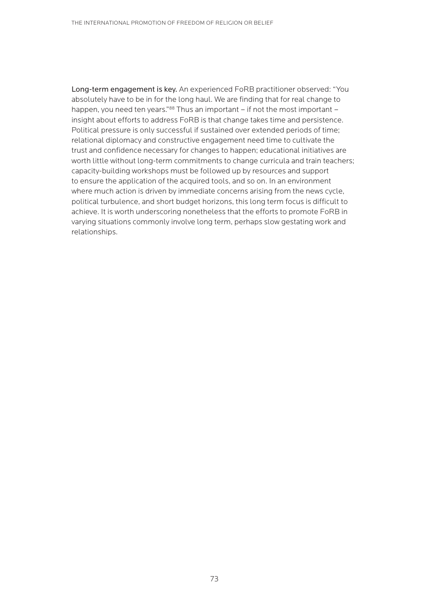<span id="page-72-0"></span>Long-term engagement is key. An experienced FoRB practitioner observed: "You absolutely have to be in for the long haul. We are finding that for real change to happen, you need ten years."<sup>88</sup> Thus an important – if not the most important – insight about efforts to address FoRB is that change takes time and persistence. Political pressure is only successful if sustained over extended periods of time; relational diplomacy and constructive engagement need time to cultivate the trust and confidence necessary for changes to happen; educational initiatives are worth little without long-term commitments to change curricula and train teachers; capacity-building workshops must be followed up by resources and support to ensure the application of the acquired tools, and so on. In an environment where much action is driven by immediate concerns arising from the news cycle, political turbulence, and short budget horizons, this long term focus is difficult to achieve. It is worth underscoring nonetheless that the efforts to promote FoRB in varying situations commonly involve long term, perhaps slow gestating work and relationships.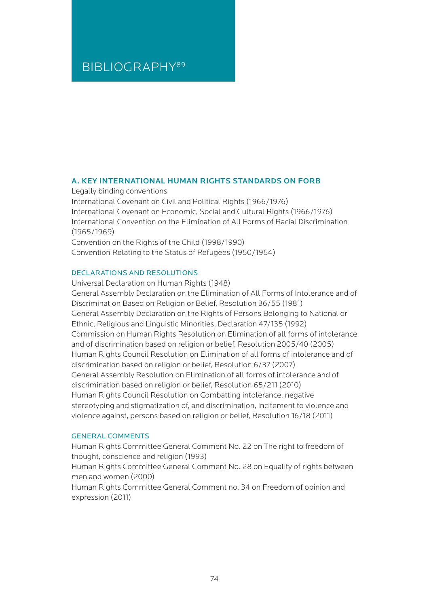## <span id="page-73-0"></span>BIBLIOGRAPHY[89](#page-98-0)

#### A. KEY INTERNATIONAL HUMAN RIGHTS STANDARDS ON FORB

Legally binding conventions International Covenant on Civil and Political Rights (1966/1976) International Covenant on Economic, Social and Cultural Rights (1966/1976) International Convention on the Elimination of All Forms of Racial Discrimination (1965/1969) Convention on the Rights of the Child (1998/1990) Convention Relating to the Status of Refugees (1950/1954)

#### DECLARATIONS AND RESOLUTIONS

Universal Declaration on Human Rights (1948) General Assembly Declaration on the Elimination of All Forms of Intolerance and of Discrimination Based on Religion or Belief, Resolution 36/55 (1981) General Assembly Declaration on the Rights of Persons Belonging to National or Ethnic, Religious and Linguistic Minorities, Declaration 47/135 (1992) Commission on Human Rights Resolution on Elimination of all forms of intolerance and of discrimination based on religion or belief, Resolution 2005/40 (2005) Human Rights Council Resolution on Elimination of all forms of intolerance and of discrimination based on religion or belief, Resolution 6/37 (2007) General Assembly Resolution on Elimination of all forms of intolerance and of discrimination based on religion or belief, Resolution 65/211 (2010) Human Rights Council Resolution on Combatting intolerance, negative stereotyping and stigmatization of, and discrimination, incitement to violence and violence against, persons based on religion or belief, Resolution 16/18 (2011)

#### GENERAL COMMENTS

Human Rights Committee General Comment No. 22 on The right to freedom of thought, conscience and religion (1993)

Human Rights Committee General Comment No. 28 on Equality of rights between men and women (2000)

Human Rights Committee General Comment no. 34 on Freedom of opinion and expression (2011)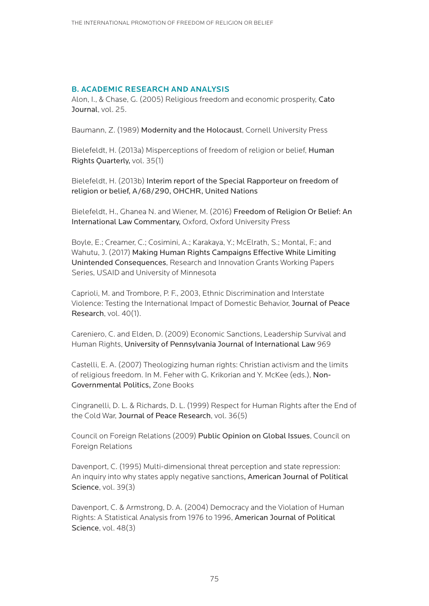#### B. ACADEMIC RESEARCH AND ANALYSIS

Alon, I., & Chase, G. (2005) Religious freedom and economic prosperity, Cato Journal, vol. 25.

Baumann, Z. (1989) Modernity and the Holocaust, Cornell University Press

Bielefeldt, H. (2013a) Misperceptions of freedom of religion or belief, Human Rights Quarterly, vol. 35(1)

Bielefeldt, H. (2013b) Interim report of the Special Rapporteur on freedom of religion or belief, A/68/290, OHCHR, United Nations

Bielefeldt, H., Ghanea N. and Wiener, M. (2016) Freedom of Religion Or Belief: An International Law Commentary, Oxford, Oxford University Press

Boyle, E.; Creamer, C.; Cosimini, A.; Karakaya, Y.; McElrath, S.; Montal, F.; and Wahutu, J. (2017) Making Human Rights Campaigns Effective While Limiting Unintended Consequences, Research and Innovation Grants Working Papers Series, USAID and University of Minnesota

Caprioli, M. and Trombore, P. F., 2003, Ethnic Discrimination and Interstate Violence: Testing the International Impact of Domestic Behavior, Journal of Peace Research, vol. 40(1).

Careniero, C. and Elden, D. (2009) Economic Sanctions, Leadership Survival and Human Rights, University of Pennsylvania Journal of International Law 969

Castelli, E. A. (2007) Theologizing human rights: Christian activism and the limits of religious freedom. In M. Feher with G. Krikorian and Y. McKee (eds.), Non-Governmental Politics, Zone Books

Cingranelli, D. L. & Richards, D. L. (1999) Respect for Human Rights after the End of the Cold War, Journal of Peace Research, vol. 36(5)

Council on Foreign Relations (2009) Public Opinion on Global Issues, Council on Foreign Relations

Davenport, C. (1995) Multi-dimensional threat perception and state repression: An inquiry into why states apply negative sanctions, American Journal of Political Science, vol. 39(3)

Davenport, C. & Armstrong, D. A. (2004) Democracy and the Violation of Human Rights: A Statistical Analysis from 1976 to 1996, American Journal of Political Science, vol. 48(3)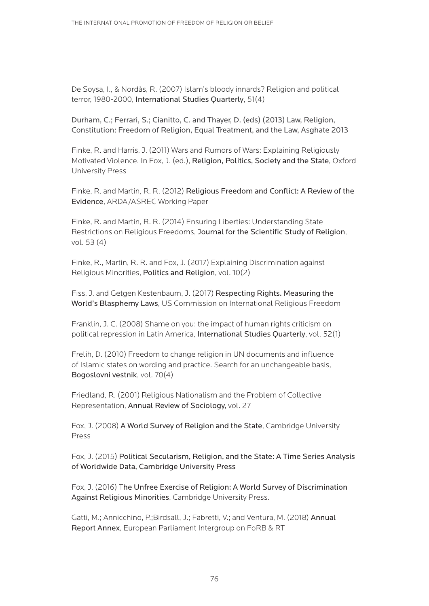De Soysa, I., & Nordås, R. (2007) Islam's bloody innards? Religion and political terror, 1980-2000, International Studies Quarterly, 51(4)

Durham, C.; Ferrari, S.; Cianitto, C. and Thayer, D. (eds) (2013) [Law, Religion,](https://www.routledge.com/Law-Religion-Constitution-Freedom-of-Religion-Equal-Treatment-and/author/p/book/9781472416148)  [Constitution: Freedom of Religion, Equal Treatment, and the Law,](https://www.routledge.com/Law-Religion-Constitution-Freedom-of-Religion-Equal-Treatment-and/author/p/book/9781472416148) Asghate 2013

Finke, R. and Harris, J. (2011) Wars and Rumors of Wars: Explaining Religiously Motivated Violence. In Fox, J. (ed.), Religion, Politics, Society and the State, Oxford University Press

Finke, R. and Martin, R. R. (2012) Religious Freedom and Conflict: A Review of the Evidence, ARDA/ASREC Working Paper

Finke, R. and Martin, R. R. (2014) Ensuring Liberties: Understanding State Restrictions on Religious Freedoms, Journal for the Scientific Study of Religion, vol. 53 (4)

Finke, R., Martin, R. R. and Fox, J. (2017) Explaining Discrimination against Religious Minorities, Politics and Religion, vol. 10(2)

Fiss, J. and Getgen Kestenbaum, J. (2017) Respecting Rights. Measuring the World's Blasphemy Laws, US Commission on International Religious Freedom

Franklin, J. C. (2008) Shame on you: the impact of human rights criticism on political repression in Latin America, International Studies Quarterly, vol. 52(1)

Frelih, D. (2010) Freedom to change religion in UN documents and influence of Islamic states on wording and practice. Search for an unchangeable basis, [Bogoslovni vestnik](http://www.dlib.si/results/?pageSize=25&language=eng&query=%27rele%253dBogoslovni%2bvestnik%27), vol. 70(4)

Friedland, R. (2001) Religious Nationalism and the Problem of Collective Representation, Annual Review of Sociology, vol. 27

Fox, J. (2008) A World Survey of Religion and the State, Cambridge University Press

Fox, J. (2015) Political Secularism, Religion, and the State: A Time Series Analysis of Worldwide Data, Cambridge University Press

Fox, J. (2016) The Unfree Exercise of Religion: A World Survey of Discrimination Against Religious Minorities, Cambridge University Press.

Gatti, M.; Annicchino, P.;Birdsall, J.; Fabretti, V.; and Ventura, M. (2018) Annual Report Annex, European Parliament Intergroup on FoRB & RT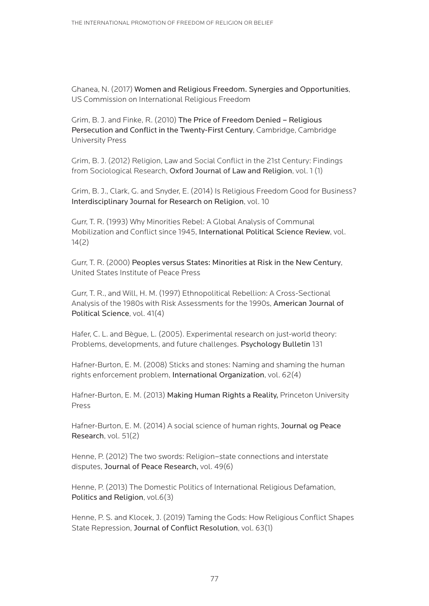Ghanea, N. (2017) Women and Religious Freedom. Synergies and Opportunities, US Commission on International Religious Freedom

Grim, B. J. and Finke, R. (2010) The Price of Freedom Denied – Religious Persecution and Conflict in the Twenty-First Century, Cambridge, Cambridge University Press

Grim, B. J. (2012) Religion, Law and Social Conflict in the 21st Century: Findings from Sociological Research, Oxford Journal of Law and Religion, vol. 1 (1)

Grim, B. J., Clark, G. and Snyder, E. (2014) Is Religious Freedom Good for Business? Interdisciplinary Journal for Research on Religion, vol. 10

Gurr, T. R. (1993) Why Minorities Rebel: A Global Analysis of Communal Mobilization and Conflict since 1945, International Political Science Review, vol. 14(2)

Gurr, T. R. (2000) Peoples versus States: Minorities at Risk in the New Century, United States Institute of Peace Press

Gurr, T. R., and Will, H. M. (1997) Ethnopolitical Rebellion: A Cross-Sectional Analysis of the 1980s with Risk Assessments for the 1990s, American Journal of Political Science, vol. 41(4)

Hafer, C. L. and Bègue, L. (2005). Experimental research on just-world theory: Problems, developments, and future challenges. Psychology Bulletin 131

Hafner-Burton, E. M. (2008) Sticks and stones: Naming and shaming the human rights enforcement problem, International Organization, vol. 62(4)

Hafner-Burton, E. M. (2013) Making Human Rights a Reality, Princeton University Press

Hafner-Burton, E. M. (2014) A social science of human rights, Journal og Peace Research, vol. 51(2)

Henne, P. (2012) The two swords: Religion–state connections and interstate disputes, Journal of Peace Research, vol. 49(6)

Henne, P. (2013) The Domestic Politics of International Religious Defamation, Politics and Religion, vol.6(3)

Henne, P. S. and Klocek, J. (2019) Taming the Gods: How Religious Conflict Shapes State Repression, Journal of Conflict Resolution, vol. 63(1)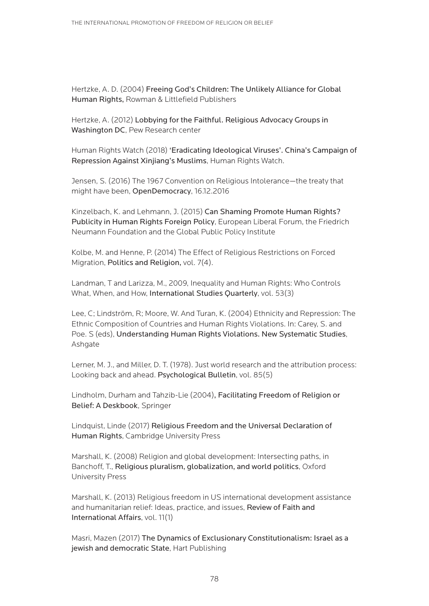Hertzke, A. D. (2004) Freeing God's Children: The Unlikely Alliance for Global Human Rights, Rowman & Littlefield Publishers

Hertzke, A. (2012) Lobbying for the Faithful. Religious Advocacy Groups in Washington DC, Pew Research center

Human Rights Watch (2018) 'Eradicating Ideological Viruses'. China's Campaign of Repression Against Xinjiang's Muslims, Human Rights Watch.

Jensen, S. (2016) The 1967 Convention on Religious Intolerance—the treaty that might have been, OpenDemocracy, 16.12.2016

Kinzelbach, K. and Lehmann, J. (2015) Can Shaming Promote Human Rights? Publicity in Human Rights Foreign Policy, European Liberal Forum, the Friedrich Neumann Foundation and the Global Public Policy Institute

Kolbe, M. and Henne, P. (2014) The Effect of Religious Restrictions on Forced Migration, Politics and Religion, vol. 7(4).

Landman, T and Larizza, M., 2009, Inequality and Human Rights: Who Controls What, When, and How, International Studies Quarterly, vol. 53(3)

Lee, C; Lindström, R; Moore, W. And Turan, K. (2004) Ethnicity and Repression: The Ethnic Composition of Countries and Human Rights Violations. In: Carey, S. and Poe. S (eds), Understanding Human Rights Violations. New Systematic Studies, Ashgate

Lerner, M. J., and Miller, D. T. (1978). Just world research and the attribution process: Looking back and ahead. Psychological Bulletin, vol. 85(5)

Lindholm, Durham and Tahzib-Lie (2004), Facilitating Freedom of Religion or Belief: A Deskbook, Springer

Lindquist, Linde (2017) Religious Freedom and the Universal Declaration of Human Rights, Cambridge University Press

Marshall, K. (2008) Religion and global development: Intersecting paths, in Banchoff, T., Religious pluralism, globalization, and world politics, Oxford University Press

Marshall, K. (2013) Religious freedom in US international development assistance and humanitarian relief: Ideas, practice, and issues, Review of Faith and International Affairs, vol. 11(1)

Masri, Mazen (2017) The Dynamics of Exclusionary Constitutionalism: Israel as a jewish and democratic State, Hart Publishing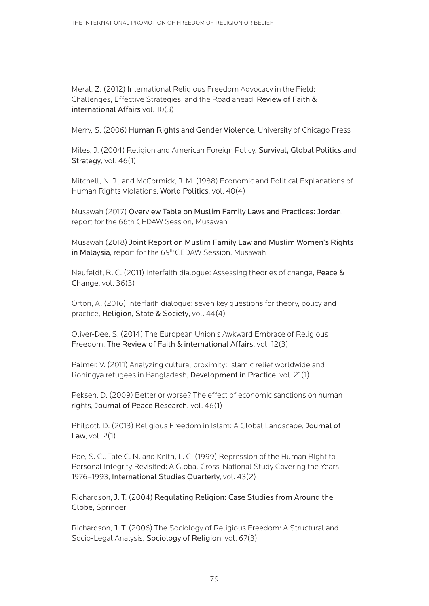Meral, Z. (2012) International Religious Freedom Advocacy in the Field: Challenges, Effective Strategies, and the Road ahead, Review of Faith & international Affairs vol. 10(3)

Merry, S. (2006) Human Rights and Gender Violence, University of Chicago Press

Miles, J. (2004) Religion and American Foreign Policy, Survival, Global Politics and Strategy, vol. 46(1)

Mitchell, N. J., and McCormick, J. M. (1988) Economic and Political Explanations of Human Rights Violations, World Politics, vol. 40(4)

Musawah (2017) Overview Table on Muslim Family Laws and Practices: Jordan, report for the 66th CEDAW Session, Musawah

Musawah (2018) Joint Report on Muslim Family Law and Muslim Women's Rights in Malaysia, report for the 69<sup>th</sup> CEDAW Session, Musawah

Neufeldt, R. C. (2011) Interfaith dialogue: Assessing theories of change, Peace & Change, vol. 36(3)

Orton, A. (2016) Interfaith dialogue: seven key questions for theory, policy and practice, Religion, State & Society, vol. 44(4)

Oliver-Dee, S. (2014) The European Union's Awkward Embrace of Religious Freedom, The Review of Faith & international Affairs, vol. 12(3)

Palmer, V. (2011) Analyzing cultural proximity: Islamic relief worldwide and Rohingya refugees in Bangladesh, Development in Practice, vol. 21(1)

Peksen, D. (2009) Better or worse? The effect of economic sanctions on human rights, Journal of Peace Research, vol. 46(1)

Philpott, D. (2013) Religious Freedom in Islam: A Global Landscape, Journal of Law, vol. 2(1)

Poe, S. C., Tate C. N. and Keith, L. C. (1999) Repression of the Human Right to Personal Integrity Revisited: A Global Cross-National Study Covering the Years 1976–1993, International Studies Quarterly, vol. 43(2)

Richardson, J. T. (2004) Regulating Religion: Case Studies from Around the Globe, Springer

Richardson, J. T. (2006) The Sociology of Religious Freedom: A Structural and Socio-Legal Analysis, Sociology of Religion, vol. 67(3)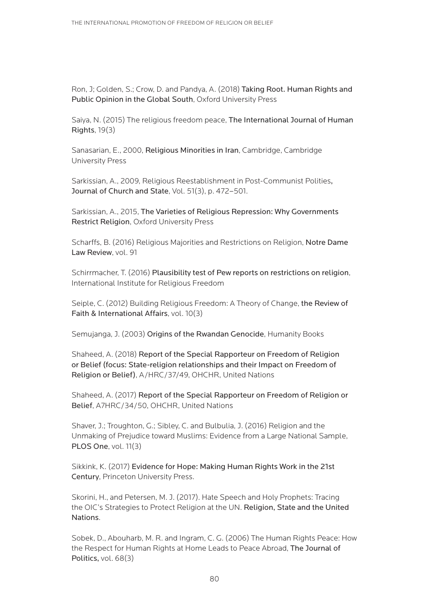Ron, J; Golden, S.; Crow, D. and Pandya, A. (2018) Taking Root. Human Rights and Public Opinion in the Global South, Oxford University Press

Saiya, N. (2015) The religious freedom peace, The International Journal of Human Rights, 19(3)

Sanasarian, E., 2000, Religious Minorities in Iran, Cambridge, Cambridge University Press

Sarkissian, A., 2009, Religious Reestablishment in Post-Communist Polities, Journal of Church and State, Vol. 51(3), p. 472–501.

Sarkissian, A., 2015, The Varieties of Religious Repression: Why Governments Restrict Religion, Oxford University Press

Scharffs, B. (2016) Religious Majorities and Restrictions on Religion, Notre Dame Law Review, vol. 91

Schirrmacher, T. (2016) Plausibility test of Pew reports on restrictions on religion, International Institute for Religious Freedom

Seiple, C. (2012) Building Religious Freedom: A Theory of Change, the Review of Faith & International Affairs, vol. 10(3)

Semujanga, J. (2003) Origins of the Rwandan Genocide, Humanity Books

Shaheed, A. (2018) Report of the Special Rapporteur on Freedom of Religion or Belief (focus: State-religion relationships and their Impact on Freedom of Religion or Belief), A/HRC/37/49, OHCHR, United Nations

Shaheed, A. (2017) Report of the Special Rapporteur on Freedom of Religion or Belief, A7HRC/34/50, OHCHR, United Nations

Shaver, J.; Troughton, G.; Sibley, C. and Bulbulia, J. (2016) Religion and the Unmaking of Prejudice toward Muslims: Evidence from a Large National Sample, PLOS One, vol. 11(3)

Sikkink, K. (2017) Evidence for Hope: Making Human Rights Work in the 21st Century, Princeton University Press.

Skorini, H., and Petersen, M. J. (2017). Hate Speech and Holy Prophets: Tracing the OIC's Strategies to Protect Religion at the UN. Religion, State and the United Nations.

Sobek, D., Abouharb, M. R. and Ingram, C. G. (2006) The Human Rights Peace: How the Respect for Human Rights at Home Leads to Peace Abroad, The Journal of Politics, vol. 68(3)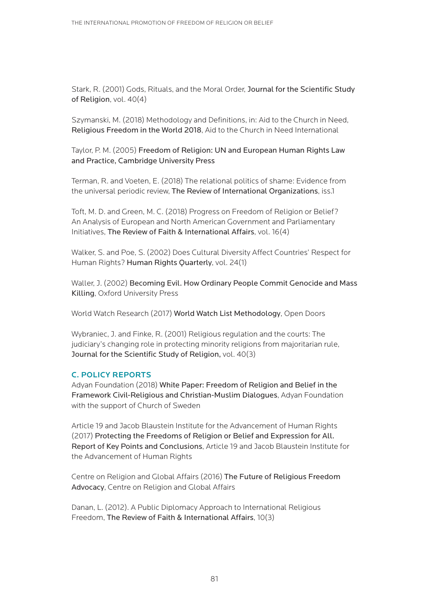Stark, R. (2001) Gods, Rituals, and the Moral Order, Journal for the Scientific Study of Religion, vol. 40(4)

Szymanski, M. (2018) Methodology and Definitions, in: Aid to the Church in Need, Religious Freedom in the World 2018, Aid to the Church in Need International

Taylor, P. M. (2005) Freedom of Religion: UN and European Human Rights Law and Practice, Cambridge University Press

Terman, R. and Voeten, E. (2018) The relational politics of shame: Evidence from the universal periodic review, The Review of International Organizations, iss.1

Toft, M. D. and Green, M. C. (2018) Progress on Freedom of Religion or Belief? An Analysis of European and North American Government and Parliamentary Initiatives, The Review of Faith & International Affairs, vol. 16(4)

Walker, S. and Poe, S. (2002) Does Cultural Diversity Affect Countries' Respect for Human Rights? Human Rights Quarterly, vol. 24(1)

Waller, J. (2002) Becoming Evil. How Ordinary People Commit Genocide and Mass Killing, Oxford University Press

World Watch Research (2017) World Watch List Methodology, Open Doors

Wybraniec, J. and Finke, R. (2001) Religious regulation and the courts: The judiciary's changing role in protecting minority religions from majoritarian rule, Journal for the Scientific Study of Religion, vol. 40(3)

#### C. POLICY REPORTS

Adyan Foundation (2018) White Paper: Freedom of Religion and Belief in the Framework Civil-Religious and Christian-Muslim Dialogues, Adyan Foundation with the support of Church of Sweden

Article 19 and Jacob Blaustein Institute for the Advancement of Human Rights (2017) Protecting the Freedoms of Religion or Belief and Expression for All. Report of Key Points and Conclusions, Article 19 and Jacob Blaustein Institute for the Advancement of Human Rights

Centre on Religion and Global Affairs (2016) The Future of Religious Freedom Advocacy, Centre on Religion and Global Affairs

Danan, L. (2012). A Public Diplomacy Approach to International Religious Freedom, The Review of Faith & International Affairs, 10(3)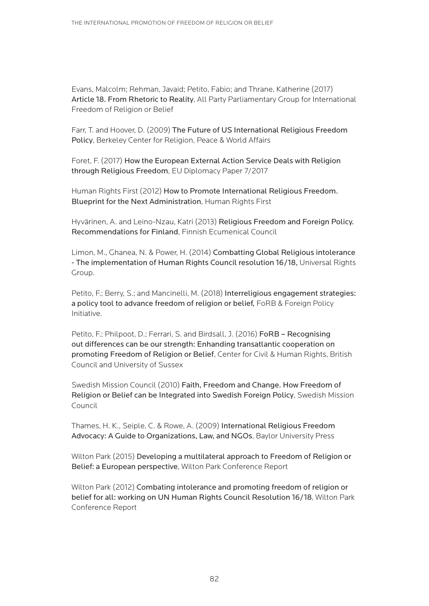Evans, Malcolm; Rehman, Javaid; Petito, Fabio; and Thrane, Katherine (2017) Article 18. From Rhetoric to Reality, All Party Parliamentary Group for International Freedom of Religion or Belief

Farr, T. and Hoover, D. (2009) The Future of US International Religious Freedom Policy, Berkeley Center for Religion, Peace & World Affairs

Foret, F. (2017) How the European External Action Service Deals with Religion through Religious Freedom, EU Diplomacy Paper 7/2017

Human Rights First (2012) How to Promote International Religious Freedom. Blueprint for the Next Administration, Human Rights First

Hyvärinen, A. and Leino-Nzau, Katri (2013) Religious Freedom and Foreign Policy. Recommendations for Finland, Finnish Ecumenical Council

Limon, M., Ghanea, N. & Power, H. (2014) Combatting Global Religious intolerance - The implementation of Human Rights Council resolution 16/18, Universal Rights Group.

Petito, F.; Berry, S.; and Mancinelli, M. (2018) Interreligious engagement strategies: a policy tool to advance freedom of religion or belief, FoRB & Foreign Policy Initiative.

Petito, F.; Philpoot, D.; Ferrari, S. and Birdsall, J. (2016) FoRB - Recognising out differences can be our strength: Enhanding transatlantic cooperation on promoting Freedom of Religion or Belief, Center for Civil & Human Rights, British Council and University of Sussex

Swedish Mission Council (2010) Faith, Freedom and Change. How Freedom of Religion or Belief can be Integrated into Swedish Foreign Policy, Swedish Mission Council

Thames, H. K., Seiple, C. & Rowe, A. (2009) International Religious Freedom Advocacy: A Guide to Organizations, Law, and NGOs, Baylor University Press

Wilton Park (2015) Developing a multilateral approach to Freedom of Religion or Belief: a European perspective, Wilton Park Conference Report

Wilton Park (2012) Combating intolerance and promoting freedom of religion or belief for all: working on UN Human Rights Council Resolution 16/18, Wilton Park Conference Report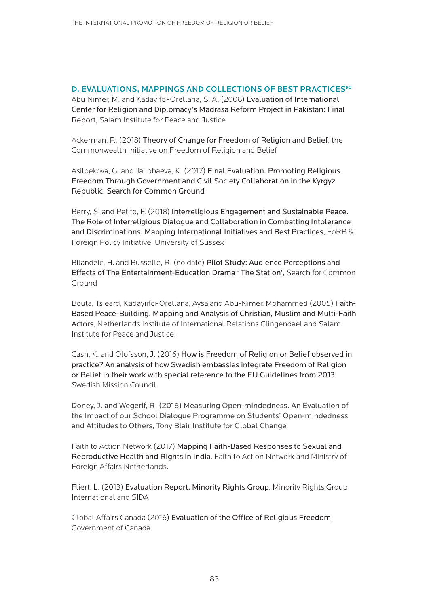#### <span id="page-82-0"></span>D. EVALUATIONS, MAPPINGS AND COLLECTIONS OF BEST PRACTICES<sup>[90](#page-98-0)</sup>

Abu Nimer, M. and Kadayifci-Orellana, S. A. (2008) Evaluation of International Center for Religion and Diplomacy's Madrasa Reform Project in Pakistan: Final Report, Salam Institute for Peace and Justice

Ackerman, R. (2018) Theory of Change for Freedom of Religion and Belief, the Commonwealth Initiative on Freedom of Religion and Belief

Asilbekova, G. and Jailobaeva, K. (2017) Final Evaluation. Promoting Religious Freedom Through Government and Civil Society Collaboration in the Kyrgyz Republic, Search for Common Ground

Berry, S. and Petito, F. (2018) Interreligious Engagement and Sustainable Peace. The Role of Interreligious Dialogue and Collaboration in Combatting Intolerance and Discriminations. Mapping International Initiatives and Best Practices, FoRB & Foreign Policy Initiative, University of Sussex

Bilandzic, H. and Busselle, R. (no date) Pilot Study: Audience Perceptions and Effects of The Entertainment-Education Drama ' The Station', Search for Common Ground

Bouta, Tsjeard, Kadayiifci-Orellana, Aysa and Abu-Nimer, Mohammed (2005) Faith-Based Peace-Building. Mapping and Analysis of Christian, Muslim and Multi-Faith Actors, Netherlands Institute of International Relations Clingendael and Salam Institute for Peace and Justice.

Cash, K. and Olofsson, J. (2016) How is Freedom of Religion or Belief observed in practice? An analysis of how Swedish embassies integrate Freedom of Religion or Belief in their work with special reference to the EU Guidelines from 2013, Swedish Mission Council

Doney, J. and Wegerif, R. (2016) Measuring Open-mindedness. An Evaluation of the Impact of our School Dialogue Programme on Students' Open-mindedness and Attitudes to Others, Tony Blair Institute for Global Change

Faith to Action Network (2017) Mapping Faith-Based Responses to Sexual and Reproductive Health and Rights in India. Faith to Action Network and Ministry of Foreign Affairs Netherlands.

Fliert, L. (2013) Evaluation Report. Minority Rights Group, Minority Rights Group International and SIDA

Global Affairs Canada (2016) Evaluation of the Office of Religious Freedom, Government of Canada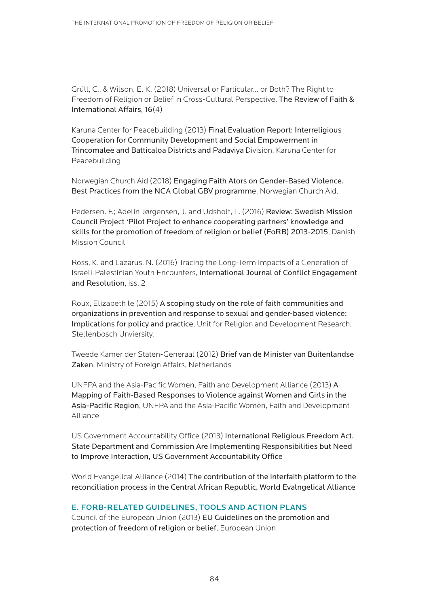Grüll, C., & Wilson, E. K. (2018) Universal or Particular… or Both? The Right to Freedom of Religion or Belief in Cross-Cultural Perspective. The Review of Faith & International Affairs, 16(4)

Karuna Center for Peacebuilding (2013) Final Evaluation Report: Interreligious Cooperation for Community Development and Social Empowerment in Trincomalee and Batticaloa Districts and Padaviya Division, Karuna Center for Peacebuilding

Norwegian Church Aid (2018) Engaging Faith Ators on Gender-Based Violence. Best Practices from the NCA Global GBV programme. Norwegian Church Aid.

Pedersen. F.; Adelin Jørgensen, J. and Udsholt, L. (2016) Review: Swedish Mission Council Project 'Pilot Project to enhance cooperating partners' knowledge and skills for the promotion of freedom of religion or belief (FoRB) 2013-2015, Danish Mission Council

Ross, K. and Lazarus, N. (2016) Tracing the Long-Term Impacts of a Generation of Israeli-Palestinian Youth Encounters, International Journal of Conflict Engagement and Resolution, iss. 2

Roux, Elizabeth le (2015) A scoping study on the role of faith communities and organizations in prevention and response to sexual and gender-based violence: Implications for policy and practice, Unit for Religion and Development Research, Stellenbosch Unviersity.

Tweede Kamer der Staten-Generaal (2012) Brief van de Minister van Buitenlandse Zaken, Ministry of Foreign Affairs, Netherlands

UNFPA and the Asia-Pacific Women, Faith and Development Alliance (2013) A Mapping of Faith-Based Responses to Violence against Women and Girls in the Asia-Pacific Region, UNFPA and the Asia-Pacific Women, Faith and Development Alliance

US Government Accountability Office (2013) International Religious Freedom Act. State Department and Commission Are Implementing Responsibilities but Need to Improve Interaction, US Government Accountability Office

World Evangelical Alliance (2014) The contribution of the interfaith platform to the reconciliation process in the Central African Republic, World Evalngelical Alliance

#### E. FORB-RELATED GUIDELINES, TOOLS AND ACTION PLANS

Council of the European Union (2013) EU Guidelines on the promotion and protection of freedom of religion or belief, European Union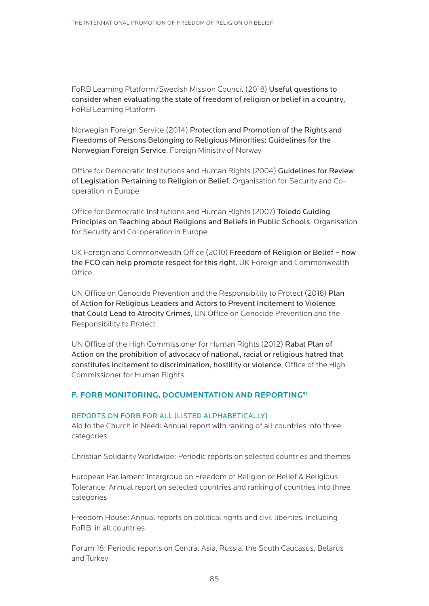<span id="page-84-0"></span>FoRB Learning Platform/Swedish Mission Council (2018) Useful questions to consider when evaluating the state of freedom of religion or belief in a country, FoRB Learning Platform

Norwegian Foreign Service (2014) Protection and Promotion of the Rights and Freedoms of Persons Belonging to Religious Minorities: Guidelines for the Norwegian Foreign Service, Foreign Ministry of Norway

Office for Democratic Institutions and Human Rights (2004) Guidelines for Review of Legislation Pertaining to Religion or Belief, Organisation for Security and Cooperation in Europe

Office for Democratic Institutions and Human Rights (2007) Toledo Guiding Principles on Teaching about Religions and Beliefs in Public Schools, Organisation for Security and Co-operation in Europe

UK Foreign and Commonwealth Office (2010) Freedom of Religion or Belief – how the FCO can help promote respect for this right, UK Foreign and Commonwealth **Office** 

UN Office on Genocide Prevention and the Responsibility to Protect (2018) Plan of Action for Religious Leaders and Actors to Prevent Incitement to Violence that Could Lead to Atrocity Crimes, UN Office on Genocide Prevention and the Responsibility to Protect

UN Office of the High Commissioner for Human Rights (2012) Rabat Plan of Action on the prohibition of advocacy of national, racial or religious hatred that constitutes incitement to discrimination, hostility or violence, Office of the High Commissioner for Human Rights

#### F. FORB MONITORING, DOCUMENTATION AND REPORTIN[G91](#page-99-0)

#### REPORTS ON FORB FOR ALL (LISTED ALPHABETICALLY)

Aid to the Church in Need: Annual report with ranking of all countries into three categories

Christian Solidarity Worldwide: Periodic reports on selected countries and themes

European Parliament Intergroup on Freedom of Religion or Belief & Religious Tolerance: Annual report on selected countries and ranking of countries into three categories

Freedom House: Annual reports on political rights and civil liberties, including FoRB, in all countries

Forum 18: Periodic reports on Central Asia, Russia, the South Caucasus, Belarus and Turkey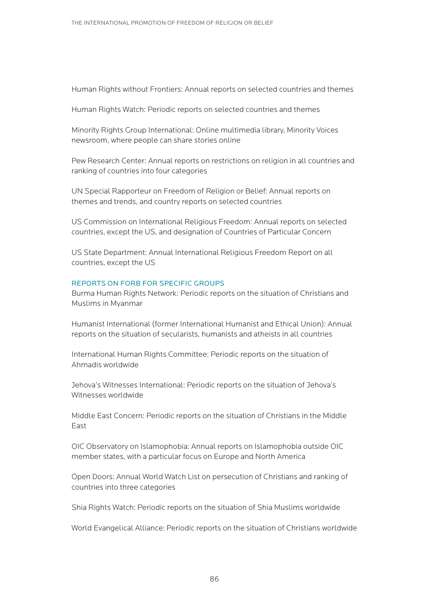Human Rights without Frontiers: Annual reports on selected countries and themes

Human Rights Watch: Periodic reports on selected countries and themes

Minority Rights Group International: Online multimedia library, Minority Voices newsroom, where people can share stories online

Pew Research Center: Annual reports on restrictions on religion in all countries and ranking of countries into four categories

UN Special Rapporteur on Freedom of Religion or Belief: Annual reports on themes and trends, and country reports on selected countries

US Commission on International Religious Freedom: Annual reports on selected countries, except the US, and designation of Countries of Particular Concern

US State Department: Annual International Religious Freedom Report on all countries, except the US

#### REPORTS ON FORB FOR SPECIFIC GROUPS

Burma Human Rights Network: Periodic reports on the situation of Christians and Muslims in Myanmar

Humanist International (former International Humanist and Ethical Union): Annual reports on the situation of secularists, humanists and atheists in all countries

International Human Rights Committee: Periodic reports on the situation of Ahmadis worldwide

Jehova's Witnesses International: Periodic reports on the situation of Jehova's Witnesses worldwide

Middle East Concern: Periodic reports on the situation of Christians in the Middle East

OIC Observatory on Islamophobia: Annual reports on Islamophobia outside OIC member states, with a particular focus on Europe and North America

Open Doors: Annual World Watch List on persecution of Christians and ranking of countries into three categories

Shia Rights Watch: Periodic reports on the situation of Shia Muslims worldwide

World Evangelical Alliance: Periodic reports on the situation of Christians worldwide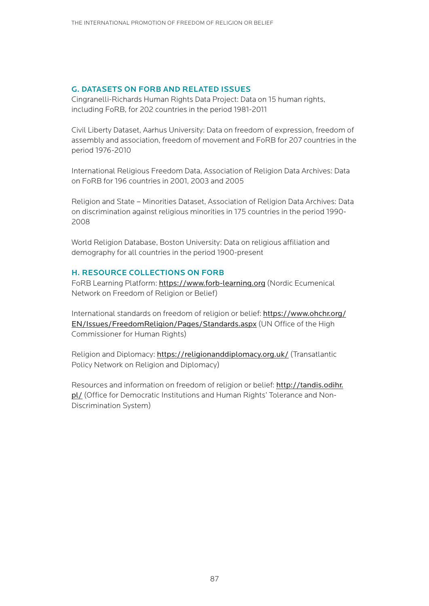#### G. DATASETS ON FORB AND RELATED ISSUES

Cingranelli-Richards Human Rights Data Project: Data on 15 human rights, including FoRB, for 202 countries in the period 1981-2011

Civil Liberty Dataset, Aarhus University: Data on freedom of expression, freedom of assembly and association, freedom of movement and FoRB for 207 countries in the period 1976-2010

International Religious Freedom Data, Association of Religion Data Archives: Data on FoRB for 196 countries in 2001, 2003 and 2005

Religion and State – Minorities Dataset, Association of Religion Data Archives: Data on discrimination against religious minorities in 175 countries in the period 1990- 2008

World Religion Database, Boston University: Data on religious affiliation and demography for all countries in the period 1900-present

#### H. RESOURCE COLLECTIONS ON FORB

FoRB Learning Platform: <https://www.forb-learning.org> (Nordic Ecumenical Network on Freedom of Religion or Belief)

International standards on freedom of religion or belief: [https://www.ohchr.org/](https://www.ohchr.org/EN/Issues/FreedomReligion/Pages/Standards.aspx) [EN/Issues/FreedomReligion/Pages/Standards.aspx](https://www.ohchr.org/EN/Issues/FreedomReligion/Pages/Standards.aspx) (UN Office of the High Commissioner for Human Rights)

Religion and Diplomacy: <https://religionanddiplomacy.org.uk/> (Transatlantic Policy Network on Religion and Diplomacy)

Resources and information on freedom of religion or belief: [http://tandis.odihr.](http://tandis.odihr.pl/) [pl/](http://tandis.odihr.pl/) (Office for Democratic Institutions and Human Rights' Tolerance and Non-Discrimination System)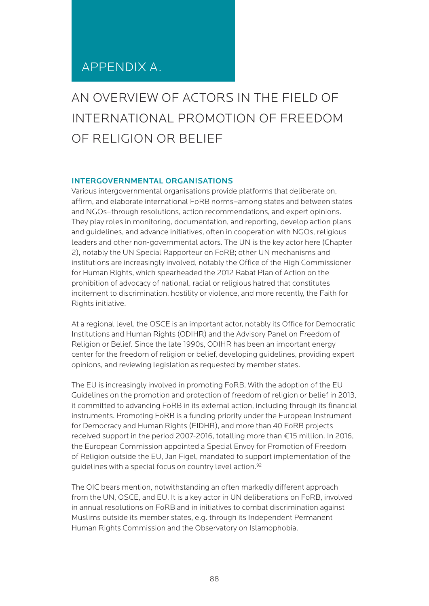## <span id="page-87-0"></span>APPENDIX A.

# AN OVERVIEW OF ACTORS IN THE FIELD OF INTERNATIONAL PROMOTION OF FREEDOM OF RELIGION OR BELIEF

#### INTERGOVERNMENTAL ORGANISATIONS

Various intergovernmental organisations provide platforms that deliberate on, affirm, and elaborate international FoRB norms–among states and between states and NGOs–through resolutions, action recommendations, and expert opinions. They play roles in monitoring, documentation, and reporting, develop action plans and guidelines, and advance initiatives, often in cooperation with NGOs, religious leaders and other non-governmental actors. The UN is the key actor here (Chapter 2), notably the UN Special Rapporteur on FoRB; other UN mechanisms and institutions are increasingly involved, notably the Office of the High Commissioner for Human Rights, which spearheaded the 2012 Rabat Plan of Action on the prohibition of advocacy of national, racial or religious hatred that constitutes incitement to discrimination, hostility or violence, and more recently, the Faith for Rights initiative.

At a regional level, the OSCE is an important actor, notably its Office for Democratic Institutions and Human Rights (ODIHR) and the Advisory Panel on Freedom of Religion or Belief. Since the late 1990s, ODIHR has been an important energy center for the freedom of religion or belief, developing guidelines, providing expert opinions, and reviewing legislation as requested by member states.

The EU is increasingly involved in promoting FoRB. With the adoption of the EU Guidelines on the promotion and protection of freedom of religion or belief in 2013, it committed to advancing FoRB in its external action, including through its financial instruments. Promoting FoRB is a funding priority under the European Instrument for Democracy and Human Rights (EIDHR), and more than 40 FoRB projects received support in the period 2007-2016, totalling more than €15 million. In 2016, the European Commission appointed a Special Envoy for Promotion of Freedom of Religion outside the EU, Jan Figel, mandated to support implementation of the guidelines with a special focus on country level action.<sup>[92](#page-99-0)</sup>

The OIC bears mention, notwithstanding an often markedly different approach from the UN, OSCE, and EU. It is a key actor in UN deliberations on FoRB, involved in annual resolutions on FoRB and in initiatives to combat discrimination against Muslims outside its member states, e.g. through its Independent Permanent Human Rights Commission and the Observatory on Islamophobia.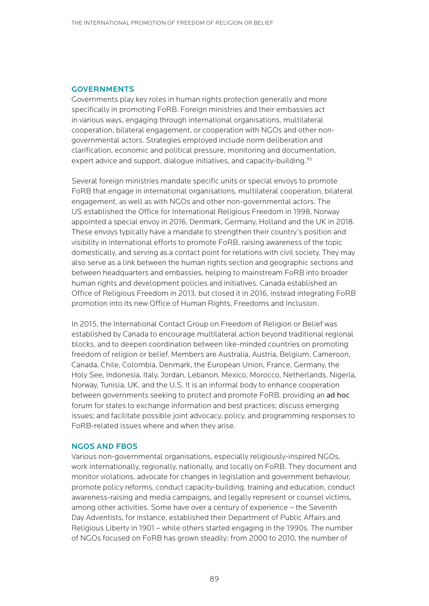#### <span id="page-88-0"></span>GOVERNMENTS

Governments play key roles in human rights protection generally and more specifically in promoting FoRB. Foreign ministries and their embassies act in various ways, engaging through international organisations, multilateral cooperation, bilateral engagement, or cooperation with NGOs and other nongovernmental actors. Strategies employed include norm deliberation and clarification, economic and political pressure, monitoring and documentation, expert advice and support, dialogue initiatives, and capacity-building.<sup>[93](#page-99-0)</sup>

Several foreign ministries mandate specific units or special envoys to promote FoRB that engage in international organisations, multilateral cooperation, bilateral engagement, as well as with NGOs and other non-governmental actors. The US established the Office for International Religious Freedom in 1998, Norway appointed a special envoy in 2016, Denmark, Germany, Holland and the UK in 2018. These envoys typically have a mandate to strengthen their country's position and visibility in international efforts to promote FoRB, raising awareness of the topic domestically, and serving as a contact point for relations with civil society. They may also serve as a link between the human rights section and geographic sections and between headquarters and embassies, helping to mainstream FoRB into broader human rights and development policies and initiatives. Canada established an Office of Religious Freedom in 2013, but closed it in 2016, instead integrating FoRB promotion into its new Office of Human Rights, Freedoms and Inclusion.

In 2015, the International Contact Group on Freedom of Religion or Belief was established by Canada to encourage multilateral action beyond traditional regional blocks, and to deepen coordination between like-minded countries on promoting freedom of religion or belief. Members are Australia, Austria, Belgium, Cameroon, Canada, Chile, Colombia, Denmark, the European Union, France, Germany, the Holy See, Indonesia, Italy, Jordan, Lebanon, Mexico, Morocco, Netherlands, Nigeria, Norway, Tunisia, UK, and the U.S. It is an informal body to enhance cooperation between governments seeking to protect and promote FoRB, providing an ad hoc forum for states to exchange information and best practices; discuss emerging issues; and facilitate possible joint advocacy, policy, and programming responses to FoRB-related issues where and when they arise.

#### NGOS AND FBOS

Various non-governmental organisations, especially religiously-inspired NGOs, work internationally, regionally, nationally, and locally on FoRB. They document and monitor violations, advocate for changes in legislation and government behaviour, promote policy reforms, conduct capacity-building, training and education, conduct awareness-raising and media campaigns, and legally represent or counsel victims, among other activities. Some have over a century of experience – the Seventh Day Adventists, for instance, established their Department of Public Affairs and Religious Liberty in 1901 – while others started engaging in the 1990s. The number of NGOs focused on FoRB has grown steadily: from 2000 to 2010, the number of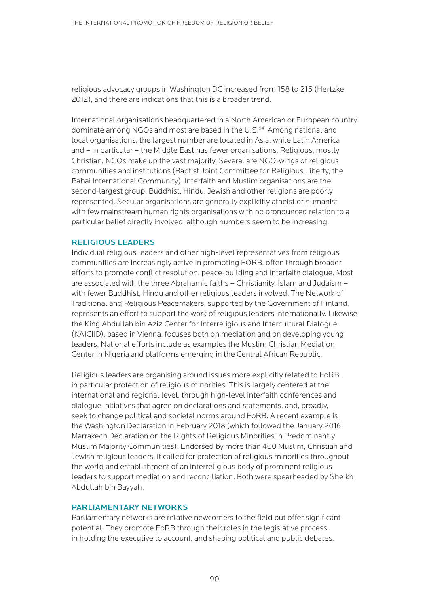<span id="page-89-0"></span>religious advocacy groups in Washington DC increased from 158 to 215 (Hertzke 2012), and there are indications that this is a broader trend.

International organisations headquartered in a North American or European country dominate among NGOs and most are based in the U.S.<sup>94</sup> Among national and local organisations, the largest number are located in Asia, while Latin America and – in particular – the Middle East has fewer organisations. Religious, mostly Christian, NGOs make up the vast majority. Several are NGO-wings of religious communities and institutions (Baptist Joint Committee for Religious Liberty, the Bahai International Community). Interfaith and Muslim organisations are the second-largest group. Buddhist, Hindu, Jewish and other religions are poorly represented. Secular organisations are generally explicitly atheist or humanist with few mainstream human rights organisations with no pronounced relation to a particular belief directly involved, although numbers seem to be increasing.

#### RELIGIOUS LEADERS

Individual religious leaders and other high-level representatives from religious communities are increasingly active in promoting FORB, often through broader efforts to promote conflict resolution, peace-building and interfaith dialogue. Most are associated with the three Abrahamic faiths – Christianity, Islam and Judaism – with fewer Buddhist, Hindu and other religious leaders involved. The Network of Traditional and Religious Peacemakers, supported by the Government of Finland, represents an effort to support the work of religious leaders internationally. Likewise the King Abdullah bin Aziz Center for Interreligious and Intercultural Dialogue (KAICIID), based in Vienna, focuses both on mediation and on developing young leaders. National efforts include as examples the Muslim Christian Mediation Center in Nigeria and platforms emerging in the Central African Republic.

Religious leaders are organising around issues more explicitly related to FoRB, in particular protection of religious minorities. This is largely centered at the international and regional level, through high-level interfaith conferences and dialogue initiatives that agree on declarations and statements, and, broadly, seek to change political and societal norms around FoRB. A recent example is the Washington Declaration in February 2018 (which followed the January 2016 Marrakech Declaration on the Rights of Religious Minorities in Predominantly Muslim Majority Communities). Endorsed by more than 400 Muslim, Christian and Jewish religious leaders, it called for protection of religious minorities throughout the world and establishment of an interreligious body of prominent religious leaders to support mediation and reconciliation. Both were spearheaded by Sheikh Abdullah bin Bayyah.

#### PARLIAMENTARY NETWORKS

Parliamentary networks are relative newcomers to the field but offer significant potential. They promote FoRB through their roles in the legislative process, in holding the executive to account, and shaping political and public debates.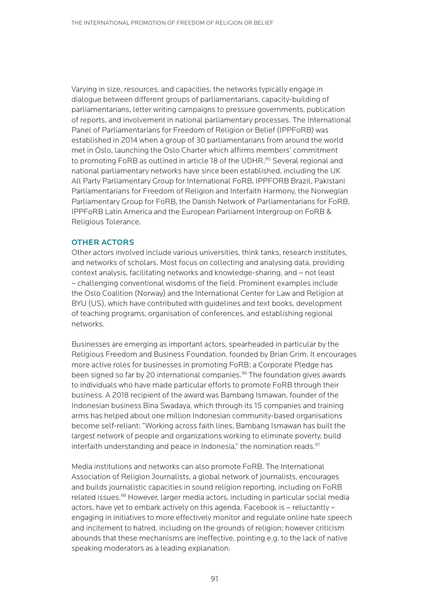<span id="page-90-0"></span>Varying in size, resources, and capacities, the networks typically engage in dialogue between different groups of parliamentarians, capacity-building of parliamentarians, letter writing campaigns to pressure governments, publication of reports, and involvement in national parliamentary processes. The International Panel of Parliamentarians for Freedom of Religion or Belief (IPPFoRB) was established in 2014 when a group of 30 parliamentarians from around the world met in Oslo, launching the Oslo Charter which affirms members' commitment to promoting FoRB as outlined in article 18 of the UDHR.<sup>95</sup> Several regional and national parliamentary networks have since been established, including the UK All Party Parliamentary Group for International FoRB, IPPFORB Brazil, Pakistani Parliamentarians for Freedom of Religion and Interfaith Harmony, the Norwegian Parliamentary Group for FoRB, the Danish Network of Parliamentarians for FoRB, IPPFoRB Latin America and the European Parliament Intergroup on FoRB & Religious Tolerance.

#### OTHER ACTORS

Other actors involved include various universities, think tanks, research institutes, and networks of scholars. Most focus on collecting and analysing data, providing context analysis, facilitating networks and knowledge-sharing, and – not least – challenging conventional wisdoms of the field. Prominent examples include the Oslo Coalition (Norway) and the International Center for Law and Religion at BYU (US), which have contributed with guidelines and text books, development of teaching programs, organisation of conferences, and establishing regional networks.

Businesses are emerging as important actors, spearheaded in particular by the Religious Freedom and Business Foundation, founded by Brian Grim. It encourages more active roles for businesses in promoting FoRB; a Corporate Pledge has been signed so far by 20 international companies.<sup>96</sup> The foundation gives awards to individuals who have made particular efforts to promote FoRB through their business. A 2018 recipient of the award was Bambang Ismawan, founder of the Indonesian business Bina Swadaya, which through its 15 companies and training arms has helped about one million Indonesian community-based organisations become self-reliant: "Working across faith lines, Bambang Ismawan has built the largest network of people and organizations working to eliminate poverty, build interfaith understanding and peace in Indonesia," the nomination reads. $97$ 

Media institutions and networks can also promote FoRB. The International Association of Religion Journalists, a global network of journalists, encourages and builds journalistic capacities in sound religion reporting, including on FoRB related issues.[98](#page-99-0) However, larger media actors, including in particular social media actors, have yet to embark actively on this agenda. Facebook is – reluctantly – engaging in initiatives to more effectively monitor and regulate online hate speech and incitement to hatred, including on the grounds of religion; however criticism abounds that these mechanisms are ineffective, pointing e.g. to the lack of native speaking moderators as a leading explanation.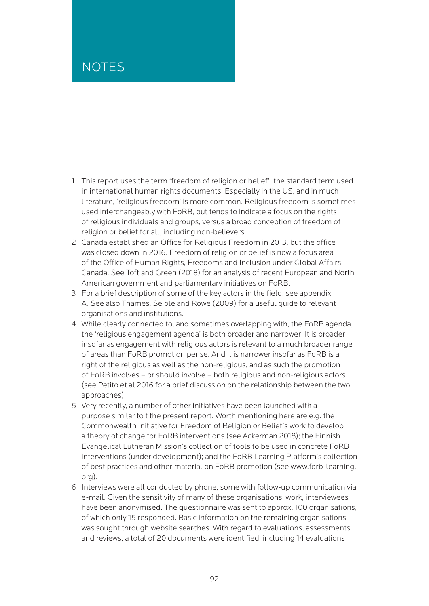## **NOTES**

- [1](#page-7-0) This report uses the term 'freedom of religion or belief', the standard term used in international human rights documents. Especially in the US, and in much literature, 'religious freedom' is more common. Religious freedom is sometimes used interchangeably with FoRB, but tends to indicate a focus on the rights of religious individuals and groups, versus a broad conception of freedom of religion or belief for all, including non-believers.
- [2](#page-7-0) Canada established an Office for Religious Freedom in 2013, but the office was closed down in 2016. Freedom of religion or belief is now a focus area of the Office of Human Rights, Freedoms and Inclusion under Global Affairs Canada. See Toft and Green (2018) for an analysis of recent European and North American government and parliamentary initiatives on FoRB.
- [3](#page-7-0) For a brief description of some of the key actors in the field, see appendix A. See also Thames, Seiple and Rowe (2009) for a useful guide to relevant organisations and institutions.
- [4](#page-8-0) While clearly connected to, and sometimes overlapping with, the FoRB agenda, the 'religious engagement agenda' is both broader and narrower: It is broader insofar as engagement with religious actors is relevant to a much broader range of areas than FoRB promotion per se. And it is narrower insofar as FoRB is a right of the religious as well as the non-religious, and as such the promotion of FoRB involves – or should involve – both religious and non-religious actors (see Petito et al 2016 for a brief discussion on the relationship between the two approaches).
- [5](#page-8-0) Very recently, a number of other initiatives have been launched with a purpose similar to t the present report. Worth mentioning here are e.g. the Commonwealth Initiative for Freedom of Religion or Belief's work to develop a theory of change for FoRB interventions (see Ackerman 2018); the Finnish Evangelical Lutheran Mission's collection of tools to be used in concrete FoRB interventions (under development); and the FoRB Learning Platform's collection of best practices and other material on FoRB promotion (see www.forb-learning. org).
- [6](#page-9-0) Interviews were all conducted by phone, some with follow-up communication via e-mail. Given the sensitivity of many of these organisations' work, interviewees have been anonymised. The questionnaire was sent to approx. 100 organisations, of which only 15 responded. Basic information on the remaining organisations was sought through website searches. With regard to evaluations, assessments and reviews, a total of 20 documents were identified, including 14 evaluations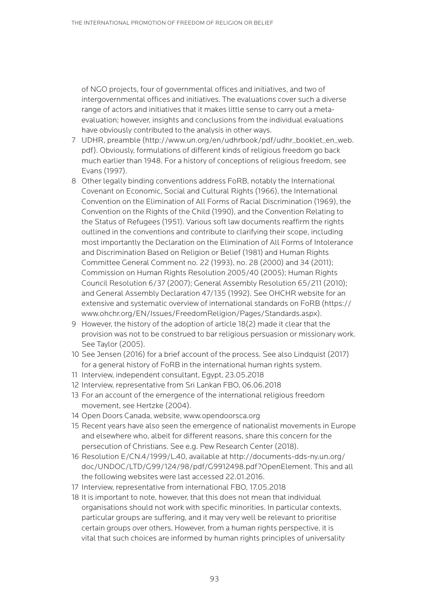of NGO projects, four of governmental offices and initiatives, and two of intergovernmental offices and initiatives. The evaluations cover such a diverse range of actors and initiatives that it makes little sense to carry out a metaevaluation; however, insights and conclusions from the individual evaluations have obviously contributed to the analysis in other ways.

- [7](#page-10-0) UDHR, preamble [\(http://www.un.org/en/udhrbook/pdf/udhr\\_booklet\\_en\\_web.](http://www.un.org/en/udhrbook/pdf/udhr_booklet_en_web.pdf) [pdf\)](http://www.un.org/en/udhrbook/pdf/udhr_booklet_en_web.pdf). Obviously, formulations of different kinds of religious freedom go back much earlier than 1948. For a history of conceptions of religious freedom, see Evans (1997).
- [8](#page-10-0) Other legally binding conventions address FoRB, notably the International Covenant on Economic, Social and Cultural Rights (1966), the International Convention on the Elimination of All Forms of Racial Discrimination (1969), the Convention on the Rights of the Child (1990), and the Convention Relating to the Status of Refugees (1951). Various soft law documents reaffirm the rights outlined in the conventions and contribute to clarifying their scope, including most importantly the Declaration on the Elimination of All Forms of Intolerance and Discrimination Based on Religion or Belief (1981) and Human Rights Committee General Comment no. 22 (1993), no. 28 (2000) and 34 (2011); Commission on Human Rights Resolution 2005/40 (2005); Human Rights Council Resolution 6/37 (2007); General Assembly Resolution 65/211 (2010); and General Assembly Declaration 47/135 (1992). See OHCHR website for an extensive and systematic overview of international standards on FoRB [\(https://](https://www.ohchr.org/EN/Issues/FreedomReligion/Pages/Standards.aspx) [www.ohchr.org/EN/Issues/FreedomReligion/Pages/Standards.aspx\)](https://www.ohchr.org/EN/Issues/FreedomReligion/Pages/Standards.aspx).
- [9](#page-10-0) However, the history of the adoption of article 18(2) made it clear that the provision was not to be construed to bar religious persuasion or missionary work. See Taylor (2005).
- [10](#page-11-0) See Jensen (2016) for a brief account of the process. See also Lindquist (2017) for a general history of FoRB in the international human rights system.
- [11](#page-12-0) Interview, independent consultant, Egypt, 23.05.2018
- [12](#page-12-0) Interview, representative from Sri Lankan FBO, 06.06.2018
- [13](#page-13-0) For an account of the emergence of the international religious freedom movement, see Hertzke (2004).
- [14](#page-13-0) Open Doors Canada, website, [www.opendoorsca.org](http://www.opendoorsca.org)
- [15](#page-13-0) Recent years have also seen the emergence of nationalist movements in Europe and elsewhere who, albeit for different reasons, share this concern for the persecution of Christians. See e.g. Pew Research Center (2018).
- [16](#page-13-0) Resolution E/CN.4/1999/L.40, available at [http://documents-dds-ny.un.org/](http://documents-dds-ny.un.org/doc/UNDOC/LTD/G99/124/98/pdf/G9912498.pdf?OpenElement) [doc/UNDOC/LTD/G99/124/98/pdf/G9912498.pdf?OpenElement.](http://documents-dds-ny.un.org/doc/UNDOC/LTD/G99/124/98/pdf/G9912498.pdf?OpenElement) This and all the following websites were last accessed 22.01.2016.
- [17](#page-14-0) Interview, representative from international FBO, 17.05.2018
- [18](#page-14-0) It is important to note, however, that this does not mean that individual organisations should not work with specific minorities. In particular contexts, particular groups are suffering, and it may very well be relevant to prioritise certain groups over others. However, from a human rights perspective, it is vital that such choices are informed by human rights principles of universality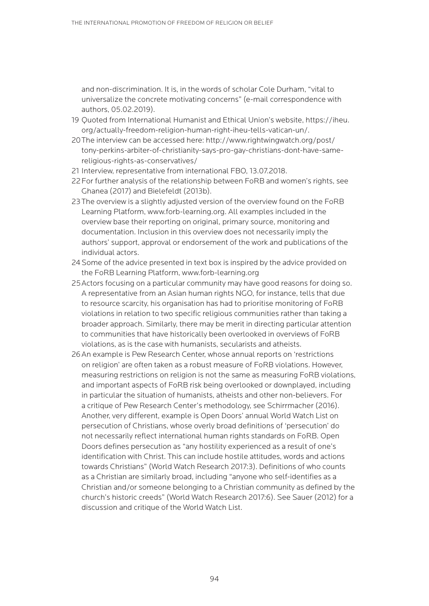and non-discrimination. It is, in the words of scholar Cole Durham, "vital to universalize the concrete motivating concerns" (e-mail correspondence with authors, 05.02.2019).

- [19](#page-14-0) Quoted from International Humanist and Ethical Union's website, [https://iheu.](https://iheu.org/actually-freedom-religion-human-right-iheu-tells-vatican-un/) [org/actually-freedom-religion-human-right-iheu-tells-vatican-un/](https://iheu.org/actually-freedom-religion-human-right-iheu-tells-vatican-un/).
- [20](#page-14-0) The interview can be accessed here: http://www.rightwingwatch.org/post/ tony-perkins-arbiter-of-christianity-says-pro-gay-christians-dont-have-samereligious-rights-as-conservatives/
- [21](#page-15-0) Interview, representative from international FBO, 13.07.2018.
- [22](#page-16-0) For further analysis of the relationship between FoRB and women's rights, see Ghanea (2017) and Bielefeldt (2013b).
- 23 The overview is a slightly adjusted version of the overview found on the FoRB Learning Platform, [www.forb-learning.org.](http://www.forb-learning.org) All examples included in the overview base their reporting on original, primary source, monitoring and documentation. Inclusion in this overview does not necessarily imply the authors' support, approval or endorsement of the work and publications of the individual actors.
- [24](#page-22-0) Some of the advice presented in text box is inspired by the advice provided on the FoRB Learning Platform, [www.forb-learning.org](http://www.forb-learning.org)
- [25](#page-22-0) Actors focusing on a particular community may have good reasons for doing so. A representative from an Asian human rights NGO, for instance, tells that due to resource scarcity, his organisation has had to prioritise monitoring of FoRB violations in relation to two specific religious communities rather than taking a broader approach. Similarly, there may be merit in directing particular attention to communities that have historically been overlooked in overviews of FoRB violations, as is the case with humanists, secularists and atheists.
- [26](#page-22-0) An example is Pew Research Center, whose annual reports on 'restrictions on religion' are often taken as a robust measure of FoRB violations. However, measuring restrictions on religion is not the same as measuring FoRB violations, and important aspects of FoRB risk being overlooked or downplayed, including in particular the situation of humanists, atheists and other non-believers. For a critique of Pew Research Center's methodology, see Schirrmacher (2016). Another, very different, example is Open Doors' annual World Watch List on persecution of Christians, whose overly broad definitions of 'persecution' do not necessarily reflect international human rights standards on FoRB. Open Doors defines persecution as "any hostility experienced as a result of one's identification with Christ. This can include hostile attitudes, words and actions towards Christians" (World Watch Research 2017:3). Definitions of who counts as a Christian are similarly broad, including "anyone who self-identifies as a Christian and/or someone belonging to a Christian community as defined by the church's historic creeds" (World Watch Research 2017:6). See Sauer (2012) for a discussion and critique of the World Watch List.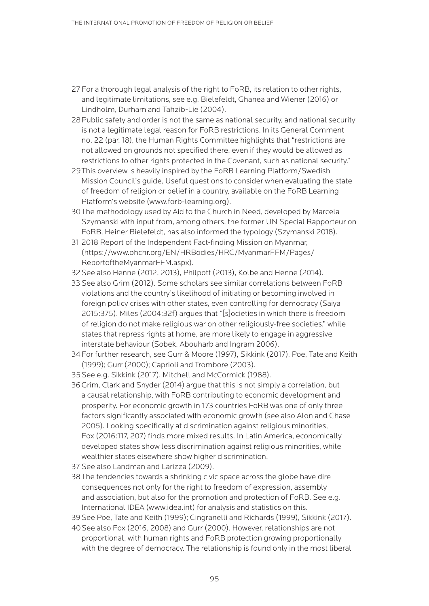- [27](#page-23-0) For a thorough legal analysis of the right to FoRB, its relation to other rights, and legitimate limitations, see e.g. Bielefeldt, Ghanea and Wiener (2016) or Lindholm, Durham and Tahzib-Lie (2004).
- [28](#page-23-0) Public safety and order is not the same as national security, and national security is not a legitimate legal reason for FoRB restrictions. In its General Comment no. 22 (par. 18), the Human Rights Committee highlights that "restrictions are not allowed on grounds not specified there, even if they would be allowed as restrictions to other rights protected in the Covenant, such as national security."
- [29](#page-24-0) This overview is heavily inspired by the FoRB Learning Platform/Swedish Mission Council's guide, Useful questions to consider when evaluating the state of freedom of religion or belief in a country, available on the FoRB Learning Platform's website (www.forb-learning.org).
- [30](#page-28-0) The methodology used by Aid to the Church in Need, developed by Marcela Szymanski with input from, among others, the former UN Special Rapporteur on FoRB, Heiner Bielefeldt, has also informed the typology (Szymanski 2018).
- [31](#page-31-0) 2018 Report of the Independent Fact-finding Mission on Myanmar, ([https://www.ohchr.org/EN/HRBodies/HRC/MyanmarFFM/Pages/](https://www.ohchr.org/EN/HRBodies/HRC/MyanmarFFM/Pages/ReportoftheMyanmarFFM.aspx) [ReportoftheMyanmarFFM.aspx\)](https://www.ohchr.org/EN/HRBodies/HRC/MyanmarFFM/Pages/ReportoftheMyanmarFFM.aspx).
- [32](#page-34-0) See also Henne (2012, 2013), Philpott (2013), Kolbe and Henne (2014).
- [33](#page-34-0) See also Grim (2012). Some scholars see similar correlations between FoRB violations and the country's likelihood of initiating or becoming involved in foreign policy crises with other states, even controlling for democracy (Saiya 2015:375). Miles (2004:32f) argues that "[s]ocieties in which there is freedom of religion do not make religious war on other religiously-free societies," while states that repress rights at home, are more likely to engage in aggressive interstate behaviour (Sobek, Abouharb and Ingram 2006).
- [34](#page-35-0) For further research, see Gurr & Moore (1997), Sikkink (2017), Poe, Tate and Keith (1999); Gurr (2000); Caprioli and Trombore (2003).
- [35](#page-35-0) See e.g. Sikkink (2017), Mitchell and McCormick (1988).
- [36](#page-35-0) Grim, Clark and Snyder (2014) argue that this is not simply a correlation, but a causal relationship, with FoRB contributing to economic development and prosperity. For economic growth in 173 countries FoRB was one of only three factors significantly associated with economic growth (see also Alon and Chase 2005). Looking specifically at discrimination against religious minorities, Fox (2016:117, 207) finds more mixed results. In Latin America, economically developed states show less discrimination against religious minorities, while wealthier states elsewhere show higher discrimination.
- [37](#page-35-0) See also Landman and Larizza (2009).
- [38](#page-36-0) The tendencies towards a shrinking civic space across the globe have dire consequences not only for the right to freedom of expression, assembly and association, but also for the promotion and protection of FoRB. See e.g. International IDEA [\(www.idea.int](http://www.idea.int)) for analysis and statistics on this.
- [39](#page-36-0) See Poe, Tate and Keith (1999); Cingranelli and Richards (1999), Sikkink (2017).
- [40](#page-36-0) See also Fox (2016, 2008) and Gurr (2000). However, relationships are not proportional, with human rights and FoRB protection growing proportionally with the degree of democracy. The relationship is found only in the most liberal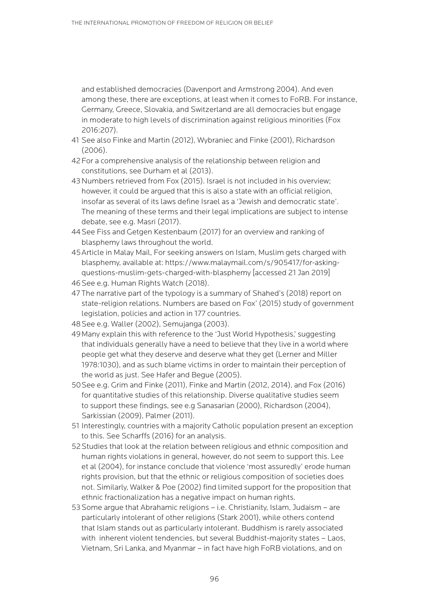and established democracies (Davenport and Armstrong 2004). And even among these, there are exceptions, at least when it comes to FoRB. For instance, Germany, Greece, Slovakia, and Switzerland are all democracies but engage in moderate to high levels of discrimination against religious minorities (Fox 2016:207).

- [41](#page-37-0) See also Finke and Martin (2012), Wybraniec and Finke (2001), Richardson (2006).
- [42](#page-37-0) For a comprehensive analysis of the relationship between religion and constitutions, see Durham et al (2013).
- [43](#page-38-0) Numbers retrieved from Fox (2015). Israel is not included in his overview; however, it could be argued that this is also a state with an official religion, insofar as several of its laws define Israel as a 'Jewish and democratic state'. The meaning of these terms and their legal implications are subject to intense debate, see e.g. Masri (2017).
- [44](#page-39-0) See Fiss and Getgen Kestenbaum (2017) for an overview and ranking of blasphemy laws throughout the world.
- [45](#page-39-0) Article in Malay Mail, For seeking answers on Islam, Muslim gets charged with blasphemy, available at: [https://www.malaymail.com/s/905417/for-asking](https://www.malaymail.com/s/905417/for-asking-questions-muslim-gets-charged-with-blasphemy)[questions-muslim-gets-charged-with-blasphemy](https://www.malaymail.com/s/905417/for-asking-questions-muslim-gets-charged-with-blasphemy) [accessed 21 Jan 2019]
- [46](#page-40-0) See e.g. Human Rights Watch (2018).
- [47](#page-40-0) The narrative part of the typology is a summary of Shahed's (2018) report on state-religion relations. Numbers are based on Fox' (2015) study of government legislation, policies and action in 177 countries.
- [48](#page-41-0) See e.g. Waller (2002), Semujanga (2003).
- [49](#page-41-0) Many explain this with reference to the 'Just World Hypothesis,' suggesting that individuals generally have a need to believe that they live in a world where people get what they deserve and deserve what they get (Lerner and Miller 1978:1030), and as such blame victims in order to maintain their perception of the world as just. See Hafer and Begue (2005).
- [50](#page-41-0) See e.g. Grim and Finke (2011), Finke and Martin (2012, 2014), and Fox (2016) for quantitative studies of this relationship. Diverse qualitative studies seem to support these findings, see e.g Sanasarian (2000), Richardson (2004), Sarkissian (2009), Palmer (2011).
- [51](#page-42-0) Interestingly, countries with a majority Catholic population present an exception to this. See Scharffs (2016) for an analysis.
- [52](#page-42-0) Studies that look at the relation between religious and ethnic composition and human rights violations in general, however, do not seem to support this. Lee et al (2004), for instance conclude that violence 'most assuredly' erode human rights provision, but that the ethnic or religious composition of societies does not. Similarly, Walker & Poe (2002) find limited support for the proposition that ethnic fractionalization has a negative impact on human rights.
- [53](#page-42-0) Some argue that Abrahamic religions i.e. Christianity, Islam, Judaism are particularly intolerant of other religions (Stark 2001), while others contend that Islam stands out as particularly intolerant. Buddhism is rarely associated with inherent violent tendencies, but several Buddhist-majority states – Laos, Vietnam, Sri Lanka, and Myanmar – in fact have high FoRB violations, and on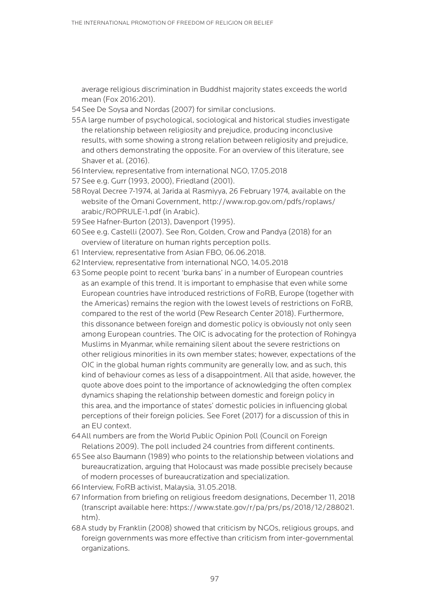average religious discrimination in Buddhist majority states exceeds the world mean (Fox 2016:201).

- [54](#page-42-0) See De Soysa and Nordas (2007) for similar conclusions.
- [55](#page-42-0) A large number of psychological, sociological and historical studies investigate the relationship between religiosity and prejudice, producing inconclusive results, with some showing a strong relation between religiosity and prejudice, and others demonstrating the opposite. For an overview of this literature, see Shaver et al. (2016).
- [56](#page-43-0) Interview, representative from international NGO, 17.05.2018
- [57](#page-45-0) See e.g. Gurr (1993, 2000), Friedland (2001).
- [58](#page-46-0) Royal Decree 7-1974, al Jarida al Rasmiyya, 26 February 1974, available on the website of the Omani Government, [http://www.rop.gov.om/pdfs/roplaws/](http://www.rop.gov.om/pdfs/roplaws/arabic/ROPRULE-1.pdf) [arabic/ROPRULE-1.pdf](http://www.rop.gov.om/pdfs/roplaws/arabic/ROPRULE-1.pdf) (in Arabic).
- [59](#page-46-0) See Hafner-Burton (2013), Davenport (1995).
- [60](#page-47-0) See e.g. Castelli (2007). See Ron, Golden, Crow and Pandya (2018) for an overview of literature on human rights perception polls.
- [61](#page-47-0) Interview, representative from Asian FBO, 06.06.2018.
- [62](#page-47-0) Interview, representative from international NGO, 14.05.2018
- [63](#page-47-0) Some people point to recent 'burka bans' in a number of European countries as an example of this trend. It is important to emphasise that even while some European countries have introduced restrictions of FoRB, Europe (together with the Americas) remains the region with the lowest levels of restrictions on FoRB, compared to the rest of the world (Pew Research Center 2018). Furthermore, this dissonance between foreign and domestic policy is obviously not only seen among European countries. The OIC is advocating for the protection of Rohingya Muslims in Myanmar, while remaining silent about the severe restrictions on other religious minorities in its own member states; however, expectations of the OIC in the global human rights community are generally low, and as such, this kind of behaviour comes as less of a disappointment. All that aside, however, the quote above does point to the importance of acknowledging the often complex dynamics shaping the relationship between domestic and foreign policy in this area, and the importance of states' domestic policies in influencing global perceptions of their foreign policies. See Foret (2017) for a discussion of this in an EU context.
- [64](#page-47-0) All numbers are from the World Public Opinion Poll (Council on Foreign Relations 2009). The poll included 24 countries from different continents.
- [65](#page-48-0) See also Baumann (1989) who points to the relationship between violations and bureaucratization, arguing that Holocaust was made possible precisely because of modern processes of bureaucratization and specialization.
- [66](#page-52-0) Interview, FoRB activist, Malaysia, 31.05.2018.
- [67](#page-54-0) Information from briefing on religious freedom designations, December 11, 2018 (transcript available here: [https://www.state.gov/r/pa/prs/ps/2018/12/288021.](https://www.state.gov/r/pa/prs/ps/2018/12/288021.htm) [htm\)](https://www.state.gov/r/pa/prs/ps/2018/12/288021.htm).
- [68](#page-55-0) A study by Franklin (2008) showed that criticism by NGOs, religious groups, and foreign governments was more effective than criticism from inter-governmental organizations.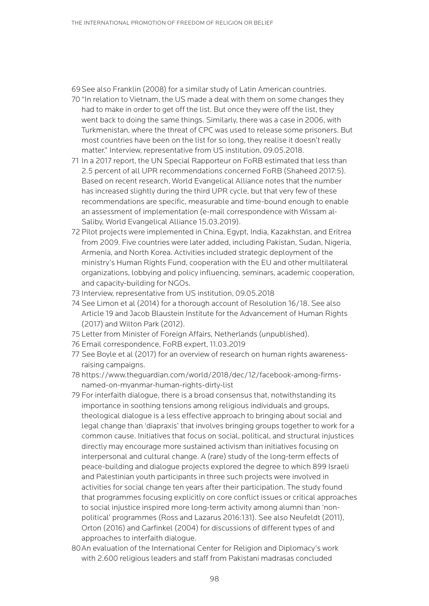[69](#page-55-0) See also Franklin (2008) for a similar study of Latin American countries.

- [70](#page-55-0) "In relation to Vietnam, the US made a deal with them on some changes they had to make in order to get off the list. But once they were off the list, they went back to doing the same things. Similarly, there was a case in 2006, with Turkmenistan, where the threat of CPC was used to release some prisoners. But most countries have been on the list for so long, they realise it doesn't really matter." Interview, representative from US institution, 09.05.2018.
- [71](#page-56-0) In a 2017 report, the UN Special Rapporteur on FoRB estimated that less than 2.5 percent of all UPR recommendations concerned FoRB (Shaheed 2017:5). Based on recent research, World Evangelical Alliance notes that the number has increased slightly during the third UPR cycle, but that very few of these recommendations are specific, measurable and time-bound enough to enable an assessment of implementation (e-mail correspondence with Wissam al-Saliby, World Evangelical Alliance 15.03.2019).
- [72](#page-56-0) Pilot projects were implemented in China, Egypt, India, Kazakhstan, and Eritrea from 2009. Five countries were later added, including Pakistan, Sudan, Nigeria, Armenia, and North Korea. Activities included strategic deployment of the ministry's Human Rights Fund, cooperation with the EU and other multilateral organizations, lobbying and policy influencing, seminars, academic cooperation, and capacity-building for NGOs.
- [73](#page-57-0) Interview, representative from US institution, 09.05.2018
- [74](#page-57-0) See Limon et al (2014) for a thorough account of Resolution 16/18. See also Article 19 and Jacob Blaustein Institute for the Advancement of Human Rights (2017) and Wilton Park (2012).
- [75](#page-58-0) Letter from Minister of Foreign Affairs, Netherlands (unpublished).
- [76](#page-59-0) Email correspondence, FoRB expert, 11.03.2019
- [77](#page-60-0) See Boyle et al (2017) for an overview of research on human rights awarenessraising campaigns.
- [78](#page-60-0) https://www.theguardian.com/world/2018/dec/12/facebook-among-firmsnamed-on-myanmar-human-rights-dirty-list
- [79](#page-61-0) For interfaith dialogue, there is a broad consensus that, notwithstanding its importance in soothing tensions among religious individuals and groups, theological dialogue is a less effective approach to bringing about social and legal change than 'diapraxis' that involves bringing groups together to work for a common cause. Initiatives that focus on social, political, and structural injustices directly may encourage more sustained activism than initiatives focusing on interpersonal and cultural change. A (rare) study of the long-term effects of peace-building and dialogue projects explored the degree to which 899 Israeli and Palestinian youth participants in three such projects were involved in activities for social change ten years after their participation. The study found that programmes focusing explicitly on core conflict issues or critical approaches to social injustice inspired more long-term activity among alumni than 'nonpolitical' programmes (Ross and Lazarus 2016:131). See also Neufeldt (2011), Orton (2016) and Garfinkel (2004) for discussions of different types of and approaches to interfaith dialogue.
- [80](#page-62-0) An evaluation of the International Center for Religion and Diplomacy's work with 2.600 religious leaders and staff from Pakistani madrasas concluded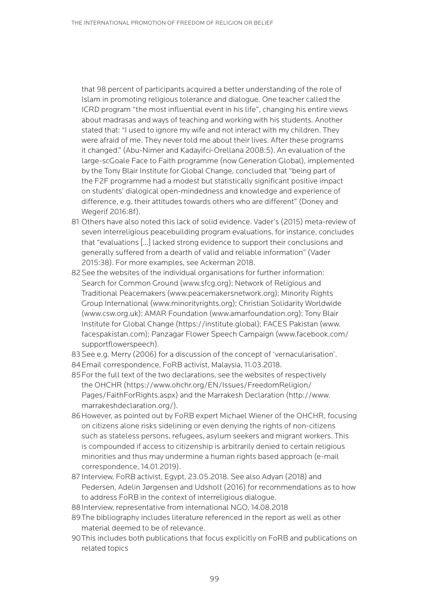<span id="page-98-0"></span>that 98 percent of participants acquired a better understanding of the role of Islam in promoting religious tolerance and dialogue. One teacher called the ICRD program "the most influential event in his life", changing his entire views about madrasas and ways of teaching and working with his students. Another stated that: "I used to ignore my wife and not interact with my children. They were afraid of me. They never told me about their lives. After these programs it changed." (Abu-Nimer and Kadayifci-Orellana 2008:5). An evaluation of the large-scGoale Face to Faith programme (now Generation Global), implemented by the Tony Blair Institute for Global Change, concluded that "being part of the F2F programme had a modest but statistically significant positive impact on students' dialogical open-mindedness and knowledge and experience of difference, e.g. their attitudes towards others who are different" (Doney and Wegerif 2016:8f).

- [81](#page-62-0) Others have also noted this lack of solid evidence. Vader's (2015) meta-review of seven interreligious peacebuilding program evaluations, for instance, concludes that "evaluations […] lacked strong evidence to support their conclusions and generally suffered from a dearth of valid and reliable information" (Vader 2015:38). For more examples, see Ackerman 2018.
- [82](#page-63-0) See the websites of the individual organisations for further information: Search for Common Ground ([www.sfcg.org](http://www.sfcg.org)); Network of Religious and Traditional Peacemakers ([www.peacemakersnetwork.org](http://www.peacemakersnetwork.org)); Minority Rights Group International [\(www.minorityrights.org\)](http://www.minorityrights.org); Christian Solidarity Worldwide ([www.csw.org.uk\)](http://www.csw.org.uk); AMAR Foundation [\(www.amarfoundation.org](http://www.amarfoundation.org)); Tony Blair Institute for Global Change ([https://institute.global\)](https://institute.global); FACES Pakistan ([www.](http://www.facespakistan.com) [facespakistan.com](http://www.facespakistan.com)); Panzagar Flower Speech Campaign [\(www.facebook.com/](http://www.facebook.com/supportflowerspeech) [supportflowerspeech\)](http://www.facebook.com/supportflowerspeech).
- [83](#page-64-0) See e.g. Merry (2006) for a discussion of the concept of 'vernacularisation'.
- [84](#page-64-0) Email correspondence, FoRB activist, Malaysia, 11.03.2018.
- [85](#page-64-0) For the full text of the two declarations, see the websites of respectively the OHCHR ([https://www.ohchr.org/EN/Issues/FreedomReligion/](https://www.ohchr.org/EN/Issues/FreedomReligion/Pages/FaithForRights.aspx) [Pages/FaithForRights.aspx\)](https://www.ohchr.org/EN/Issues/FreedomReligion/Pages/FaithForRights.aspx) and the Marrakesh Declaration ([http://www.](http://www.marrakeshdeclaration.org/) [marrakeshdeclaration.org/\)](http://www.marrakeshdeclaration.org/).
- [86](#page-65-0) However, as pointed out by FoRB expert Michael Wiener of the OHCHR, focusing on citizens alone risks sidelining or even denying the rights of non-citizens such as stateless persons, refugees, asylum seekers and migrant workers. This is compounded if access to citizenship is arbitrarily denied to certain religious minorities and thus may undermine a human rights based approach (e-mail correspondence, 14.01.2019).
- [87](#page-65-0) Interview, FoRB activist, Egypt, 23.05.2018. See also Adyan (2018) and Pedersen, Adelin Jørgensen and Udsholt (2016) for recommendations as to how to address FoRB in the context of interreligious dialogue.
- [88](#page-72-0) Interview, representative from international NGO, 14.08.2018
- [89](#page-73-0) The bibliography includes literature referenced in the report as well as other material deemed to be of relevance.
- [90](#page-82-0) This includes both publications that focus explicitly on FoRB and publications on related topics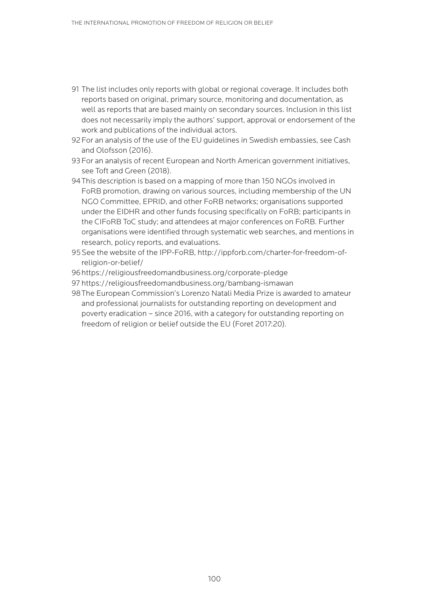- <span id="page-99-0"></span>[91](#page-84-0) The list includes only reports with global or regional coverage. It includes both reports based on original, primary source, monitoring and documentation, as well as reports that are based mainly on secondary sources. Inclusion in this list does not necessarily imply the authors' support, approval or endorsement of the work and publications of the individual actors.
- [92](#page-87-0) For an analysis of the use of the EU guidelines in Swedish embassies, see Cash and Olofsson (2016).
- [93](#page-88-0) For an analysis of recent European and North American government initiatives, see Toft and Green (2018).
- [94](#page-89-0) This description is based on a mapping of more than 150 NGOs involved in FoRB promotion, drawing on various sources, including membership of the UN NGO Committee, EPRID, and other FoRB networks; organisations supported under the EIDHR and other funds focusing specifically on FoRB; participants in the CIFoRB ToC study; and attendees at major conferences on FoRB. Further organisations were identified through systematic web searches, and mentions in research, policy reports, and evaluations.
- [95](#page-90-0) See the website of the IPP-FoRB, [http://ippforb.com/charter-for-freedom-of](http://ippforb.com/charter-for-freedom-of-religion-or-belief/)[religion-or-belief/](http://ippforb.com/charter-for-freedom-of-religion-or-belief/)
- [96](#page-90-0) https://religiousfreedomandbusiness.org/corporate-pledge
- [97](#page-90-0) https://religiousfreedomandbusiness.org/bambang-ismawan
- [98](#page-90-0) The European Commission's Lorenzo Natali Media Prize is awarded to amateur and professional journalists for outstanding reporting on development and poverty eradication – since 2016, with a category for outstanding reporting on freedom of religion or belief outside the EU (Foret 2017:20).